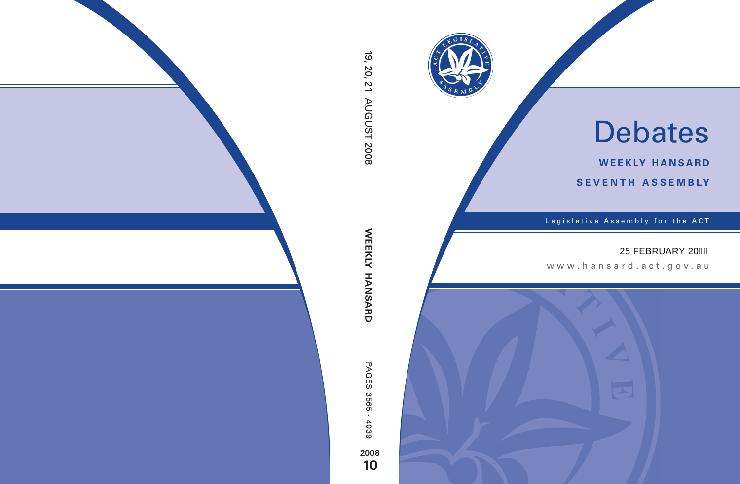

# Debates

**weekly hansard seventh asseMBly**

Legislative Assembly for the ACT

## 25 FEBRUARY 20

www .hansard.act.gov.au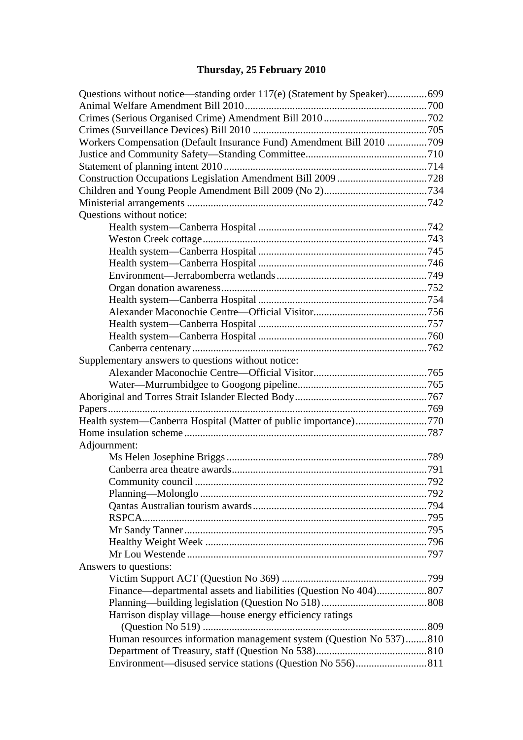# **[Thursday, 25 February 2010](#page-2-0)**

| Workers Compensation (Default Insurance Fund) Amendment Bill 2010 709 |  |
|-----------------------------------------------------------------------|--|
|                                                                       |  |
|                                                                       |  |
|                                                                       |  |
|                                                                       |  |
|                                                                       |  |
| Questions without notice:                                             |  |
|                                                                       |  |
|                                                                       |  |
|                                                                       |  |
|                                                                       |  |
|                                                                       |  |
|                                                                       |  |
|                                                                       |  |
|                                                                       |  |
|                                                                       |  |
|                                                                       |  |
|                                                                       |  |
| Supplementary answers to questions without notice:                    |  |
|                                                                       |  |
|                                                                       |  |
|                                                                       |  |
|                                                                       |  |
| Health system—Canberra Hospital (Matter of public importance)770      |  |
|                                                                       |  |
| Adjournment:                                                          |  |
|                                                                       |  |
|                                                                       |  |
|                                                                       |  |
|                                                                       |  |
|                                                                       |  |
|                                                                       |  |
|                                                                       |  |
|                                                                       |  |
|                                                                       |  |
| Answers to questions:                                                 |  |
|                                                                       |  |
| Finance—departmental assets and liabilities (Question No 404) 807     |  |
|                                                                       |  |
| Harrison display village—house energy efficiency ratings              |  |
|                                                                       |  |
| Human resources information management system (Question No 537)810    |  |
|                                                                       |  |
|                                                                       |  |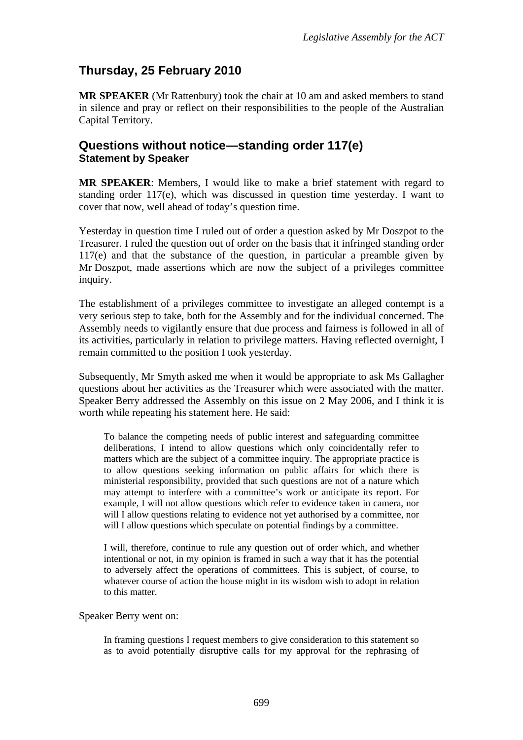## <span id="page-2-0"></span>**Thursday, 25 February 2010**

**MR SPEAKER** (Mr Rattenbury) took the chair at 10 am and asked members to stand in silence and pray or reflect on their responsibilities to the people of the Australian Capital Territory.

#### <span id="page-2-1"></span>**Questions without notice—standing order 117(e) Statement by Speaker**

**MR SPEAKER**: Members, I would like to make a brief statement with regard to standing order  $117(e)$ , which was discussed in question time yesterday. I want to cover that now, well ahead of today's question time.

Yesterday in question time I ruled out of order a question asked by Mr Doszpot to the Treasurer. I ruled the question out of order on the basis that it infringed standing order 117(e) and that the substance of the question, in particular a preamble given by Mr Doszpot, made assertions which are now the subject of a privileges committee inquiry.

The establishment of a privileges committee to investigate an alleged contempt is a very serious step to take, both for the Assembly and for the individual concerned. The Assembly needs to vigilantly ensure that due process and fairness is followed in all of its activities, particularly in relation to privilege matters. Having reflected overnight, I remain committed to the position I took yesterday.

Subsequently, Mr Smyth asked me when it would be appropriate to ask Ms Gallagher questions about her activities as the Treasurer which were associated with the matter. Speaker Berry addressed the Assembly on this issue on 2 May 2006, and I think it is worth while repeating his statement here. He said:

To balance the competing needs of public interest and safeguarding committee deliberations, I intend to allow questions which only coincidentally refer to matters which are the subject of a committee inquiry. The appropriate practice is to allow questions seeking information on public affairs for which there is ministerial responsibility, provided that such questions are not of a nature which may attempt to interfere with a committee's work or anticipate its report. For example, I will not allow questions which refer to evidence taken in camera, nor will I allow questions relating to evidence not yet authorised by a committee, nor will I allow questions which speculate on potential findings by a committee.

I will, therefore, continue to rule any question out of order which, and whether intentional or not, in my opinion is framed in such a way that it has the potential to adversely affect the operations of committees. This is subject, of course, to whatever course of action the house might in its wisdom wish to adopt in relation to this matter.

#### Speaker Berry went on:

In framing questions I request members to give consideration to this statement so as to avoid potentially disruptive calls for my approval for the rephrasing of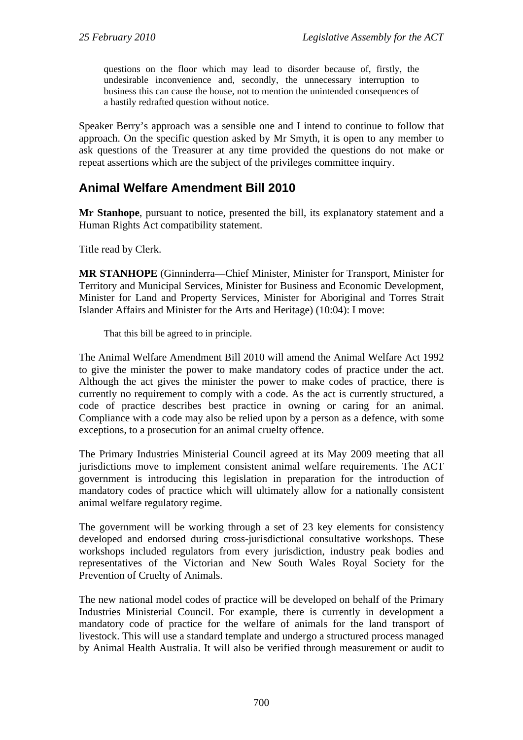questions on the floor which may lead to disorder because of, firstly, the undesirable inconvenience and, secondly, the unnecessary interruption to business this can cause the house, not to mention the unintended consequences of a hastily redrafted question without notice.

Speaker Berry's approach was a sensible one and I intend to continue to follow that approach. On the specific question asked by Mr Smyth, it is open to any member to ask questions of the Treasurer at any time provided the questions do not make or repeat assertions which are the subject of the privileges committee inquiry.

### <span id="page-3-0"></span>**Animal Welfare Amendment Bill 2010**

**Mr Stanhope**, pursuant to notice, presented the bill, its explanatory statement and a Human Rights Act compatibility statement.

Title read by Clerk.

**MR STANHOPE** (Ginninderra—Chief Minister, Minister for Transport, Minister for Territory and Municipal Services, Minister for Business and Economic Development, Minister for Land and Property Services, Minister for Aboriginal and Torres Strait Islander Affairs and Minister for the Arts and Heritage) (10:04): I move:

That this bill be agreed to in principle.

The Animal Welfare Amendment Bill 2010 will amend the Animal Welfare Act 1992 to give the minister the power to make mandatory codes of practice under the act. Although the act gives the minister the power to make codes of practice, there is currently no requirement to comply with a code. As the act is currently structured, a code of practice describes best practice in owning or caring for an animal. Compliance with a code may also be relied upon by a person as a defence, with some exceptions, to a prosecution for an animal cruelty offence.

The Primary Industries Ministerial Council agreed at its May 2009 meeting that all jurisdictions move to implement consistent animal welfare requirements. The ACT government is introducing this legislation in preparation for the introduction of mandatory codes of practice which will ultimately allow for a nationally consistent animal welfare regulatory regime.

The government will be working through a set of 23 key elements for consistency developed and endorsed during cross-jurisdictional consultative workshops. These workshops included regulators from every jurisdiction, industry peak bodies and representatives of the Victorian and New South Wales Royal Society for the Prevention of Cruelty of Animals.

The new national model codes of practice will be developed on behalf of the Primary Industries Ministerial Council. For example, there is currently in development a mandatory code of practice for the welfare of animals for the land transport of livestock. This will use a standard template and undergo a structured process managed by Animal Health Australia. It will also be verified through measurement or audit to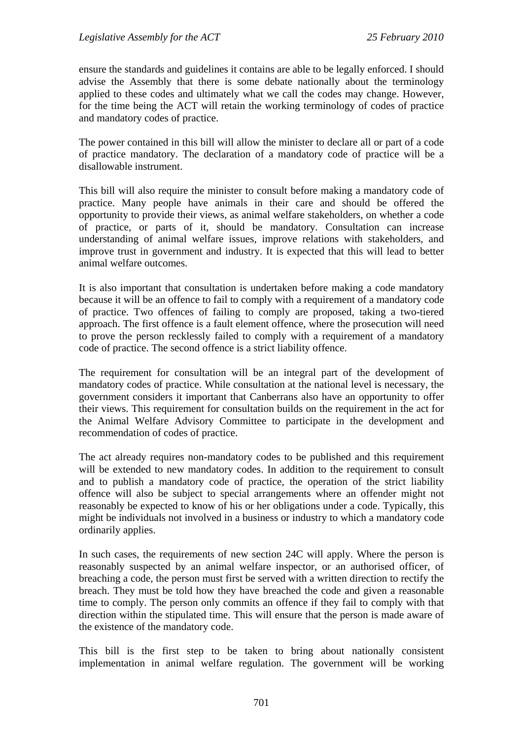ensure the standards and guidelines it contains are able to be legally enforced. I should advise the Assembly that there is some debate nationally about the terminology applied to these codes and ultimately what we call the codes may change. However, for the time being the ACT will retain the working terminology of codes of practice and mandatory codes of practice.

The power contained in this bill will allow the minister to declare all or part of a code of practice mandatory. The declaration of a mandatory code of practice will be a disallowable instrument.

This bill will also require the minister to consult before making a mandatory code of practice. Many people have animals in their care and should be offered the opportunity to provide their views, as animal welfare stakeholders, on whether a code of practice, or parts of it, should be mandatory. Consultation can increase understanding of animal welfare issues, improve relations with stakeholders, and improve trust in government and industry. It is expected that this will lead to better animal welfare outcomes.

It is also important that consultation is undertaken before making a code mandatory because it will be an offence to fail to comply with a requirement of a mandatory code of practice. Two offences of failing to comply are proposed, taking a two-tiered approach. The first offence is a fault element offence, where the prosecution will need to prove the person recklessly failed to comply with a requirement of a mandatory code of practice. The second offence is a strict liability offence.

The requirement for consultation will be an integral part of the development of mandatory codes of practice. While consultation at the national level is necessary, the government considers it important that Canberrans also have an opportunity to offer their views. This requirement for consultation builds on the requirement in the act for the Animal Welfare Advisory Committee to participate in the development and recommendation of codes of practice.

The act already requires non-mandatory codes to be published and this requirement will be extended to new mandatory codes. In addition to the requirement to consult and to publish a mandatory code of practice, the operation of the strict liability offence will also be subject to special arrangements where an offender might not reasonably be expected to know of his or her obligations under a code. Typically, this might be individuals not involved in a business or industry to which a mandatory code ordinarily applies.

In such cases, the requirements of new section 24C will apply. Where the person is reasonably suspected by an animal welfare inspector, or an authorised officer, of breaching a code, the person must first be served with a written direction to rectify the breach. They must be told how they have breached the code and given a reasonable time to comply. The person only commits an offence if they fail to comply with that direction within the stipulated time. This will ensure that the person is made aware of the existence of the mandatory code.

This bill is the first step to be taken to bring about nationally consistent implementation in animal welfare regulation. The government will be working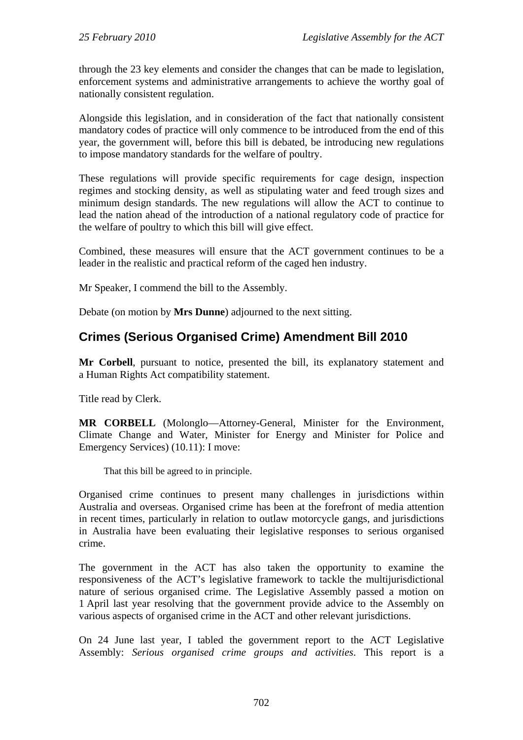through the 23 key elements and consider the changes that can be made to legislation, enforcement systems and administrative arrangements to achieve the worthy goal of nationally consistent regulation.

Alongside this legislation, and in consideration of the fact that nationally consistent mandatory codes of practice will only commence to be introduced from the end of this year, the government will, before this bill is debated, be introducing new regulations to impose mandatory standards for the welfare of poultry.

These regulations will provide specific requirements for cage design, inspection regimes and stocking density, as well as stipulating water and feed trough sizes and minimum design standards. The new regulations will allow the ACT to continue to lead the nation ahead of the introduction of a national regulatory code of practice for the welfare of poultry to which this bill will give effect.

Combined, these measures will ensure that the ACT government continues to be a leader in the realistic and practical reform of the caged hen industry.

Mr Speaker, I commend the bill to the Assembly.

Debate (on motion by **Mrs Dunne**) adjourned to the next sitting.

### <span id="page-5-0"></span>**Crimes (Serious Organised Crime) Amendment Bill 2010**

**Mr Corbell**, pursuant to notice, presented the bill, its explanatory statement and a Human Rights Act compatibility statement.

Title read by Clerk.

**MR CORBELL** (Molonglo—Attorney-General, Minister for the Environment, Climate Change and Water, Minister for Energy and Minister for Police and Emergency Services) (10.11): I move:

That this bill be agreed to in principle.

Organised crime continues to present many challenges in jurisdictions within Australia and overseas. Organised crime has been at the forefront of media attention in recent times, particularly in relation to outlaw motorcycle gangs, and jurisdictions in Australia have been evaluating their legislative responses to serious organised crime.

The government in the ACT has also taken the opportunity to examine the responsiveness of the ACT's legislative framework to tackle the multijurisdictional nature of serious organised crime. The Legislative Assembly passed a motion on 1 April last year resolving that the government provide advice to the Assembly on various aspects of organised crime in the ACT and other relevant jurisdictions.

On 24 June last year, I tabled the government report to the ACT Legislative Assembly: *Serious organised crime groups and activities*. This report is a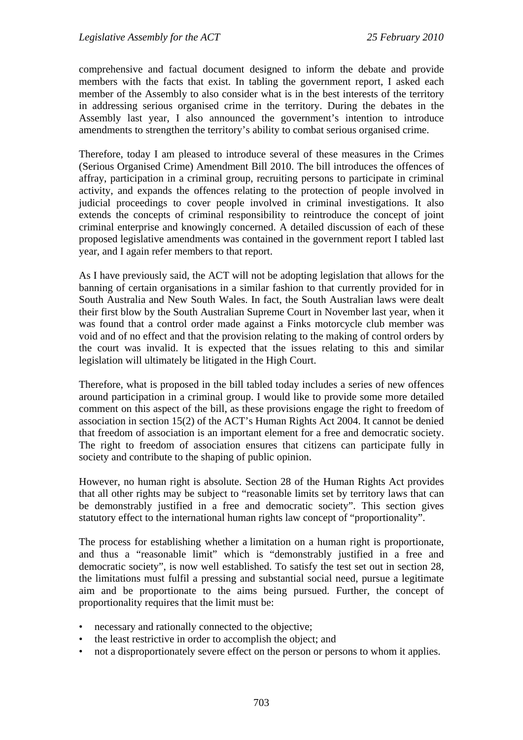comprehensive and factual document designed to inform the debate and provide members with the facts that exist. In tabling the government report, I asked each member of the Assembly to also consider what is in the best interests of the territory in addressing serious organised crime in the territory. During the debates in the Assembly last year, I also announced the government's intention to introduce amendments to strengthen the territory's ability to combat serious organised crime.

Therefore, today I am pleased to introduce several of these measures in the Crimes (Serious Organised Crime) Amendment Bill 2010. The bill introduces the offences of affray, participation in a criminal group, recruiting persons to participate in criminal activity, and expands the offences relating to the protection of people involved in judicial proceedings to cover people involved in criminal investigations. It also extends the concepts of criminal responsibility to reintroduce the concept of joint criminal enterprise and knowingly concerned. A detailed discussion of each of these proposed legislative amendments was contained in the government report I tabled last year, and I again refer members to that report.

As I have previously said, the ACT will not be adopting legislation that allows for the banning of certain organisations in a similar fashion to that currently provided for in South Australia and New South Wales. In fact, the South Australian laws were dealt their first blow by the South Australian Supreme Court in November last year, when it was found that a control order made against a Finks motorcycle club member was void and of no effect and that the provision relating to the making of control orders by the court was invalid. It is expected that the issues relating to this and similar legislation will ultimately be litigated in the High Court.

Therefore, what is proposed in the bill tabled today includes a series of new offences around participation in a criminal group. I would like to provide some more detailed comment on this aspect of the bill, as these provisions engage the right to freedom of association in section 15(2) of the ACT's Human Rights Act 2004. It cannot be denied that freedom of association is an important element for a free and democratic society. The right to freedom of association ensures that citizens can participate fully in society and contribute to the shaping of public opinion.

However, no human right is absolute. Section 28 of the Human Rights Act provides that all other rights may be subject to "reasonable limits set by territory laws that can be demonstrably justified in a free and democratic society". This section gives statutory effect to the international human rights law concept of "proportionality".

The process for establishing whether a limitation on a human right is proportionate, and thus a "reasonable limit" which is "demonstrably justified in a free and democratic society", is now well established. To satisfy the test set out in section 28, the limitations must fulfil a pressing and substantial social need, pursue a legitimate aim and be proportionate to the aims being pursued. Further, the concept of proportionality requires that the limit must be:

- necessary and rationally connected to the objective;
- the least restrictive in order to accomplish the object; and
- not a disproportionately severe effect on the person or persons to whom it applies.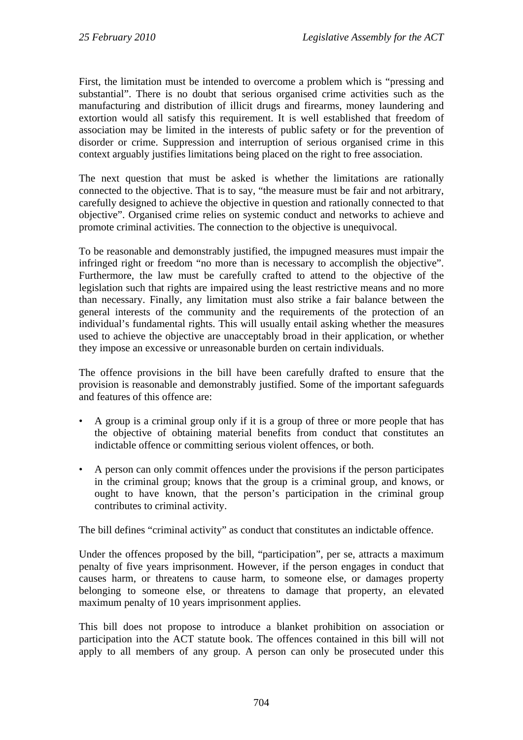First, the limitation must be intended to overcome a problem which is "pressing and substantial". There is no doubt that serious organised crime activities such as the manufacturing and distribution of illicit drugs and firearms, money laundering and extortion would all satisfy this requirement. It is well established that freedom of association may be limited in the interests of public safety or for the prevention of disorder or crime. Suppression and interruption of serious organised crime in this context arguably justifies limitations being placed on the right to free association.

The next question that must be asked is whether the limitations are rationally connected to the objective. That is to say, "the measure must be fair and not arbitrary, carefully designed to achieve the objective in question and rationally connected to that objective". Organised crime relies on systemic conduct and networks to achieve and promote criminal activities. The connection to the objective is unequivocal.

To be reasonable and demonstrably justified, the impugned measures must impair the infringed right or freedom "no more than is necessary to accomplish the objective". Furthermore, the law must be carefully crafted to attend to the objective of the legislation such that rights are impaired using the least restrictive means and no more than necessary. Finally, any limitation must also strike a fair balance between the general interests of the community and the requirements of the protection of an individual's fundamental rights. This will usually entail asking whether the measures used to achieve the objective are unacceptably broad in their application, or whether they impose an excessive or unreasonable burden on certain individuals.

The offence provisions in the bill have been carefully drafted to ensure that the provision is reasonable and demonstrably justified. Some of the important safeguards and features of this offence are:

- A group is a criminal group only if it is a group of three or more people that has the objective of obtaining material benefits from conduct that constitutes an indictable offence or committing serious violent offences, or both.
- A person can only commit offences under the provisions if the person participates in the criminal group; knows that the group is a criminal group, and knows, or ought to have known, that the person's participation in the criminal group contributes to criminal activity.

The bill defines "criminal activity" as conduct that constitutes an indictable offence.

Under the offences proposed by the bill, "participation", per se, attracts a maximum penalty of five years imprisonment. However, if the person engages in conduct that causes harm, or threatens to cause harm, to someone else, or damages property belonging to someone else, or threatens to damage that property, an elevated maximum penalty of 10 years imprisonment applies.

This bill does not propose to introduce a blanket prohibition on association or participation into the ACT statute book. The offences contained in this bill will not apply to all members of any group. A person can only be prosecuted under this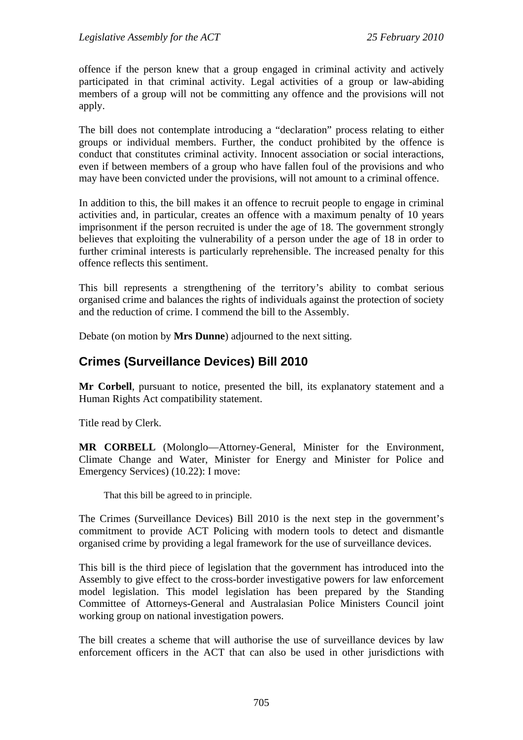offence if the person knew that a group engaged in criminal activity and actively participated in that criminal activity. Legal activities of a group or law-abiding members of a group will not be committing any offence and the provisions will not apply.

The bill does not contemplate introducing a "declaration" process relating to either groups or individual members. Further, the conduct prohibited by the offence is conduct that constitutes criminal activity. Innocent association or social interactions, even if between members of a group who have fallen foul of the provisions and who may have been convicted under the provisions, will not amount to a criminal offence.

In addition to this, the bill makes it an offence to recruit people to engage in criminal activities and, in particular, creates an offence with a maximum penalty of 10 years imprisonment if the person recruited is under the age of 18. The government strongly believes that exploiting the vulnerability of a person under the age of 18 in order to further criminal interests is particularly reprehensible. The increased penalty for this offence reflects this sentiment.

This bill represents a strengthening of the territory's ability to combat serious organised crime and balances the rights of individuals against the protection of society and the reduction of crime. I commend the bill to the Assembly.

Debate (on motion by **Mrs Dunne**) adjourned to the next sitting.

## <span id="page-8-0"></span>**Crimes (Surveillance Devices) Bill 2010**

**Mr Corbell**, pursuant to notice, presented the bill, its explanatory statement and a Human Rights Act compatibility statement.

Title read by Clerk.

**MR CORBELL** (Molonglo—Attorney-General, Minister for the Environment, Climate Change and Water, Minister for Energy and Minister for Police and Emergency Services) (10.22): I move:

That this bill be agreed to in principle.

The Crimes (Surveillance Devices) Bill 2010 is the next step in the government's commitment to provide ACT Policing with modern tools to detect and dismantle organised crime by providing a legal framework for the use of surveillance devices.

This bill is the third piece of legislation that the government has introduced into the Assembly to give effect to the cross-border investigative powers for law enforcement model legislation. This model legislation has been prepared by the Standing Committee of Attorneys-General and Australasian Police Ministers Council joint working group on national investigation powers.

The bill creates a scheme that will authorise the use of surveillance devices by law enforcement officers in the ACT that can also be used in other jurisdictions with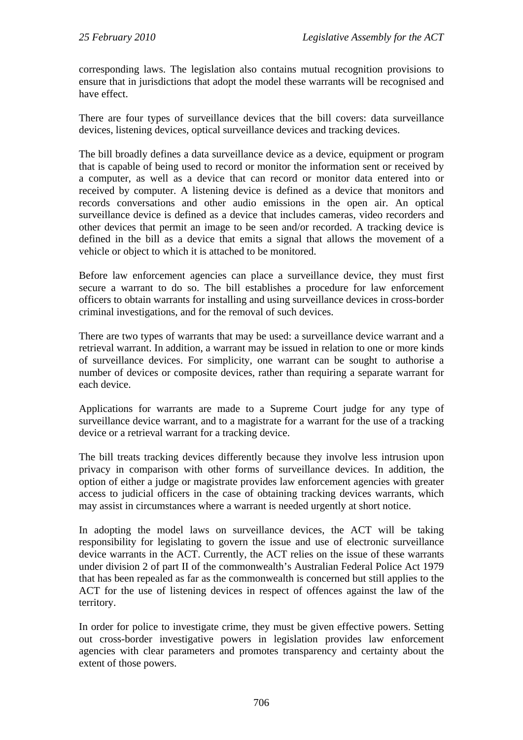corresponding laws. The legislation also contains mutual recognition provisions to ensure that in jurisdictions that adopt the model these warrants will be recognised and have effect.

There are four types of surveillance devices that the bill covers: data surveillance devices, listening devices, optical surveillance devices and tracking devices.

The bill broadly defines a data surveillance device as a device, equipment or program that is capable of being used to record or monitor the information sent or received by a computer, as well as a device that can record or monitor data entered into or received by computer. A listening device is defined as a device that monitors and records conversations and other audio emissions in the open air. An optical surveillance device is defined as a device that includes cameras, video recorders and other devices that permit an image to be seen and/or recorded. A tracking device is defined in the bill as a device that emits a signal that allows the movement of a vehicle or object to which it is attached to be monitored.

Before law enforcement agencies can place a surveillance device, they must first secure a warrant to do so. The bill establishes a procedure for law enforcement officers to obtain warrants for installing and using surveillance devices in cross-border criminal investigations, and for the removal of such devices.

There are two types of warrants that may be used: a surveillance device warrant and a retrieval warrant. In addition, a warrant may be issued in relation to one or more kinds of surveillance devices. For simplicity, one warrant can be sought to authorise a number of devices or composite devices, rather than requiring a separate warrant for each device.

Applications for warrants are made to a Supreme Court judge for any type of surveillance device warrant, and to a magistrate for a warrant for the use of a tracking device or a retrieval warrant for a tracking device.

The bill treats tracking devices differently because they involve less intrusion upon privacy in comparison with other forms of surveillance devices. In addition, the option of either a judge or magistrate provides law enforcement agencies with greater access to judicial officers in the case of obtaining tracking devices warrants, which may assist in circumstances where a warrant is needed urgently at short notice.

In adopting the model laws on surveillance devices, the ACT will be taking responsibility for legislating to govern the issue and use of electronic surveillance device warrants in the ACT. Currently, the ACT relies on the issue of these warrants under division 2 of part II of the commonwealth's Australian Federal Police Act 1979 that has been repealed as far as the commonwealth is concerned but still applies to the ACT for the use of listening devices in respect of offences against the law of the territory.

In order for police to investigate crime, they must be given effective powers. Setting out cross-border investigative powers in legislation provides law enforcement agencies with clear parameters and promotes transparency and certainty about the extent of those powers.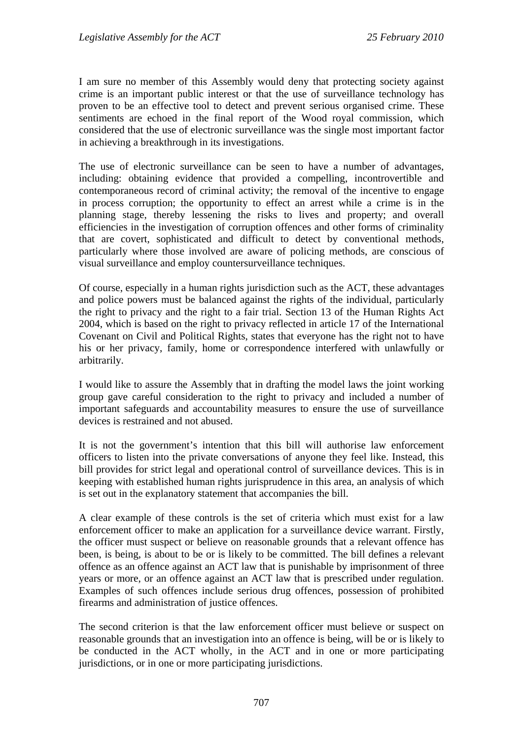I am sure no member of this Assembly would deny that protecting society against crime is an important public interest or that the use of surveillance technology has proven to be an effective tool to detect and prevent serious organised crime. These sentiments are echoed in the final report of the Wood royal commission, which considered that the use of electronic surveillance was the single most important factor in achieving a breakthrough in its investigations.

The use of electronic surveillance can be seen to have a number of advantages, including: obtaining evidence that provided a compelling, incontrovertible and contemporaneous record of criminal activity; the removal of the incentive to engage in process corruption; the opportunity to effect an arrest while a crime is in the planning stage, thereby lessening the risks to lives and property; and overall efficiencies in the investigation of corruption offences and other forms of criminality that are covert, sophisticated and difficult to detect by conventional methods, particularly where those involved are aware of policing methods, are conscious of visual surveillance and employ countersurveillance techniques.

Of course, especially in a human rights jurisdiction such as the ACT, these advantages and police powers must be balanced against the rights of the individual, particularly the right to privacy and the right to a fair trial. Section 13 of the Human Rights Act 2004, which is based on the right to privacy reflected in article 17 of the International Covenant on Civil and Political Rights, states that everyone has the right not to have his or her privacy, family, home or correspondence interfered with unlawfully or arbitrarily.

I would like to assure the Assembly that in drafting the model laws the joint working group gave careful consideration to the right to privacy and included a number of important safeguards and accountability measures to ensure the use of surveillance devices is restrained and not abused.

It is not the government's intention that this bill will authorise law enforcement officers to listen into the private conversations of anyone they feel like. Instead, this bill provides for strict legal and operational control of surveillance devices. This is in keeping with established human rights jurisprudence in this area, an analysis of which is set out in the explanatory statement that accompanies the bill.

A clear example of these controls is the set of criteria which must exist for a law enforcement officer to make an application for a surveillance device warrant. Firstly, the officer must suspect or believe on reasonable grounds that a relevant offence has been, is being, is about to be or is likely to be committed. The bill defines a relevant offence as an offence against an ACT law that is punishable by imprisonment of three years or more, or an offence against an ACT law that is prescribed under regulation. Examples of such offences include serious drug offences, possession of prohibited firearms and administration of justice offences.

The second criterion is that the law enforcement officer must believe or suspect on reasonable grounds that an investigation into an offence is being, will be or is likely to be conducted in the ACT wholly, in the ACT and in one or more participating jurisdictions, or in one or more participating jurisdictions.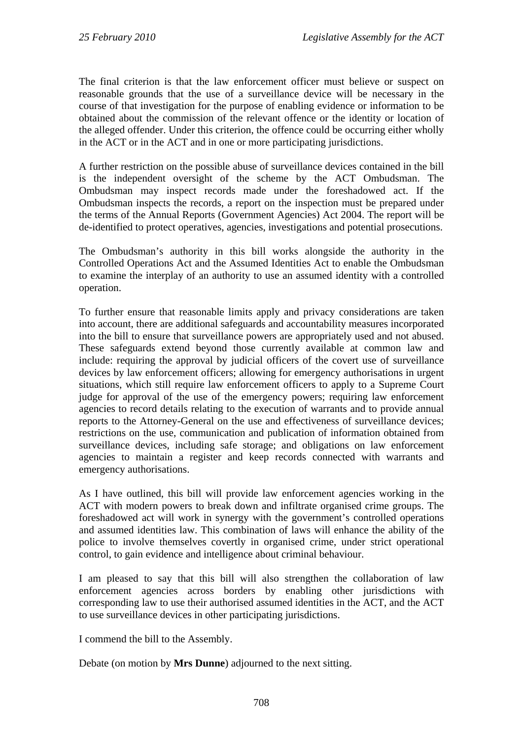The final criterion is that the law enforcement officer must believe or suspect on reasonable grounds that the use of a surveillance device will be necessary in the course of that investigation for the purpose of enabling evidence or information to be obtained about the commission of the relevant offence or the identity or location of the alleged offender. Under this criterion, the offence could be occurring either wholly in the ACT or in the ACT and in one or more participating jurisdictions.

A further restriction on the possible abuse of surveillance devices contained in the bill is the independent oversight of the scheme by the ACT Ombudsman. The Ombudsman may inspect records made under the foreshadowed act. If the Ombudsman inspects the records, a report on the inspection must be prepared under the terms of the Annual Reports (Government Agencies) Act 2004. The report will be de-identified to protect operatives, agencies, investigations and potential prosecutions.

The Ombudsman's authority in this bill works alongside the authority in the Controlled Operations Act and the Assumed Identities Act to enable the Ombudsman to examine the interplay of an authority to use an assumed identity with a controlled operation.

To further ensure that reasonable limits apply and privacy considerations are taken into account, there are additional safeguards and accountability measures incorporated into the bill to ensure that surveillance powers are appropriately used and not abused. These safeguards extend beyond those currently available at common law and include: requiring the approval by judicial officers of the covert use of surveillance devices by law enforcement officers; allowing for emergency authorisations in urgent situations, which still require law enforcement officers to apply to a Supreme Court judge for approval of the use of the emergency powers; requiring law enforcement agencies to record details relating to the execution of warrants and to provide annual reports to the Attorney-General on the use and effectiveness of surveillance devices; restrictions on the use, communication and publication of information obtained from surveillance devices, including safe storage; and obligations on law enforcement agencies to maintain a register and keep records connected with warrants and emergency authorisations.

As I have outlined, this bill will provide law enforcement agencies working in the ACT with modern powers to break down and infiltrate organised crime groups. The foreshadowed act will work in synergy with the government's controlled operations and assumed identities law. This combination of laws will enhance the ability of the police to involve themselves covertly in organised crime, under strict operational control, to gain evidence and intelligence about criminal behaviour.

I am pleased to say that this bill will also strengthen the collaboration of law enforcement agencies across borders by enabling other jurisdictions with corresponding law to use their authorised assumed identities in the ACT, and the ACT to use surveillance devices in other participating jurisdictions.

I commend the bill to the Assembly.

Debate (on motion by **Mrs Dunne**) adjourned to the next sitting.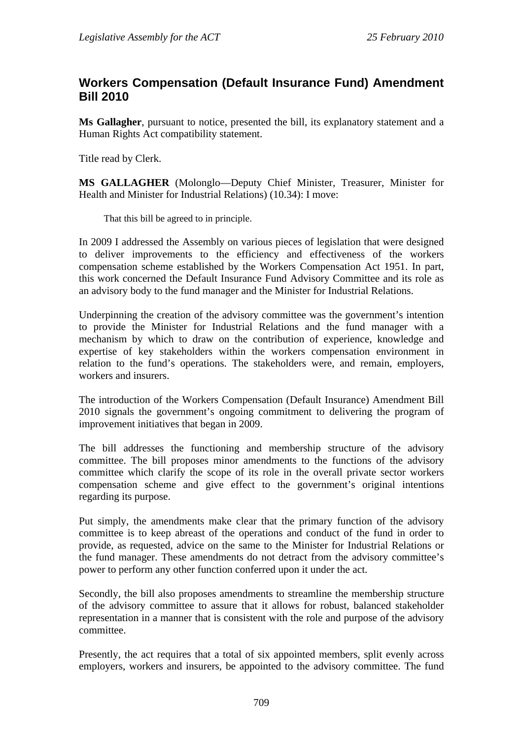## <span id="page-12-0"></span>**Workers Compensation (Default Insurance Fund) Amendment Bill 2010**

**Ms Gallagher**, pursuant to notice, presented the bill, its explanatory statement and a Human Rights Act compatibility statement.

Title read by Clerk.

**MS GALLAGHER** (Molonglo—Deputy Chief Minister, Treasurer, Minister for Health and Minister for Industrial Relations) (10.34): I move:

That this bill be agreed to in principle.

In 2009 I addressed the Assembly on various pieces of legislation that were designed to deliver improvements to the efficiency and effectiveness of the workers compensation scheme established by the Workers Compensation Act 1951. In part, this work concerned the Default Insurance Fund Advisory Committee and its role as an advisory body to the fund manager and the Minister for Industrial Relations.

Underpinning the creation of the advisory committee was the government's intention to provide the Minister for Industrial Relations and the fund manager with a mechanism by which to draw on the contribution of experience, knowledge and expertise of key stakeholders within the workers compensation environment in relation to the fund's operations. The stakeholders were, and remain, employers, workers and insurers.

The introduction of the Workers Compensation (Default Insurance) Amendment Bill 2010 signals the government's ongoing commitment to delivering the program of improvement initiatives that began in 2009.

The bill addresses the functioning and membership structure of the advisory committee. The bill proposes minor amendments to the functions of the advisory committee which clarify the scope of its role in the overall private sector workers compensation scheme and give effect to the government's original intentions regarding its purpose.

Put simply, the amendments make clear that the primary function of the advisory committee is to keep abreast of the operations and conduct of the fund in order to provide, as requested, advice on the same to the Minister for Industrial Relations or the fund manager. These amendments do not detract from the advisory committee's power to perform any other function conferred upon it under the act.

Secondly, the bill also proposes amendments to streamline the membership structure of the advisory committee to assure that it allows for robust, balanced stakeholder representation in a manner that is consistent with the role and purpose of the advisory committee.

Presently, the act requires that a total of six appointed members, split evenly across employers, workers and insurers, be appointed to the advisory committee. The fund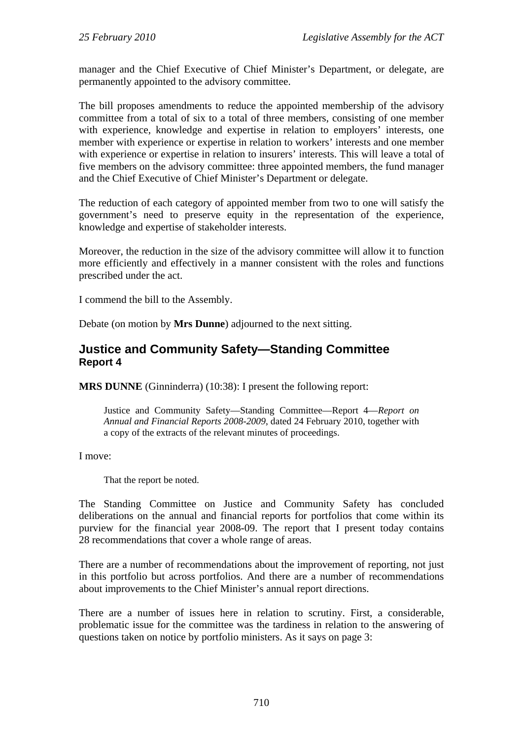manager and the Chief Executive of Chief Minister's Department, or delegate, are permanently appointed to the advisory committee.

The bill proposes amendments to reduce the appointed membership of the advisory committee from a total of six to a total of three members, consisting of one member with experience, knowledge and expertise in relation to employers' interests, one member with experience or expertise in relation to workers' interests and one member with experience or expertise in relation to insurers' interests. This will leave a total of five members on the advisory committee: three appointed members, the fund manager and the Chief Executive of Chief Minister's Department or delegate.

The reduction of each category of appointed member from two to one will satisfy the government's need to preserve equity in the representation of the experience, knowledge and expertise of stakeholder interests.

Moreover, the reduction in the size of the advisory committee will allow it to function more efficiently and effectively in a manner consistent with the roles and functions prescribed under the act.

I commend the bill to the Assembly.

Debate (on motion by **Mrs Dunne**) adjourned to the next sitting.

#### <span id="page-13-0"></span>**Justice and Community Safety—Standing Committee Report 4**

**MRS DUNNE** (Ginninderra) (10:38): I present the following report:

Justice and Community Safety—Standing Committee—Report 4—*Report on Annual and Financial Reports 2008-2009*, dated 24 February 2010, together with a copy of the extracts of the relevant minutes of proceedings.

I move:

That the report be noted.

The Standing Committee on Justice and Community Safety has concluded deliberations on the annual and financial reports for portfolios that come within its purview for the financial year 2008-09. The report that I present today contains 28 recommendations that cover a whole range of areas.

There are a number of recommendations about the improvement of reporting, not just in this portfolio but across portfolios. And there are a number of recommendations about improvements to the Chief Minister's annual report directions.

There are a number of issues here in relation to scrutiny. First, a considerable, problematic issue for the committee was the tardiness in relation to the answering of questions taken on notice by portfolio ministers. As it says on page 3: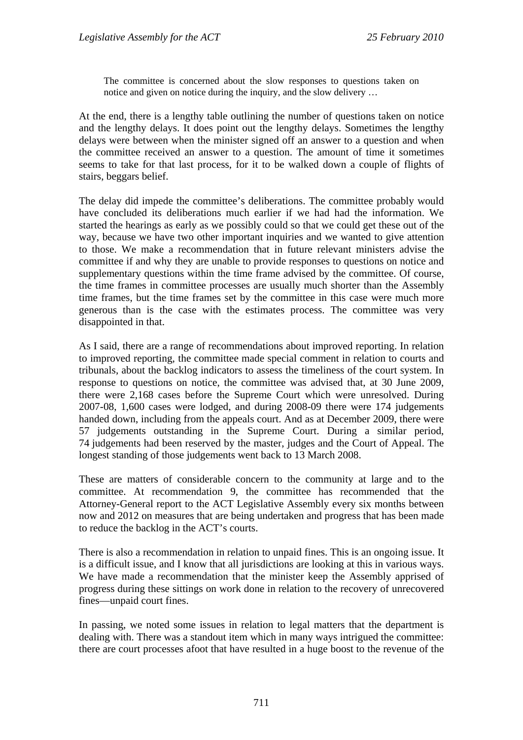The committee is concerned about the slow responses to questions taken on notice and given on notice during the inquiry, and the slow delivery …

At the end, there is a lengthy table outlining the number of questions taken on notice and the lengthy delays. It does point out the lengthy delays. Sometimes the lengthy delays were between when the minister signed off an answer to a question and when the committee received an answer to a question. The amount of time it sometimes seems to take for that last process, for it to be walked down a couple of flights of stairs, beggars belief.

The delay did impede the committee's deliberations. The committee probably would have concluded its deliberations much earlier if we had had the information. We started the hearings as early as we possibly could so that we could get these out of the way, because we have two other important inquiries and we wanted to give attention to those. We make a recommendation that in future relevant ministers advise the committee if and why they are unable to provide responses to questions on notice and supplementary questions within the time frame advised by the committee. Of course, the time frames in committee processes are usually much shorter than the Assembly time frames, but the time frames set by the committee in this case were much more generous than is the case with the estimates process. The committee was very disappointed in that.

As I said, there are a range of recommendations about improved reporting. In relation to improved reporting, the committee made special comment in relation to courts and tribunals, about the backlog indicators to assess the timeliness of the court system. In response to questions on notice, the committee was advised that, at 30 June 2009, there were 2,168 cases before the Supreme Court which were unresolved. During 2007-08, 1,600 cases were lodged, and during 2008-09 there were 174 judgements handed down, including from the appeals court. And as at December 2009, there were 57 judgements outstanding in the Supreme Court. During a similar period, 74 judgements had been reserved by the master, judges and the Court of Appeal. The longest standing of those judgements went back to 13 March 2008.

These are matters of considerable concern to the community at large and to the committee. At recommendation 9, the committee has recommended that the Attorney-General report to the ACT Legislative Assembly every six months between now and 2012 on measures that are being undertaken and progress that has been made to reduce the backlog in the ACT's courts.

There is also a recommendation in relation to unpaid fines. This is an ongoing issue. It is a difficult issue, and I know that all jurisdictions are looking at this in various ways. We have made a recommendation that the minister keep the Assembly apprised of progress during these sittings on work done in relation to the recovery of unrecovered fines—unpaid court fines.

In passing, we noted some issues in relation to legal matters that the department is dealing with. There was a standout item which in many ways intrigued the committee: there are court processes afoot that have resulted in a huge boost to the revenue of the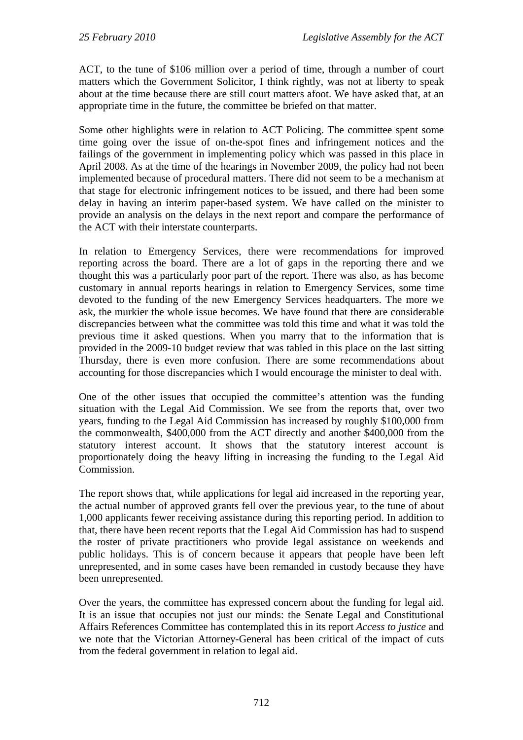ACT, to the tune of \$106 million over a period of time, through a number of court matters which the Government Solicitor, I think rightly, was not at liberty to speak about at the time because there are still court matters afoot. We have asked that, at an appropriate time in the future, the committee be briefed on that matter.

Some other highlights were in relation to ACT Policing. The committee spent some time going over the issue of on-the-spot fines and infringement notices and the failings of the government in implementing policy which was passed in this place in April 2008. As at the time of the hearings in November 2009, the policy had not been implemented because of procedural matters. There did not seem to be a mechanism at that stage for electronic infringement notices to be issued, and there had been some delay in having an interim paper-based system. We have called on the minister to provide an analysis on the delays in the next report and compare the performance of the ACT with their interstate counterparts.

In relation to Emergency Services, there were recommendations for improved reporting across the board. There are a lot of gaps in the reporting there and we thought this was a particularly poor part of the report. There was also, as has become customary in annual reports hearings in relation to Emergency Services, some time devoted to the funding of the new Emergency Services headquarters. The more we ask, the murkier the whole issue becomes. We have found that there are considerable discrepancies between what the committee was told this time and what it was told the previous time it asked questions. When you marry that to the information that is provided in the 2009-10 budget review that was tabled in this place on the last sitting Thursday, there is even more confusion. There are some recommendations about accounting for those discrepancies which I would encourage the minister to deal with.

One of the other issues that occupied the committee's attention was the funding situation with the Legal Aid Commission. We see from the reports that, over two years, funding to the Legal Aid Commission has increased by roughly \$100,000 from the commonwealth, \$400,000 from the ACT directly and another \$400,000 from the statutory interest account. It shows that the statutory interest account is proportionately doing the heavy lifting in increasing the funding to the Legal Aid Commission.

The report shows that, while applications for legal aid increased in the reporting year, the actual number of approved grants fell over the previous year, to the tune of about 1,000 applicants fewer receiving assistance during this reporting period. In addition to that, there have been recent reports that the Legal Aid Commission has had to suspend the roster of private practitioners who provide legal assistance on weekends and public holidays. This is of concern because it appears that people have been left unrepresented, and in some cases have been remanded in custody because they have been unrepresented.

Over the years, the committee has expressed concern about the funding for legal aid. It is an issue that occupies not just our minds: the Senate Legal and Constitutional Affairs References Committee has contemplated this in its report *Access to justice* and we note that the Victorian Attorney-General has been critical of the impact of cuts from the federal government in relation to legal aid.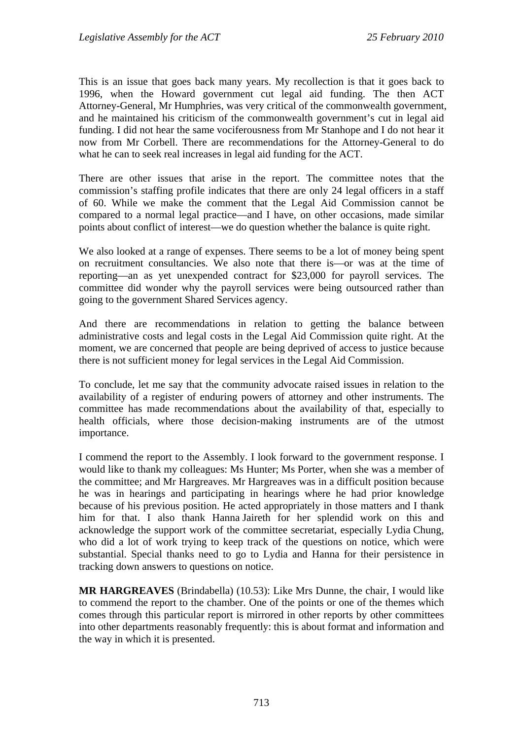This is an issue that goes back many years. My recollection is that it goes back to 1996, when the Howard government cut legal aid funding. The then ACT Attorney-General, Mr Humphries, was very critical of the commonwealth government, and he maintained his criticism of the commonwealth government's cut in legal aid funding. I did not hear the same vociferousness from Mr Stanhope and I do not hear it now from Mr Corbell. There are recommendations for the Attorney-General to do what he can to seek real increases in legal aid funding for the ACT.

There are other issues that arise in the report. The committee notes that the commission's staffing profile indicates that there are only 24 legal officers in a staff of 60. While we make the comment that the Legal Aid Commission cannot be compared to a normal legal practice—and I have, on other occasions, made similar points about conflict of interest—we do question whether the balance is quite right.

We also looked at a range of expenses. There seems to be a lot of money being spent on recruitment consultancies. We also note that there is—or was at the time of reporting—an as yet unexpended contract for \$23,000 for payroll services. The committee did wonder why the payroll services were being outsourced rather than going to the government Shared Services agency.

And there are recommendations in relation to getting the balance between administrative costs and legal costs in the Legal Aid Commission quite right. At the moment, we are concerned that people are being deprived of access to justice because there is not sufficient money for legal services in the Legal Aid Commission.

To conclude, let me say that the community advocate raised issues in relation to the availability of a register of enduring powers of attorney and other instruments. The committee has made recommendations about the availability of that, especially to health officials, where those decision-making instruments are of the utmost importance.

I commend the report to the Assembly. I look forward to the government response. I would like to thank my colleagues: Ms Hunter; Ms Porter, when she was a member of the committee; and Mr Hargreaves. Mr Hargreaves was in a difficult position because he was in hearings and participating in hearings where he had prior knowledge because of his previous position. He acted appropriately in those matters and I thank him for that. I also thank Hanna Jaireth for her splendid work on this and acknowledge the support work of the committee secretariat, especially Lydia Chung, who did a lot of work trying to keep track of the questions on notice, which were substantial. Special thanks need to go to Lydia and Hanna for their persistence in tracking down answers to questions on notice.

**MR HARGREAVES** (Brindabella) (10.53): Like Mrs Dunne, the chair, I would like to commend the report to the chamber. One of the points or one of the themes which comes through this particular report is mirrored in other reports by other committees into other departments reasonably frequently: this is about format and information and the way in which it is presented.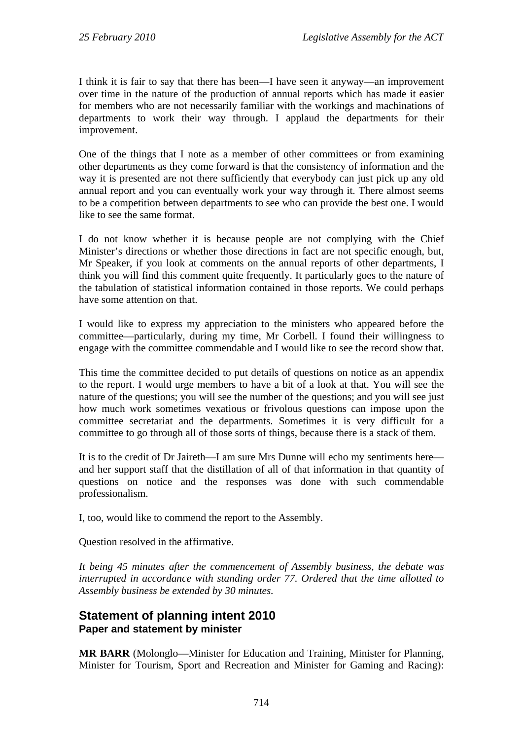I think it is fair to say that there has been—I have seen it anyway—an improvement over time in the nature of the production of annual reports which has made it easier for members who are not necessarily familiar with the workings and machinations of departments to work their way through. I applaud the departments for their improvement.

One of the things that I note as a member of other committees or from examining other departments as they come forward is that the consistency of information and the way it is presented are not there sufficiently that everybody can just pick up any old annual report and you can eventually work your way through it. There almost seems to be a competition between departments to see who can provide the best one. I would like to see the same format.

I do not know whether it is because people are not complying with the Chief Minister's directions or whether those directions in fact are not specific enough, but, Mr Speaker, if you look at comments on the annual reports of other departments, I think you will find this comment quite frequently. It particularly goes to the nature of the tabulation of statistical information contained in those reports. We could perhaps have some attention on that.

I would like to express my appreciation to the ministers who appeared before the committee—particularly, during my time, Mr Corbell. I found their willingness to engage with the committee commendable and I would like to see the record show that.

This time the committee decided to put details of questions on notice as an appendix to the report. I would urge members to have a bit of a look at that. You will see the nature of the questions; you will see the number of the questions; and you will see just how much work sometimes vexatious or frivolous questions can impose upon the committee secretariat and the departments. Sometimes it is very difficult for a committee to go through all of those sorts of things, because there is a stack of them.

It is to the credit of Dr Jaireth—I am sure Mrs Dunne will echo my sentiments here and her support staff that the distillation of all of that information in that quantity of questions on notice and the responses was done with such commendable professionalism.

I, too, would like to commend the report to the Assembly.

Question resolved in the affirmative.

*It being 45 minutes after the commencement of Assembly business, the debate was interrupted in accordance with standing order 77. Ordered that the time allotted to Assembly business be extended by 30 minutes.*

#### <span id="page-17-0"></span>**Statement of planning intent 2010 Paper and statement by minister**

**MR BARR** (Molonglo—Minister for Education and Training, Minister for Planning, Minister for Tourism, Sport and Recreation and Minister for Gaming and Racing):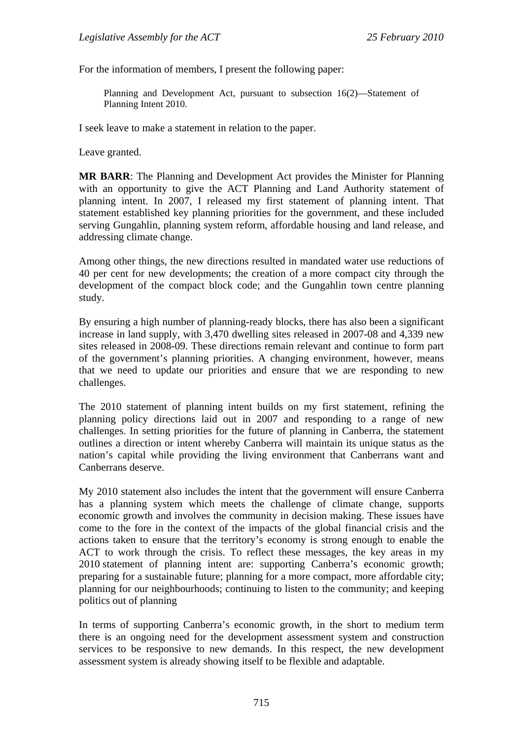For the information of members, I present the following paper:

Planning and Development Act, pursuant to subsection 16(2)—Statement of Planning Intent 2010.

I seek leave to make a statement in relation to the paper.

Leave granted.

**MR BARR**: The Planning and Development Act provides the Minister for Planning with an opportunity to give the ACT Planning and Land Authority statement of planning intent. In 2007, I released my first statement of planning intent. That statement established key planning priorities for the government, and these included serving Gungahlin, planning system reform, affordable housing and land release, and addressing climate change.

Among other things, the new directions resulted in mandated water use reductions of 40 per cent for new developments; the creation of a more compact city through the development of the compact block code; and the Gungahlin town centre planning study.

By ensuring a high number of planning-ready blocks, there has also been a significant increase in land supply, with 3,470 dwelling sites released in 2007-08 and 4,339 new sites released in 2008-09. These directions remain relevant and continue to form part of the government's planning priorities. A changing environment, however, means that we need to update our priorities and ensure that we are responding to new challenges.

The 2010 statement of planning intent builds on my first statement, refining the planning policy directions laid out in 2007 and responding to a range of new challenges. In setting priorities for the future of planning in Canberra, the statement outlines a direction or intent whereby Canberra will maintain its unique status as the nation's capital while providing the living environment that Canberrans want and Canberrans deserve.

My 2010 statement also includes the intent that the government will ensure Canberra has a planning system which meets the challenge of climate change, supports economic growth and involves the community in decision making. These issues have come to the fore in the context of the impacts of the global financial crisis and the actions taken to ensure that the territory's economy is strong enough to enable the ACT to work through the crisis. To reflect these messages, the key areas in my 2010 statement of planning intent are: supporting Canberra's economic growth; preparing for a sustainable future; planning for a more compact, more affordable city; planning for our neighbourhoods; continuing to listen to the community; and keeping politics out of planning

In terms of supporting Canberra's economic growth, in the short to medium term there is an ongoing need for the development assessment system and construction services to be responsive to new demands. In this respect, the new development assessment system is already showing itself to be flexible and adaptable.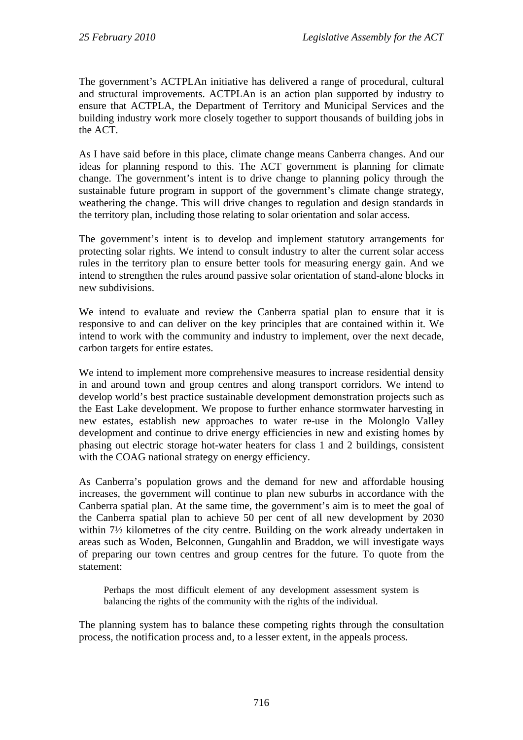The government's ACTPLAn initiative has delivered a range of procedural, cultural and structural improvements. ACTPLAn is an action plan supported by industry to ensure that ACTPLA, the Department of Territory and Municipal Services and the building industry work more closely together to support thousands of building jobs in the ACT.

As I have said before in this place, climate change means Canberra changes. And our ideas for planning respond to this. The ACT government is planning for climate change. The government's intent is to drive change to planning policy through the sustainable future program in support of the government's climate change strategy, weathering the change. This will drive changes to regulation and design standards in the territory plan, including those relating to solar orientation and solar access.

The government's intent is to develop and implement statutory arrangements for protecting solar rights. We intend to consult industry to alter the current solar access rules in the territory plan to ensure better tools for measuring energy gain. And we intend to strengthen the rules around passive solar orientation of stand-alone blocks in new subdivisions.

We intend to evaluate and review the Canberra spatial plan to ensure that it is responsive to and can deliver on the key principles that are contained within it. We intend to work with the community and industry to implement, over the next decade, carbon targets for entire estates.

We intend to implement more comprehensive measures to increase residential density in and around town and group centres and along transport corridors. We intend to develop world's best practice sustainable development demonstration projects such as the East Lake development. We propose to further enhance stormwater harvesting in new estates, establish new approaches to water re-use in the Molonglo Valley development and continue to drive energy efficiencies in new and existing homes by phasing out electric storage hot-water heaters for class 1 and 2 buildings, consistent with the COAG national strategy on energy efficiency.

As Canberra's population grows and the demand for new and affordable housing increases, the government will continue to plan new suburbs in accordance with the Canberra spatial plan. At the same time, the government's aim is to meet the goal of the Canberra spatial plan to achieve 50 per cent of all new development by 2030 within 7½ kilometres of the city centre. Building on the work already undertaken in areas such as Woden, Belconnen, Gungahlin and Braddon, we will investigate ways of preparing our town centres and group centres for the future. To quote from the statement:

Perhaps the most difficult element of any development assessment system is balancing the rights of the community with the rights of the individual.

The planning system has to balance these competing rights through the consultation process, the notification process and, to a lesser extent, in the appeals process.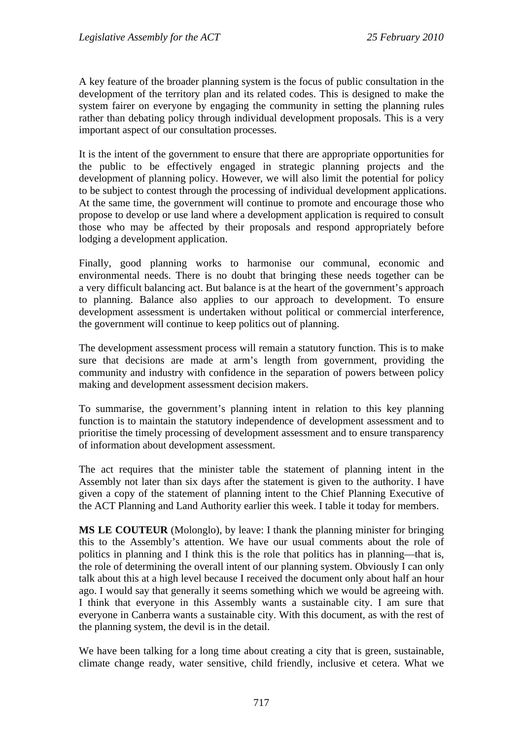A key feature of the broader planning system is the focus of public consultation in the development of the territory plan and its related codes. This is designed to make the system fairer on everyone by engaging the community in setting the planning rules rather than debating policy through individual development proposals. This is a very important aspect of our consultation processes.

It is the intent of the government to ensure that there are appropriate opportunities for the public to be effectively engaged in strategic planning projects and the development of planning policy. However, we will also limit the potential for policy to be subject to contest through the processing of individual development applications. At the same time, the government will continue to promote and encourage those who propose to develop or use land where a development application is required to consult those who may be affected by their proposals and respond appropriately before lodging a development application.

Finally, good planning works to harmonise our communal, economic and environmental needs. There is no doubt that bringing these needs together can be a very difficult balancing act. But balance is at the heart of the government's approach to planning. Balance also applies to our approach to development. To ensure development assessment is undertaken without political or commercial interference, the government will continue to keep politics out of planning.

The development assessment process will remain a statutory function. This is to make sure that decisions are made at arm's length from government, providing the community and industry with confidence in the separation of powers between policy making and development assessment decision makers.

To summarise, the government's planning intent in relation to this key planning function is to maintain the statutory independence of development assessment and to prioritise the timely processing of development assessment and to ensure transparency of information about development assessment.

The act requires that the minister table the statement of planning intent in the Assembly not later than six days after the statement is given to the authority. I have given a copy of the statement of planning intent to the Chief Planning Executive of the ACT Planning and Land Authority earlier this week. I table it today for members.

**MS LE COUTEUR** (Molonglo), by leave: I thank the planning minister for bringing this to the Assembly's attention. We have our usual comments about the role of politics in planning and I think this is the role that politics has in planning—that is, the role of determining the overall intent of our planning system. Obviously I can only talk about this at a high level because I received the document only about half an hour ago. I would say that generally it seems something which we would be agreeing with. I think that everyone in this Assembly wants a sustainable city. I am sure that everyone in Canberra wants a sustainable city. With this document, as with the rest of the planning system, the devil is in the detail.

We have been talking for a long time about creating a city that is green, sustainable, climate change ready, water sensitive, child friendly, inclusive et cetera. What we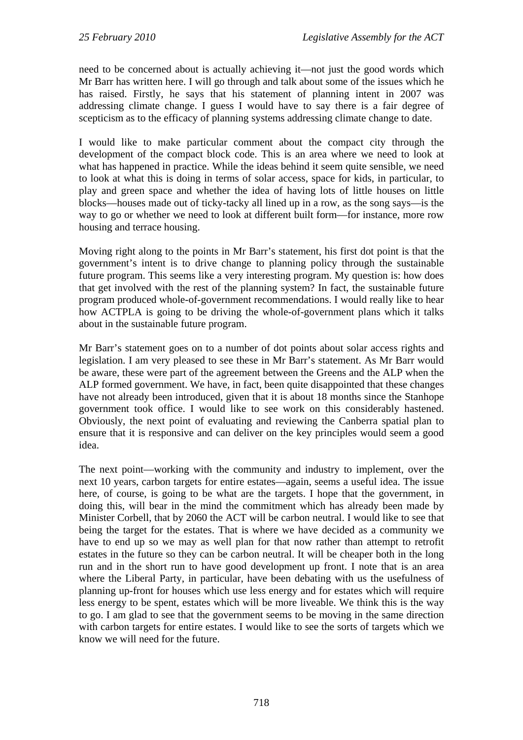need to be concerned about is actually achieving it—not just the good words which Mr Barr has written here. I will go through and talk about some of the issues which he has raised. Firstly, he says that his statement of planning intent in 2007 was addressing climate change. I guess I would have to say there is a fair degree of scepticism as to the efficacy of planning systems addressing climate change to date.

I would like to make particular comment about the compact city through the development of the compact block code. This is an area where we need to look at what has happened in practice. While the ideas behind it seem quite sensible, we need to look at what this is doing in terms of solar access, space for kids, in particular, to play and green space and whether the idea of having lots of little houses on little blocks—houses made out of ticky-tacky all lined up in a row, as the song says—is the way to go or whether we need to look at different built form—for instance, more row housing and terrace housing.

Moving right along to the points in Mr Barr's statement, his first dot point is that the government's intent is to drive change to planning policy through the sustainable future program. This seems like a very interesting program. My question is: how does that get involved with the rest of the planning system? In fact, the sustainable future program produced whole-of-government recommendations. I would really like to hear how ACTPLA is going to be driving the whole-of-government plans which it talks about in the sustainable future program.

Mr Barr's statement goes on to a number of dot points about solar access rights and legislation. I am very pleased to see these in Mr Barr's statement. As Mr Barr would be aware, these were part of the agreement between the Greens and the ALP when the ALP formed government. We have, in fact, been quite disappointed that these changes have not already been introduced, given that it is about 18 months since the Stanhope government took office. I would like to see work on this considerably hastened. Obviously, the next point of evaluating and reviewing the Canberra spatial plan to ensure that it is responsive and can deliver on the key principles would seem a good idea.

The next point—working with the community and industry to implement, over the next 10 years, carbon targets for entire estates—again, seems a useful idea. The issue here, of course, is going to be what are the targets. I hope that the government, in doing this, will bear in the mind the commitment which has already been made by Minister Corbell, that by 2060 the ACT will be carbon neutral. I would like to see that being the target for the estates. That is where we have decided as a community we have to end up so we may as well plan for that now rather than attempt to retrofit estates in the future so they can be carbon neutral. It will be cheaper both in the long run and in the short run to have good development up front. I note that is an area where the Liberal Party, in particular, have been debating with us the usefulness of planning up-front for houses which use less energy and for estates which will require less energy to be spent, estates which will be more liveable. We think this is the way to go. I am glad to see that the government seems to be moving in the same direction with carbon targets for entire estates. I would like to see the sorts of targets which we know we will need for the future.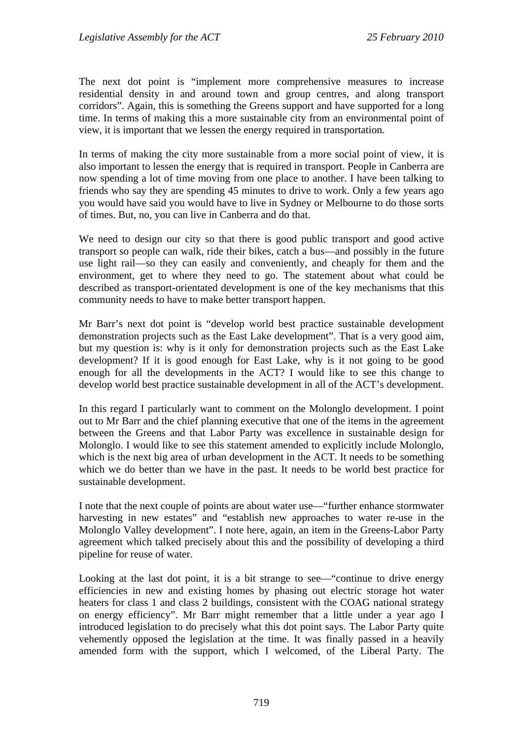The next dot point is "implement more comprehensive measures to increase residential density in and around town and group centres, and along transport corridors". Again, this is something the Greens support and have supported for a long time. In terms of making this a more sustainable city from an environmental point of view, it is important that we lessen the energy required in transportation.

In terms of making the city more sustainable from a more social point of view, it is also important to lessen the energy that is required in transport. People in Canberra are now spending a lot of time moving from one place to another. I have been talking to friends who say they are spending 45 minutes to drive to work. Only a few years ago you would have said you would have to live in Sydney or Melbourne to do those sorts of times. But, no, you can live in Canberra and do that.

We need to design our city so that there is good public transport and good active transport so people can walk, ride their bikes, catch a bus—and possibly in the future use light rail—so they can easily and conveniently, and cheaply for them and the environment, get to where they need to go. The statement about what could be described as transport-orientated development is one of the key mechanisms that this community needs to have to make better transport happen.

Mr Barr's next dot point is "develop world best practice sustainable development demonstration projects such as the East Lake development". That is a very good aim, but my question is: why is it only for demonstration projects such as the East Lake development? If it is good enough for East Lake, why is it not going to be good enough for all the developments in the ACT? I would like to see this change to develop world best practice sustainable development in all of the ACT's development.

In this regard I particularly want to comment on the Molonglo development. I point out to Mr Barr and the chief planning executive that one of the items in the agreement between the Greens and that Labor Party was excellence in sustainable design for Molonglo. I would like to see this statement amended to explicitly include Molonglo, which is the next big area of urban development in the ACT. It needs to be something which we do better than we have in the past. It needs to be world best practice for sustainable development.

I note that the next couple of points are about water use—"further enhance stormwater harvesting in new estates" and "establish new approaches to water re-use in the Molonglo Valley development". I note here, again, an item in the Greens-Labor Party agreement which talked precisely about this and the possibility of developing a third pipeline for reuse of water.

Looking at the last dot point, it is a bit strange to see—"continue to drive energy efficiencies in new and existing homes by phasing out electric storage hot water heaters for class 1 and class 2 buildings, consistent with the COAG national strategy on energy efficiency". Mr Barr might remember that a little under a year ago I introduced legislation to do precisely what this dot point says. The Labor Party quite vehemently opposed the legislation at the time. It was finally passed in a heavily amended form with the support, which I welcomed, of the Liberal Party. The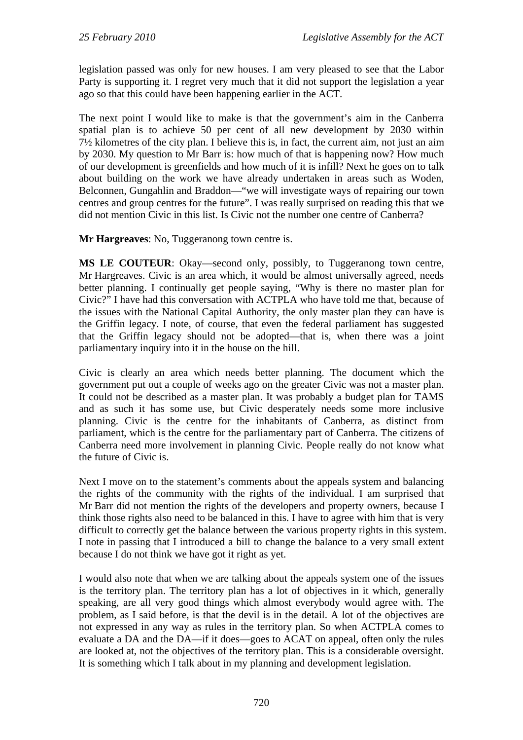legislation passed was only for new houses. I am very pleased to see that the Labor Party is supporting it. I regret very much that it did not support the legislation a year ago so that this could have been happening earlier in the ACT.

The next point I would like to make is that the government's aim in the Canberra spatial plan is to achieve 50 per cent of all new development by 2030 within 7½ kilometres of the city plan. I believe this is, in fact, the current aim, not just an aim by 2030. My question to Mr Barr is: how much of that is happening now? How much of our development is greenfields and how much of it is infill? Next he goes on to talk about building on the work we have already undertaken in areas such as Woden, Belconnen, Gungahlin and Braddon—"we will investigate ways of repairing our town centres and group centres for the future". I was really surprised on reading this that we did not mention Civic in this list. Is Civic not the number one centre of Canberra?

**Mr Hargreaves**: No, Tuggeranong town centre is.

**MS LE COUTEUR**: Okay—second only, possibly, to Tuggeranong town centre, Mr Hargreaves. Civic is an area which, it would be almost universally agreed, needs better planning. I continually get people saying, "Why is there no master plan for Civic?" I have had this conversation with ACTPLA who have told me that, because of the issues with the National Capital Authority, the only master plan they can have is the Griffin legacy. I note, of course, that even the federal parliament has suggested that the Griffin legacy should not be adopted—that is, when there was a joint parliamentary inquiry into it in the house on the hill.

Civic is clearly an area which needs better planning. The document which the government put out a couple of weeks ago on the greater Civic was not a master plan. It could not be described as a master plan. It was probably a budget plan for TAMS and as such it has some use, but Civic desperately needs some more inclusive planning. Civic is the centre for the inhabitants of Canberra, as distinct from parliament, which is the centre for the parliamentary part of Canberra. The citizens of Canberra need more involvement in planning Civic. People really do not know what the future of Civic is.

Next I move on to the statement's comments about the appeals system and balancing the rights of the community with the rights of the individual. I am surprised that Mr Barr did not mention the rights of the developers and property owners, because I think those rights also need to be balanced in this. I have to agree with him that is very difficult to correctly get the balance between the various property rights in this system. I note in passing that I introduced a bill to change the balance to a very small extent because I do not think we have got it right as yet.

I would also note that when we are talking about the appeals system one of the issues is the territory plan. The territory plan has a lot of objectives in it which, generally speaking, are all very good things which almost everybody would agree with. The problem, as I said before, is that the devil is in the detail. A lot of the objectives are not expressed in any way as rules in the territory plan. So when ACTPLA comes to evaluate a DA and the DA—if it does—goes to ACAT on appeal, often only the rules are looked at, not the objectives of the territory plan. This is a considerable oversight. It is something which I talk about in my planning and development legislation.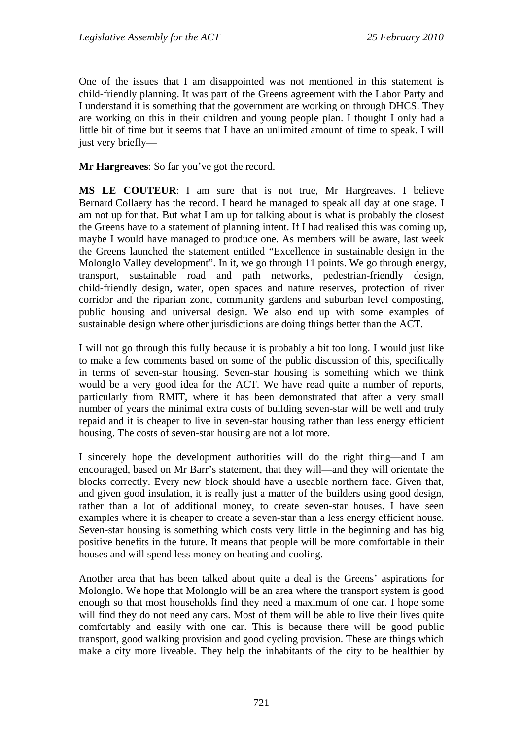One of the issues that I am disappointed was not mentioned in this statement is child-friendly planning. It was part of the Greens agreement with the Labor Party and I understand it is something that the government are working on through DHCS. They are working on this in their children and young people plan. I thought I only had a little bit of time but it seems that I have an unlimited amount of time to speak. I will just very briefly—

**Mr Hargreaves**: So far you've got the record.

**MS LE COUTEUR**: I am sure that is not true, Mr Hargreaves. I believe Bernard Collaery has the record. I heard he managed to speak all day at one stage. I am not up for that. But what I am up for talking about is what is probably the closest the Greens have to a statement of planning intent. If I had realised this was coming up, maybe I would have managed to produce one. As members will be aware, last week the Greens launched the statement entitled "Excellence in sustainable design in the Molonglo Valley development". In it, we go through 11 points. We go through energy, transport, sustainable road and path networks, pedestrian-friendly design, child-friendly design, water, open spaces and nature reserves, protection of river corridor and the riparian zone, community gardens and suburban level composting, public housing and universal design. We also end up with some examples of sustainable design where other jurisdictions are doing things better than the ACT.

I will not go through this fully because it is probably a bit too long. I would just like to make a few comments based on some of the public discussion of this, specifically in terms of seven-star housing. Seven-star housing is something which we think would be a very good idea for the ACT. We have read quite a number of reports, particularly from RMIT, where it has been demonstrated that after a very small number of years the minimal extra costs of building seven-star will be well and truly repaid and it is cheaper to live in seven-star housing rather than less energy efficient housing. The costs of seven-star housing are not a lot more.

I sincerely hope the development authorities will do the right thing—and I am encouraged, based on Mr Barr's statement, that they will—and they will orientate the blocks correctly. Every new block should have a useable northern face. Given that, and given good insulation, it is really just a matter of the builders using good design, rather than a lot of additional money, to create seven-star houses. I have seen examples where it is cheaper to create a seven-star than a less energy efficient house. Seven-star housing is something which costs very little in the beginning and has big positive benefits in the future. It means that people will be more comfortable in their houses and will spend less money on heating and cooling.

Another area that has been talked about quite a deal is the Greens' aspirations for Molonglo. We hope that Molonglo will be an area where the transport system is good enough so that most households find they need a maximum of one car. I hope some will find they do not need any cars. Most of them will be able to live their lives quite comfortably and easily with one car. This is because there will be good public transport, good walking provision and good cycling provision. These are things which make a city more liveable. They help the inhabitants of the city to be healthier by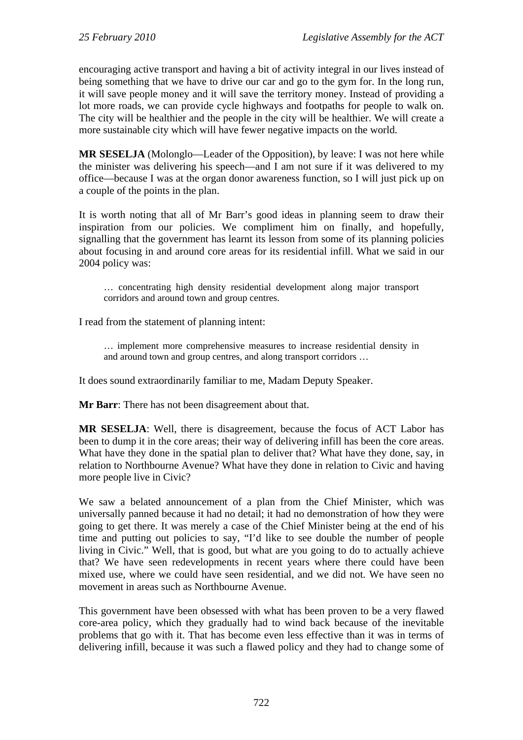encouraging active transport and having a bit of activity integral in our lives instead of being something that we have to drive our car and go to the gym for. In the long run, it will save people money and it will save the territory money. Instead of providing a lot more roads, we can provide cycle highways and footpaths for people to walk on. The city will be healthier and the people in the city will be healthier. We will create a more sustainable city which will have fewer negative impacts on the world.

**MR SESELJA** (Molonglo—Leader of the Opposition), by leave: I was not here while the minister was delivering his speech—and I am not sure if it was delivered to my office—because I was at the organ donor awareness function, so I will just pick up on a couple of the points in the plan.

It is worth noting that all of Mr Barr's good ideas in planning seem to draw their inspiration from our policies. We compliment him on finally, and hopefully, signalling that the government has learnt its lesson from some of its planning policies about focusing in and around core areas for its residential infill. What we said in our 2004 policy was:

… concentrating high density residential development along major transport corridors and around town and group centres.

I read from the statement of planning intent:

… implement more comprehensive measures to increase residential density in and around town and group centres, and along transport corridors …

It does sound extraordinarily familiar to me, Madam Deputy Speaker.

**Mr Barr**: There has not been disagreement about that.

**MR SESELJA**: Well, there is disagreement, because the focus of ACT Labor has been to dump it in the core areas; their way of delivering infill has been the core areas. What have they done in the spatial plan to deliver that? What have they done, say, in relation to Northbourne Avenue? What have they done in relation to Civic and having more people live in Civic?

We saw a belated announcement of a plan from the Chief Minister, which was universally panned because it had no detail; it had no demonstration of how they were going to get there. It was merely a case of the Chief Minister being at the end of his time and putting out policies to say, "I'd like to see double the number of people living in Civic." Well, that is good, but what are you going to do to actually achieve that? We have seen redevelopments in recent years where there could have been mixed use, where we could have seen residential, and we did not. We have seen no movement in areas such as Northbourne Avenue.

This government have been obsessed with what has been proven to be a very flawed core-area policy, which they gradually had to wind back because of the inevitable problems that go with it. That has become even less effective than it was in terms of delivering infill, because it was such a flawed policy and they had to change some of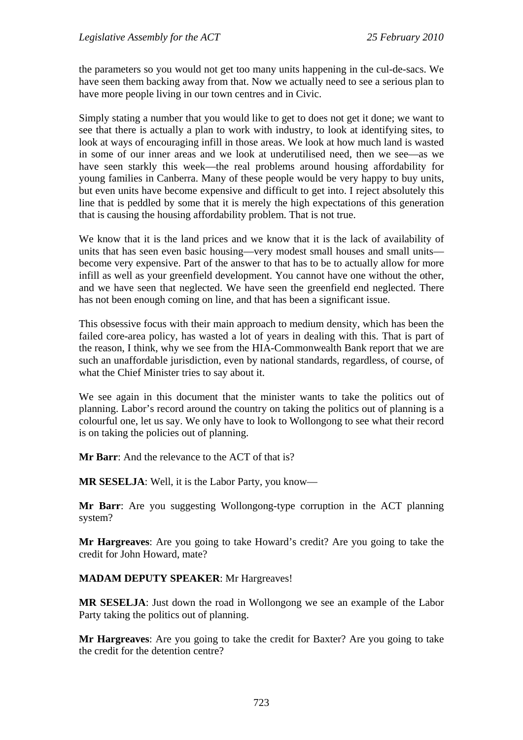the parameters so you would not get too many units happening in the cul-de-sacs. We have seen them backing away from that. Now we actually need to see a serious plan to have more people living in our town centres and in Civic.

Simply stating a number that you would like to get to does not get it done; we want to see that there is actually a plan to work with industry, to look at identifying sites, to look at ways of encouraging infill in those areas. We look at how much land is wasted in some of our inner areas and we look at underutilised need, then we see—as we have seen starkly this week—the real problems around housing affordability for young families in Canberra. Many of these people would be very happy to buy units, but even units have become expensive and difficult to get into. I reject absolutely this line that is peddled by some that it is merely the high expectations of this generation that is causing the housing affordability problem. That is not true.

We know that it is the land prices and we know that it is the lack of availability of units that has seen even basic housing—very modest small houses and small units become very expensive. Part of the answer to that has to be to actually allow for more infill as well as your greenfield development. You cannot have one without the other, and we have seen that neglected. We have seen the greenfield end neglected. There has not been enough coming on line, and that has been a significant issue.

This obsessive focus with their main approach to medium density, which has been the failed core-area policy, has wasted a lot of years in dealing with this. That is part of the reason, I think, why we see from the HIA-Commonwealth Bank report that we are such an unaffordable jurisdiction, even by national standards, regardless, of course, of what the Chief Minister tries to say about it.

We see again in this document that the minister wants to take the politics out of planning. Labor's record around the country on taking the politics out of planning is a colourful one, let us say. We only have to look to Wollongong to see what their record is on taking the policies out of planning.

**Mr Barr**: And the relevance to the ACT of that is?

**MR SESELJA**: Well, it is the Labor Party, you know—

**Mr Barr**: Are you suggesting Wollongong-type corruption in the ACT planning system?

**Mr Hargreaves**: Are you going to take Howard's credit? Are you going to take the credit for John Howard, mate?

#### **MADAM DEPUTY SPEAKER**: Mr Hargreaves!

**MR SESELJA**: Just down the road in Wollongong we see an example of the Labor Party taking the politics out of planning.

**Mr Hargreaves**: Are you going to take the credit for Baxter? Are you going to take the credit for the detention centre?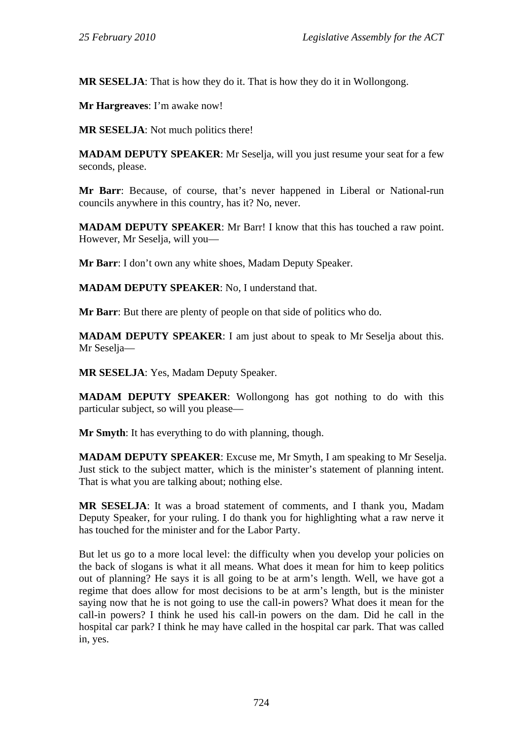**MR SESELJA**: That is how they do it. That is how they do it in Wollongong.

**Mr Hargreaves**: I'm awake now!

**MR SESELJA**: Not much politics there!

**MADAM DEPUTY SPEAKER**: Mr Seselja, will you just resume your seat for a few seconds, please.

**Mr Barr**: Because, of course, that's never happened in Liberal or National-run councils anywhere in this country, has it? No, never.

**MADAM DEPUTY SPEAKER**: Mr Barr! I know that this has touched a raw point. However, Mr Seselja, will you—

**Mr Barr**: I don't own any white shoes, Madam Deputy Speaker.

**MADAM DEPUTY SPEAKER**: No, I understand that.

**Mr Barr**: But there are plenty of people on that side of politics who do.

**MADAM DEPUTY SPEAKER**: I am just about to speak to Mr Seselja about this. Mr Seselja—

**MR SESELJA**: Yes, Madam Deputy Speaker.

**MADAM DEPUTY SPEAKER**: Wollongong has got nothing to do with this particular subject, so will you please—

**Mr Smyth**: It has everything to do with planning, though.

**MADAM DEPUTY SPEAKER**: Excuse me, Mr Smyth, I am speaking to Mr Seselja. Just stick to the subject matter, which is the minister's statement of planning intent. That is what you are talking about; nothing else.

**MR SESELJA**: It was a broad statement of comments, and I thank you, Madam Deputy Speaker, for your ruling. I do thank you for highlighting what a raw nerve it has touched for the minister and for the Labor Party.

But let us go to a more local level: the difficulty when you develop your policies on the back of slogans is what it all means. What does it mean for him to keep politics out of planning? He says it is all going to be at arm's length. Well, we have got a regime that does allow for most decisions to be at arm's length, but is the minister saying now that he is not going to use the call-in powers? What does it mean for the call-in powers? I think he used his call-in powers on the dam. Did he call in the hospital car park? I think he may have called in the hospital car park. That was called in, yes.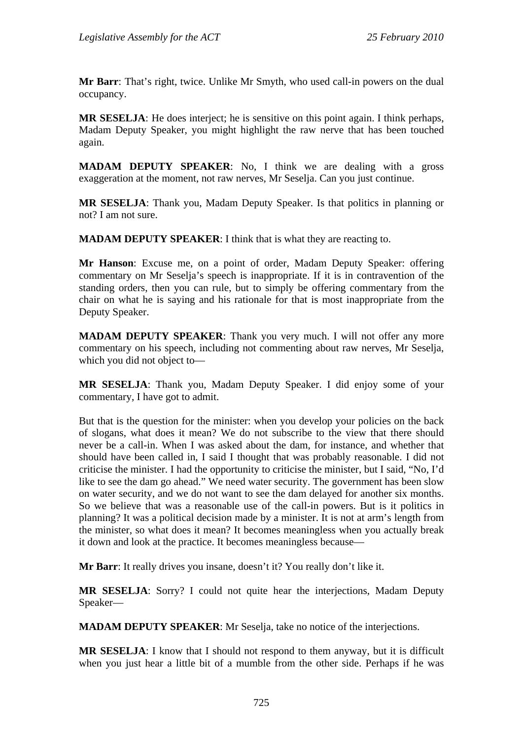**Mr Barr**: That's right, twice. Unlike Mr Smyth, who used call-in powers on the dual occupancy.

**MR SESELJA**: He does interject; he is sensitive on this point again. I think perhaps, Madam Deputy Speaker, you might highlight the raw nerve that has been touched again.

**MADAM DEPUTY SPEAKER**: No, I think we are dealing with a gross exaggeration at the moment, not raw nerves, Mr Seselja. Can you just continue.

**MR SESELJA**: Thank you, Madam Deputy Speaker. Is that politics in planning or not? I am not sure.

**MADAM DEPUTY SPEAKER**: I think that is what they are reacting to.

**Mr Hanson**: Excuse me, on a point of order, Madam Deputy Speaker: offering commentary on Mr Seselja's speech is inappropriate. If it is in contravention of the standing orders, then you can rule, but to simply be offering commentary from the chair on what he is saying and his rationale for that is most inappropriate from the Deputy Speaker.

**MADAM DEPUTY SPEAKER**: Thank you very much. I will not offer any more commentary on his speech, including not commenting about raw nerves, Mr Seselja, which you did not object to—

**MR SESELJA**: Thank you, Madam Deputy Speaker. I did enjoy some of your commentary, I have got to admit.

But that is the question for the minister: when you develop your policies on the back of slogans, what does it mean? We do not subscribe to the view that there should never be a call-in. When I was asked about the dam, for instance, and whether that should have been called in, I said I thought that was probably reasonable. I did not criticise the minister. I had the opportunity to criticise the minister, but I said, "No, I'd like to see the dam go ahead." We need water security. The government has been slow on water security, and we do not want to see the dam delayed for another six months. So we believe that was a reasonable use of the call-in powers. But is it politics in planning? It was a political decision made by a minister. It is not at arm's length from the minister, so what does it mean? It becomes meaningless when you actually break it down and look at the practice. It becomes meaningless because—

**Mr Barr**: It really drives you insane, doesn't it? You really don't like it.

**MR SESELJA**: Sorry? I could not quite hear the interjections, Madam Deputy Speaker—

**MADAM DEPUTY SPEAKER**: Mr Seselja, take no notice of the interjections.

**MR SESELJA**: I know that I should not respond to them anyway, but it is difficult when you just hear a little bit of a mumble from the other side. Perhaps if he was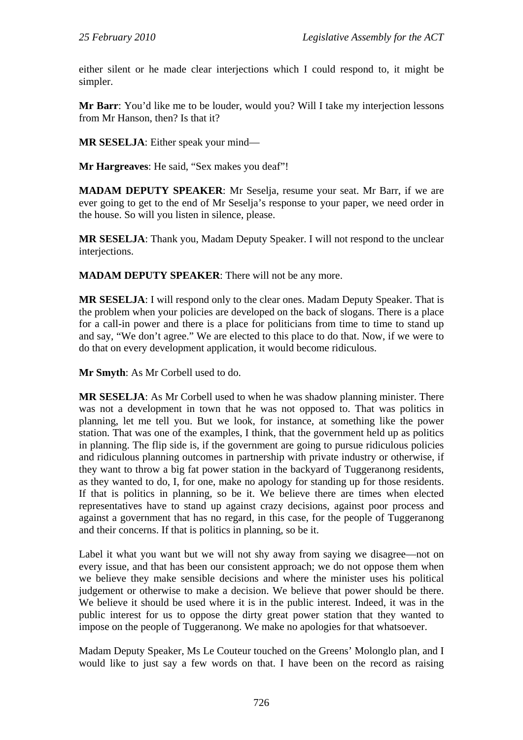either silent or he made clear interjections which I could respond to, it might be simpler.

**Mr Barr**: You'd like me to be louder, would you? Will I take my interjection lessons from Mr Hanson, then? Is that it?

**MR SESELJA**: Either speak your mind—

**Mr Hargreaves**: He said, "Sex makes you deaf"!

**MADAM DEPUTY SPEAKER**: Mr Seselja, resume your seat. Mr Barr, if we are ever going to get to the end of Mr Seselja's response to your paper, we need order in the house. So will you listen in silence, please.

**MR SESELJA**: Thank you, Madam Deputy Speaker. I will not respond to the unclear interjections.

**MADAM DEPUTY SPEAKER**: There will not be any more.

**MR SESELJA**: I will respond only to the clear ones. Madam Deputy Speaker. That is the problem when your policies are developed on the back of slogans. There is a place for a call-in power and there is a place for politicians from time to time to stand up and say, "We don't agree." We are elected to this place to do that. Now, if we were to do that on every development application, it would become ridiculous.

**Mr Smyth**: As Mr Corbell used to do.

**MR SESELJA**: As Mr Corbell used to when he was shadow planning minister. There was not a development in town that he was not opposed to. That was politics in planning, let me tell you. But we look, for instance, at something like the power station. That was one of the examples, I think, that the government held up as politics in planning. The flip side is, if the government are going to pursue ridiculous policies and ridiculous planning outcomes in partnership with private industry or otherwise, if they want to throw a big fat power station in the backyard of Tuggeranong residents, as they wanted to do, I, for one, make no apology for standing up for those residents. If that is politics in planning, so be it. We believe there are times when elected representatives have to stand up against crazy decisions, against poor process and against a government that has no regard, in this case, for the people of Tuggeranong and their concerns. If that is politics in planning, so be it.

Label it what you want but we will not shy away from saying we disagree—not on every issue, and that has been our consistent approach; we do not oppose them when we believe they make sensible decisions and where the minister uses his political judgement or otherwise to make a decision. We believe that power should be there. We believe it should be used where it is in the public interest. Indeed, it was in the public interest for us to oppose the dirty great power station that they wanted to impose on the people of Tuggeranong. We make no apologies for that whatsoever.

Madam Deputy Speaker, Ms Le Couteur touched on the Greens' Molonglo plan, and I would like to just say a few words on that. I have been on the record as raising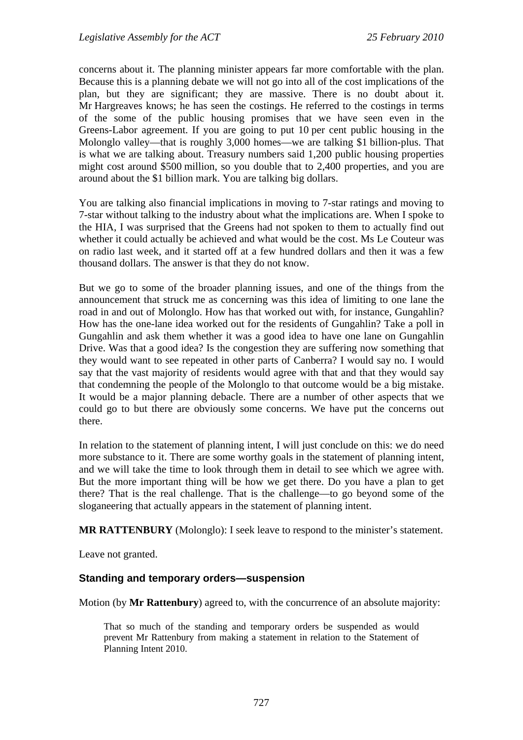concerns about it. The planning minister appears far more comfortable with the plan. Because this is a planning debate we will not go into all of the cost implications of the plan, but they are significant; they are massive. There is no doubt about it. Mr Hargreaves knows; he has seen the costings. He referred to the costings in terms of the some of the public housing promises that we have seen even in the Greens-Labor agreement. If you are going to put 10 per cent public housing in the Molonglo valley—that is roughly 3,000 homes—we are talking \$1 billion-plus. That is what we are talking about. Treasury numbers said 1,200 public housing properties might cost around \$500 million, so you double that to 2,400 properties, and you are around about the \$1 billion mark. You are talking big dollars.

You are talking also financial implications in moving to 7-star ratings and moving to 7-star without talking to the industry about what the implications are. When I spoke to the HIA, I was surprised that the Greens had not spoken to them to actually find out whether it could actually be achieved and what would be the cost. Ms Le Couteur was on radio last week, and it started off at a few hundred dollars and then it was a few thousand dollars. The answer is that they do not know.

But we go to some of the broader planning issues, and one of the things from the announcement that struck me as concerning was this idea of limiting to one lane the road in and out of Molonglo. How has that worked out with, for instance, Gungahlin? How has the one-lane idea worked out for the residents of Gungahlin? Take a poll in Gungahlin and ask them whether it was a good idea to have one lane on Gungahlin Drive. Was that a good idea? Is the congestion they are suffering now something that they would want to see repeated in other parts of Canberra? I would say no. I would say that the vast majority of residents would agree with that and that they would say that condemning the people of the Molonglo to that outcome would be a big mistake. It would be a major planning debacle. There are a number of other aspects that we could go to but there are obviously some concerns. We have put the concerns out there.

In relation to the statement of planning intent, I will just conclude on this: we do need more substance to it. There are some worthy goals in the statement of planning intent, and we will take the time to look through them in detail to see which we agree with. But the more important thing will be how we get there. Do you have a plan to get there? That is the real challenge. That is the challenge—to go beyond some of the sloganeering that actually appears in the statement of planning intent.

**MR RATTENBURY** (Molonglo): I seek leave to respond to the minister's statement.

Leave not granted.

#### **Standing and temporary orders—suspension**

Motion (by **Mr Rattenbury**) agreed to, with the concurrence of an absolute majority:

That so much of the standing and temporary orders be suspended as would prevent Mr Rattenbury from making a statement in relation to the Statement of Planning Intent 2010.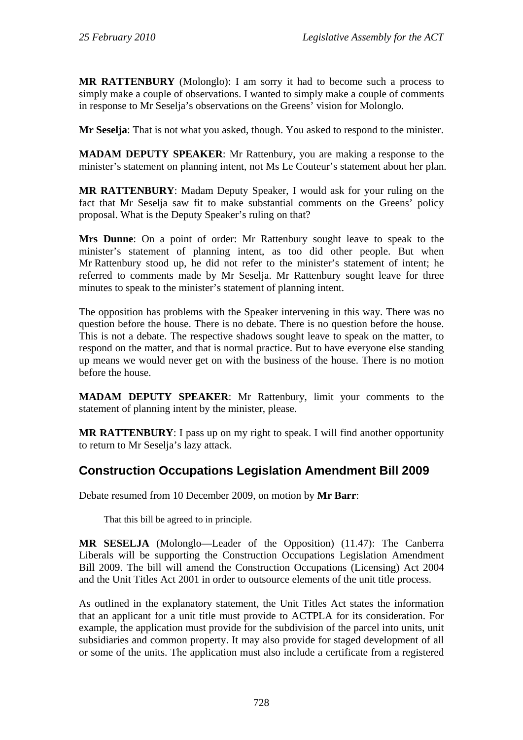**MR RATTENBURY** (Molonglo): I am sorry it had to become such a process to simply make a couple of observations. I wanted to simply make a couple of comments in response to Mr Seselja's observations on the Greens' vision for Molonglo.

**Mr Seselja**: That is not what you asked, though. You asked to respond to the minister.

**MADAM DEPUTY SPEAKER:** Mr Rattenbury, you are making a response to the minister's statement on planning intent, not Ms Le Couteur's statement about her plan.

**MR RATTENBURY**: Madam Deputy Speaker, I would ask for your ruling on the fact that Mr Seselja saw fit to make substantial comments on the Greens' policy proposal. What is the Deputy Speaker's ruling on that?

**Mrs Dunne**: On a point of order: Mr Rattenbury sought leave to speak to the minister's statement of planning intent, as too did other people. But when Mr Rattenbury stood up, he did not refer to the minister's statement of intent; he referred to comments made by Mr Seselja. Mr Rattenbury sought leave for three minutes to speak to the minister's statement of planning intent.

The opposition has problems with the Speaker intervening in this way. There was no question before the house. There is no debate. There is no question before the house. This is not a debate. The respective shadows sought leave to speak on the matter, to respond on the matter, and that is normal practice. But to have everyone else standing up means we would never get on with the business of the house. There is no motion before the house.

**MADAM DEPUTY SPEAKER**: Mr Rattenbury, limit your comments to the statement of planning intent by the minister, please.

**MR RATTENBURY**: I pass up on my right to speak. I will find another opportunity to return to Mr Seselja's lazy attack.

## <span id="page-31-0"></span>**Construction Occupations Legislation Amendment Bill 2009**

Debate resumed from 10 December 2009, on motion by **Mr Barr**:

That this bill be agreed to in principle.

**MR SESELJA** (Molonglo—Leader of the Opposition) (11.47): The Canberra Liberals will be supporting the Construction Occupations Legislation Amendment Bill 2009. The bill will amend the Construction Occupations (Licensing) Act 2004 and the Unit Titles Act 2001 in order to outsource elements of the unit title process.

As outlined in the explanatory statement, the Unit Titles Act states the information that an applicant for a unit title must provide to ACTPLA for its consideration. For example, the application must provide for the subdivision of the parcel into units, unit subsidiaries and common property. It may also provide for staged development of all or some of the units. The application must also include a certificate from a registered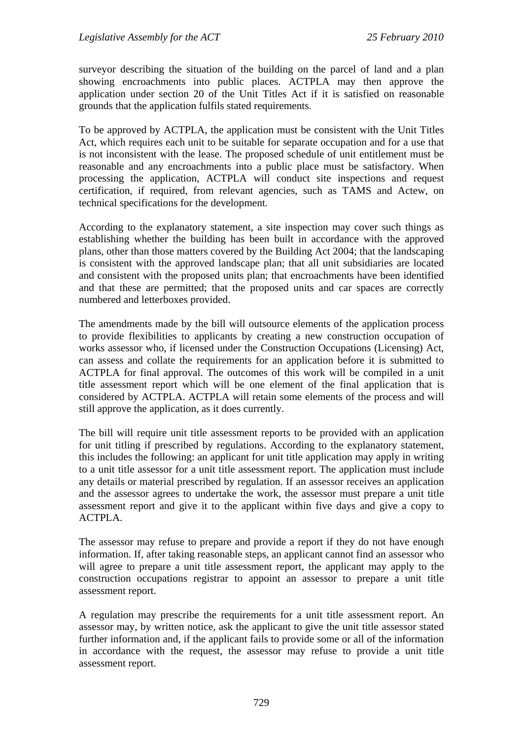surveyor describing the situation of the building on the parcel of land and a plan showing encroachments into public places. ACTPLA may then approve the application under section 20 of the Unit Titles Act if it is satisfied on reasonable grounds that the application fulfils stated requirements.

To be approved by ACTPLA, the application must be consistent with the Unit Titles Act, which requires each unit to be suitable for separate occupation and for a use that is not inconsistent with the lease. The proposed schedule of unit entitlement must be reasonable and any encroachments into a public place must be satisfactory. When processing the application, ACTPLA will conduct site inspections and request certification, if required, from relevant agencies, such as TAMS and Actew, on technical specifications for the development.

According to the explanatory statement, a site inspection may cover such things as establishing whether the building has been built in accordance with the approved plans, other than those matters covered by the Building Act 2004; that the landscaping is consistent with the approved landscape plan; that all unit subsidiaries are located and consistent with the proposed units plan; that encroachments have been identified and that these are permitted; that the proposed units and car spaces are correctly numbered and letterboxes provided.

The amendments made by the bill will outsource elements of the application process to provide flexibilities to applicants by creating a new construction occupation of works assessor who, if licensed under the Construction Occupations (Licensing) Act, can assess and collate the requirements for an application before it is submitted to ACTPLA for final approval. The outcomes of this work will be compiled in a unit title assessment report which will be one element of the final application that is considered by ACTPLA. ACTPLA will retain some elements of the process and will still approve the application, as it does currently.

The bill will require unit title assessment reports to be provided with an application for unit titling if prescribed by regulations. According to the explanatory statement, this includes the following: an applicant for unit title application may apply in writing to a unit title assessor for a unit title assessment report. The application must include any details or material prescribed by regulation. If an assessor receives an application and the assessor agrees to undertake the work, the assessor must prepare a unit title assessment report and give it to the applicant within five days and give a copy to ACTPLA.

The assessor may refuse to prepare and provide a report if they do not have enough information. If, after taking reasonable steps, an applicant cannot find an assessor who will agree to prepare a unit title assessment report, the applicant may apply to the construction occupations registrar to appoint an assessor to prepare a unit title assessment report.

A regulation may prescribe the requirements for a unit title assessment report. An assessor may, by written notice, ask the applicant to give the unit title assessor stated further information and, if the applicant fails to provide some or all of the information in accordance with the request, the assessor may refuse to provide a unit title assessment report.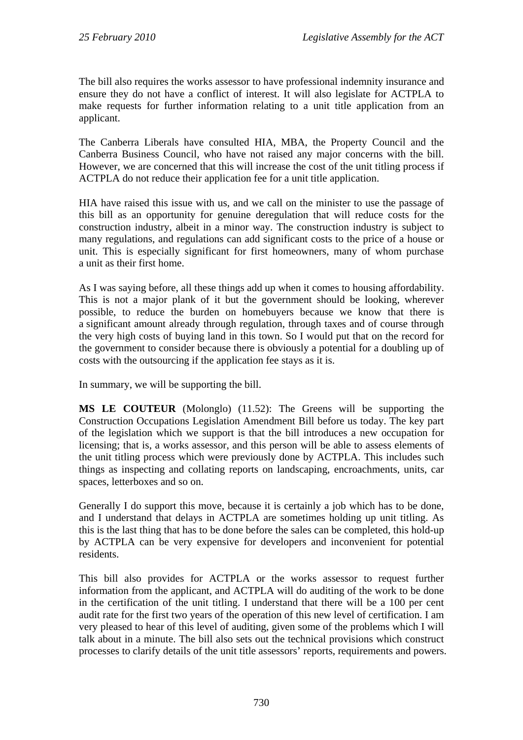The bill also requires the works assessor to have professional indemnity insurance and ensure they do not have a conflict of interest. It will also legislate for ACTPLA to make requests for further information relating to a unit title application from an applicant.

The Canberra Liberals have consulted HIA, MBA, the Property Council and the Canberra Business Council, who have not raised any major concerns with the bill. However, we are concerned that this will increase the cost of the unit titling process if ACTPLA do not reduce their application fee for a unit title application.

HIA have raised this issue with us, and we call on the minister to use the passage of this bill as an opportunity for genuine deregulation that will reduce costs for the construction industry, albeit in a minor way. The construction industry is subject to many regulations, and regulations can add significant costs to the price of a house or unit. This is especially significant for first homeowners, many of whom purchase a unit as their first home.

As I was saying before, all these things add up when it comes to housing affordability. This is not a major plank of it but the government should be looking, wherever possible, to reduce the burden on homebuyers because we know that there is a significant amount already through regulation, through taxes and of course through the very high costs of buying land in this town. So I would put that on the record for the government to consider because there is obviously a potential for a doubling up of costs with the outsourcing if the application fee stays as it is.

In summary, we will be supporting the bill.

**MS LE COUTEUR** (Molonglo) (11.52): The Greens will be supporting the Construction Occupations Legislation Amendment Bill before us today. The key part of the legislation which we support is that the bill introduces a new occupation for licensing; that is, a works assessor, and this person will be able to assess elements of the unit titling process which were previously done by ACTPLA. This includes such things as inspecting and collating reports on landscaping, encroachments, units, car spaces, letterboxes and so on.

Generally I do support this move, because it is certainly a job which has to be done, and I understand that delays in ACTPLA are sometimes holding up unit titling. As this is the last thing that has to be done before the sales can be completed, this hold-up by ACTPLA can be very expensive for developers and inconvenient for potential residents.

This bill also provides for ACTPLA or the works assessor to request further information from the applicant, and ACTPLA will do auditing of the work to be done in the certification of the unit titling. I understand that there will be a 100 per cent audit rate for the first two years of the operation of this new level of certification. I am very pleased to hear of this level of auditing, given some of the problems which I will talk about in a minute. The bill also sets out the technical provisions which construct processes to clarify details of the unit title assessors' reports, requirements and powers.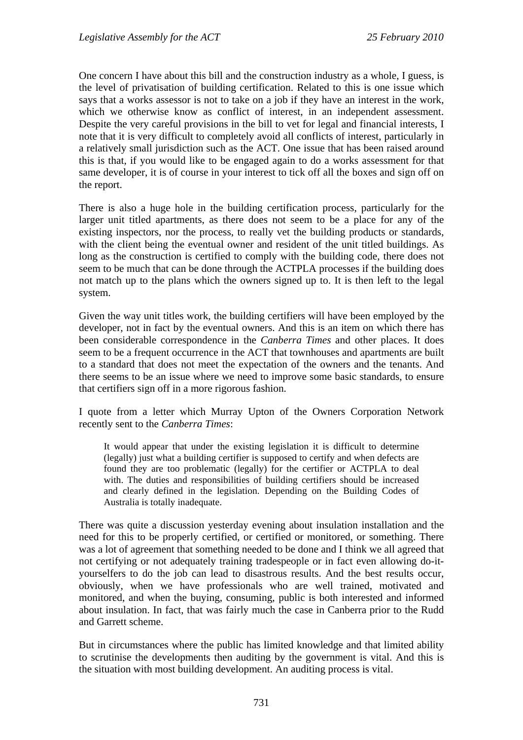One concern I have about this bill and the construction industry as a whole, I guess, is the level of privatisation of building certification. Related to this is one issue which says that a works assessor is not to take on a job if they have an interest in the work, which we otherwise know as conflict of interest, in an independent assessment. Despite the very careful provisions in the bill to vet for legal and financial interests, I note that it is very difficult to completely avoid all conflicts of interest, particularly in a relatively small jurisdiction such as the ACT. One issue that has been raised around this is that, if you would like to be engaged again to do a works assessment for that same developer, it is of course in your interest to tick off all the boxes and sign off on the report.

There is also a huge hole in the building certification process, particularly for the larger unit titled apartments, as there does not seem to be a place for any of the existing inspectors, nor the process, to really vet the building products or standards, with the client being the eventual owner and resident of the unit titled buildings. As long as the construction is certified to comply with the building code, there does not seem to be much that can be done through the ACTPLA processes if the building does not match up to the plans which the owners signed up to. It is then left to the legal system.

Given the way unit titles work, the building certifiers will have been employed by the developer, not in fact by the eventual owners. And this is an item on which there has been considerable correspondence in the *Canberra Times* and other places. It does seem to be a frequent occurrence in the ACT that townhouses and apartments are built to a standard that does not meet the expectation of the owners and the tenants. And there seems to be an issue where we need to improve some basic standards, to ensure that certifiers sign off in a more rigorous fashion.

I quote from a letter which Murray Upton of the Owners Corporation Network recently sent to the *Canberra Times*:

It would appear that under the existing legislation it is difficult to determine (legally) just what a building certifier is supposed to certify and when defects are found they are too problematic (legally) for the certifier or ACTPLA to deal with. The duties and responsibilities of building certifiers should be increased and clearly defined in the legislation. Depending on the Building Codes of Australia is totally inadequate.

There was quite a discussion yesterday evening about insulation installation and the need for this to be properly certified, or certified or monitored, or something. There was a lot of agreement that something needed to be done and I think we all agreed that not certifying or not adequately training tradespeople or in fact even allowing do-ityourselfers to do the job can lead to disastrous results. And the best results occur, obviously, when we have professionals who are well trained, motivated and monitored, and when the buying, consuming, public is both interested and informed about insulation. In fact, that was fairly much the case in Canberra prior to the Rudd and Garrett scheme.

But in circumstances where the public has limited knowledge and that limited ability to scrutinise the developments then auditing by the government is vital. And this is the situation with most building development. An auditing process is vital.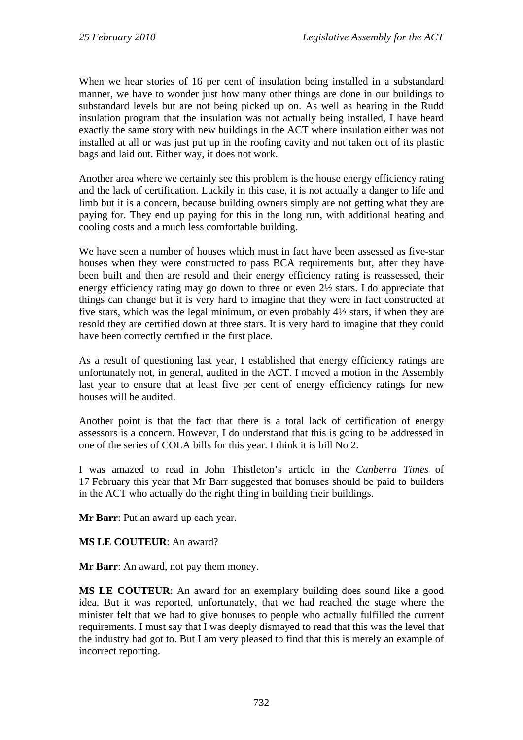When we hear stories of 16 per cent of insulation being installed in a substandard manner, we have to wonder just how many other things are done in our buildings to substandard levels but are not being picked up on. As well as hearing in the Rudd insulation program that the insulation was not actually being installed, I have heard exactly the same story with new buildings in the ACT where insulation either was not installed at all or was just put up in the roofing cavity and not taken out of its plastic bags and laid out. Either way, it does not work.

Another area where we certainly see this problem is the house energy efficiency rating and the lack of certification. Luckily in this case, it is not actually a danger to life and limb but it is a concern, because building owners simply are not getting what they are paying for. They end up paying for this in the long run, with additional heating and cooling costs and a much less comfortable building.

We have seen a number of houses which must in fact have been assessed as five-star houses when they were constructed to pass BCA requirements but, after they have been built and then are resold and their energy efficiency rating is reassessed, their energy efficiency rating may go down to three or even 2½ stars. I do appreciate that things can change but it is very hard to imagine that they were in fact constructed at five stars, which was the legal minimum, or even probably 4½ stars, if when they are resold they are certified down at three stars. It is very hard to imagine that they could have been correctly certified in the first place.

As a result of questioning last year, I established that energy efficiency ratings are unfortunately not, in general, audited in the ACT. I moved a motion in the Assembly last year to ensure that at least five per cent of energy efficiency ratings for new houses will be audited.

Another point is that the fact that there is a total lack of certification of energy assessors is a concern. However, I do understand that this is going to be addressed in one of the series of COLA bills for this year. I think it is bill No 2.

I was amazed to read in John Thistleton's article in the *Canberra Times* of 17 February this year that Mr Barr suggested that bonuses should be paid to builders in the ACT who actually do the right thing in building their buildings.

**Mr Barr**: Put an award up each year.

#### **MS LE COUTEUR**: An award?

**Mr Barr**: An award, not pay them money.

**MS LE COUTEUR**: An award for an exemplary building does sound like a good idea. But it was reported, unfortunately, that we had reached the stage where the minister felt that we had to give bonuses to people who actually fulfilled the current requirements. I must say that I was deeply dismayed to read that this was the level that the industry had got to. But I am very pleased to find that this is merely an example of incorrect reporting.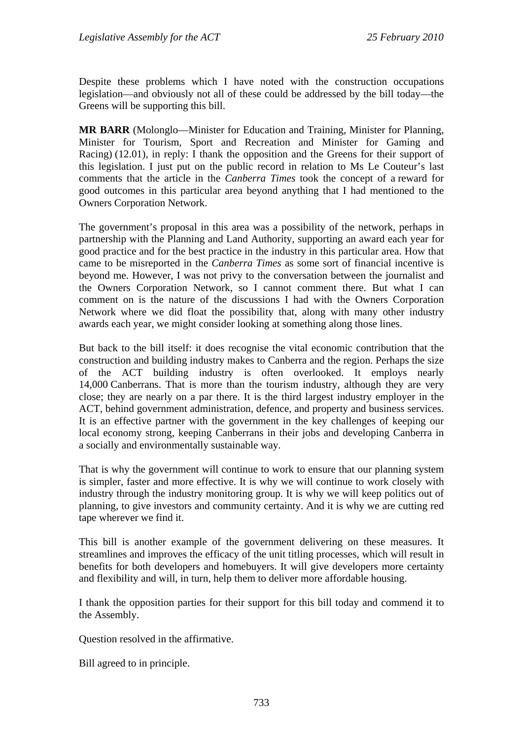Despite these problems which I have noted with the construction occupations legislation—and obviously not all of these could be addressed by the bill today—the Greens will be supporting this bill.

**MR BARR** (Molonglo—Minister for Education and Training, Minister for Planning, Minister for Tourism, Sport and Recreation and Minister for Gaming and Racing) (12.01), in reply: I thank the opposition and the Greens for their support of this legislation. I just put on the public record in relation to Ms Le Couteur's last comments that the article in the *Canberra Times* took the concept of a reward for good outcomes in this particular area beyond anything that I had mentioned to the Owners Corporation Network.

The government's proposal in this area was a possibility of the network, perhaps in partnership with the Planning and Land Authority, supporting an award each year for good practice and for the best practice in the industry in this particular area. How that came to be misreported in the *Canberra Times* as some sort of financial incentive is beyond me. However, I was not privy to the conversation between the journalist and the Owners Corporation Network, so I cannot comment there. But what I can comment on is the nature of the discussions I had with the Owners Corporation Network where we did float the possibility that, along with many other industry awards each year, we might consider looking at something along those lines.

But back to the bill itself: it does recognise the vital economic contribution that the construction and building industry makes to Canberra and the region. Perhaps the size of the ACT building industry is often overlooked. It employs nearly 14,000 Canberrans. That is more than the tourism industry, although they are very close; they are nearly on a par there. It is the third largest industry employer in the ACT, behind government administration, defence, and property and business services. It is an effective partner with the government in the key challenges of keeping our local economy strong, keeping Canberrans in their jobs and developing Canberra in a socially and environmentally sustainable way.

That is why the government will continue to work to ensure that our planning system is simpler, faster and more effective. It is why we will continue to work closely with industry through the industry monitoring group. It is why we will keep politics out of planning, to give investors and community certainty. And it is why we are cutting red tape wherever we find it.

This bill is another example of the government delivering on these measures. It streamlines and improves the efficacy of the unit titling processes, which will result in benefits for both developers and homebuyers. It will give developers more certainty and flexibility and will, in turn, help them to deliver more affordable housing.

I thank the opposition parties for their support for this bill today and commend it to the Assembly.

Question resolved in the affirmative.

Bill agreed to in principle.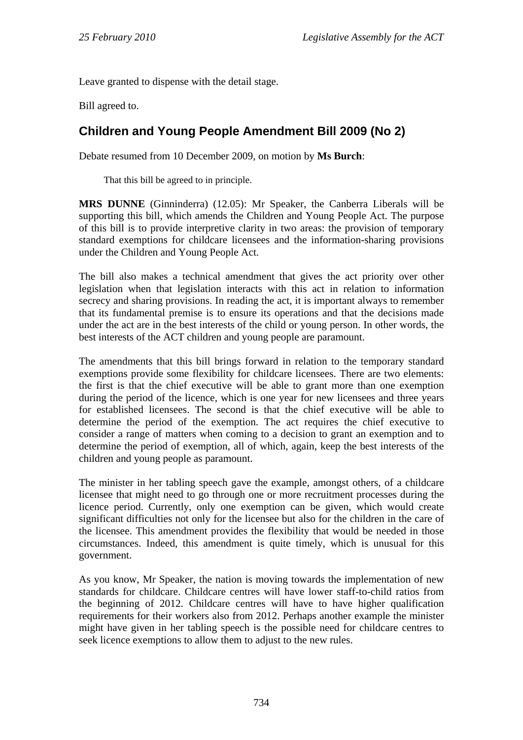Leave granted to dispense with the detail stage.

Bill agreed to.

# **Children and Young People Amendment Bill 2009 (No 2)**

Debate resumed from 10 December 2009, on motion by **Ms Burch**:

That this bill be agreed to in principle.

**MRS DUNNE** (Ginninderra) (12.05): Mr Speaker, the Canberra Liberals will be supporting this bill, which amends the Children and Young People Act. The purpose of this bill is to provide interpretive clarity in two areas: the provision of temporary standard exemptions for childcare licensees and the information-sharing provisions under the Children and Young People Act.

The bill also makes a technical amendment that gives the act priority over other legislation when that legislation interacts with this act in relation to information secrecy and sharing provisions. In reading the act, it is important always to remember that its fundamental premise is to ensure its operations and that the decisions made under the act are in the best interests of the child or young person. In other words, the best interests of the ACT children and young people are paramount.

The amendments that this bill brings forward in relation to the temporary standard exemptions provide some flexibility for childcare licensees. There are two elements: the first is that the chief executive will be able to grant more than one exemption during the period of the licence, which is one year for new licensees and three years for established licensees. The second is that the chief executive will be able to determine the period of the exemption. The act requires the chief executive to consider a range of matters when coming to a decision to grant an exemption and to determine the period of exemption, all of which, again, keep the best interests of the children and young people as paramount.

The minister in her tabling speech gave the example, amongst others, of a childcare licensee that might need to go through one or more recruitment processes during the licence period. Currently, only one exemption can be given, which would create significant difficulties not only for the licensee but also for the children in the care of the licensee. This amendment provides the flexibility that would be needed in those circumstances. Indeed, this amendment is quite timely, which is unusual for this government.

As you know, Mr Speaker, the nation is moving towards the implementation of new standards for childcare. Childcare centres will have lower staff-to-child ratios from the beginning of 2012. Childcare centres will have to have higher qualification requirements for their workers also from 2012. Perhaps another example the minister might have given in her tabling speech is the possible need for childcare centres to seek licence exemptions to allow them to adjust to the new rules.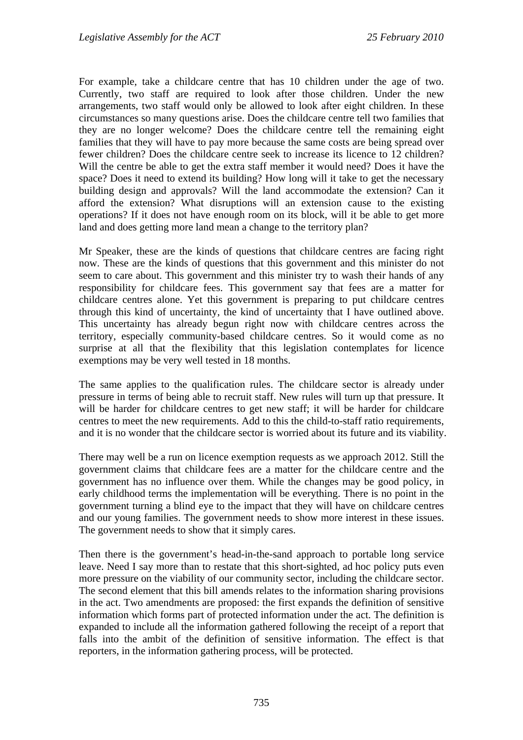For example, take a childcare centre that has 10 children under the age of two. Currently, two staff are required to look after those children. Under the new arrangements, two staff would only be allowed to look after eight children. In these circumstances so many questions arise. Does the childcare centre tell two families that they are no longer welcome? Does the childcare centre tell the remaining eight families that they will have to pay more because the same costs are being spread over fewer children? Does the childcare centre seek to increase its licence to 12 children? Will the centre be able to get the extra staff member it would need? Does it have the space? Does it need to extend its building? How long will it take to get the necessary building design and approvals? Will the land accommodate the extension? Can it afford the extension? What disruptions will an extension cause to the existing operations? If it does not have enough room on its block, will it be able to get more land and does getting more land mean a change to the territory plan?

Mr Speaker, these are the kinds of questions that childcare centres are facing right now. These are the kinds of questions that this government and this minister do not seem to care about. This government and this minister try to wash their hands of any responsibility for childcare fees. This government say that fees are a matter for childcare centres alone. Yet this government is preparing to put childcare centres through this kind of uncertainty, the kind of uncertainty that I have outlined above. This uncertainty has already begun right now with childcare centres across the territory, especially community-based childcare centres. So it would come as no surprise at all that the flexibility that this legislation contemplates for licence exemptions may be very well tested in 18 months.

The same applies to the qualification rules. The childcare sector is already under pressure in terms of being able to recruit staff. New rules will turn up that pressure. It will be harder for childcare centres to get new staff; it will be harder for childcare centres to meet the new requirements. Add to this the child-to-staff ratio requirements, and it is no wonder that the childcare sector is worried about its future and its viability.

There may well be a run on licence exemption requests as we approach 2012. Still the government claims that childcare fees are a matter for the childcare centre and the government has no influence over them. While the changes may be good policy, in early childhood terms the implementation will be everything. There is no point in the government turning a blind eye to the impact that they will have on childcare centres and our young families. The government needs to show more interest in these issues. The government needs to show that it simply cares.

Then there is the government's head-in-the-sand approach to portable long service leave. Need I say more than to restate that this short-sighted, ad hoc policy puts even more pressure on the viability of our community sector, including the childcare sector. The second element that this bill amends relates to the information sharing provisions in the act. Two amendments are proposed: the first expands the definition of sensitive information which forms part of protected information under the act. The definition is expanded to include all the information gathered following the receipt of a report that falls into the ambit of the definition of sensitive information. The effect is that reporters, in the information gathering process, will be protected.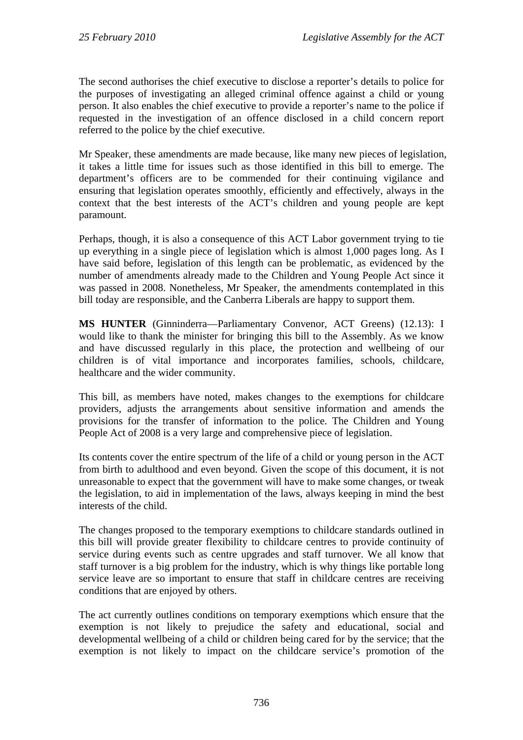The second authorises the chief executive to disclose a reporter's details to police for the purposes of investigating an alleged criminal offence against a child or young person. It also enables the chief executive to provide a reporter's name to the police if requested in the investigation of an offence disclosed in a child concern report referred to the police by the chief executive.

Mr Speaker, these amendments are made because, like many new pieces of legislation, it takes a little time for issues such as those identified in this bill to emerge. The department's officers are to be commended for their continuing vigilance and ensuring that legislation operates smoothly, efficiently and effectively, always in the context that the best interests of the ACT's children and young people are kept paramount.

Perhaps, though, it is also a consequence of this ACT Labor government trying to tie up everything in a single piece of legislation which is almost 1,000 pages long. As I have said before, legislation of this length can be problematic, as evidenced by the number of amendments already made to the Children and Young People Act since it was passed in 2008. Nonetheless, Mr Speaker, the amendments contemplated in this bill today are responsible, and the Canberra Liberals are happy to support them.

**MS HUNTER** (Ginninderra—Parliamentary Convenor, ACT Greens) (12.13): I would like to thank the minister for bringing this bill to the Assembly. As we know and have discussed regularly in this place, the protection and wellbeing of our children is of vital importance and incorporates families, schools, childcare, healthcare and the wider community.

This bill, as members have noted, makes changes to the exemptions for childcare providers, adjusts the arrangements about sensitive information and amends the provisions for the transfer of information to the police. The Children and Young People Act of 2008 is a very large and comprehensive piece of legislation.

Its contents cover the entire spectrum of the life of a child or young person in the ACT from birth to adulthood and even beyond. Given the scope of this document, it is not unreasonable to expect that the government will have to make some changes, or tweak the legislation, to aid in implementation of the laws, always keeping in mind the best interests of the child.

The changes proposed to the temporary exemptions to childcare standards outlined in this bill will provide greater flexibility to childcare centres to provide continuity of service during events such as centre upgrades and staff turnover. We all know that staff turnover is a big problem for the industry, which is why things like portable long service leave are so important to ensure that staff in childcare centres are receiving conditions that are enjoyed by others.

The act currently outlines conditions on temporary exemptions which ensure that the exemption is not likely to prejudice the safety and educational, social and developmental wellbeing of a child or children being cared for by the service; that the exemption is not likely to impact on the childcare service's promotion of the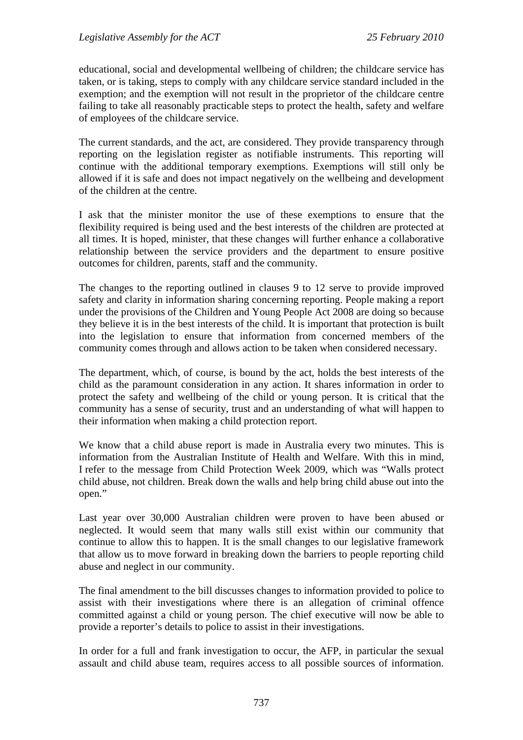educational, social and developmental wellbeing of children; the childcare service has taken, or is taking, steps to comply with any childcare service standard included in the exemption; and the exemption will not result in the proprietor of the childcare centre failing to take all reasonably practicable steps to protect the health, safety and welfare of employees of the childcare service.

The current standards, and the act, are considered. They provide transparency through reporting on the legislation register as notifiable instruments. This reporting will continue with the additional temporary exemptions. Exemptions will still only be allowed if it is safe and does not impact negatively on the wellbeing and development of the children at the centre.

I ask that the minister monitor the use of these exemptions to ensure that the flexibility required is being used and the best interests of the children are protected at all times. It is hoped, minister, that these changes will further enhance a collaborative relationship between the service providers and the department to ensure positive outcomes for children, parents, staff and the community.

The changes to the reporting outlined in clauses 9 to 12 serve to provide improved safety and clarity in information sharing concerning reporting. People making a report under the provisions of the Children and Young People Act 2008 are doing so because they believe it is in the best interests of the child. It is important that protection is built into the legislation to ensure that information from concerned members of the community comes through and allows action to be taken when considered necessary.

The department, which, of course, is bound by the act, holds the best interests of the child as the paramount consideration in any action. It shares information in order to protect the safety and wellbeing of the child or young person. It is critical that the community has a sense of security, trust and an understanding of what will happen to their information when making a child protection report.

We know that a child abuse report is made in Australia every two minutes. This is information from the Australian Institute of Health and Welfare. With this in mind, I refer to the message from Child Protection Week 2009, which was "Walls protect child abuse, not children. Break down the walls and help bring child abuse out into the open."

Last year over 30,000 Australian children were proven to have been abused or neglected. It would seem that many walls still exist within our community that continue to allow this to happen. It is the small changes to our legislative framework that allow us to move forward in breaking down the barriers to people reporting child abuse and neglect in our community.

The final amendment to the bill discusses changes to information provided to police to assist with their investigations where there is an allegation of criminal offence committed against a child or young person. The chief executive will now be able to provide a reporter's details to police to assist in their investigations.

In order for a full and frank investigation to occur, the AFP, in particular the sexual assault and child abuse team, requires access to all possible sources of information.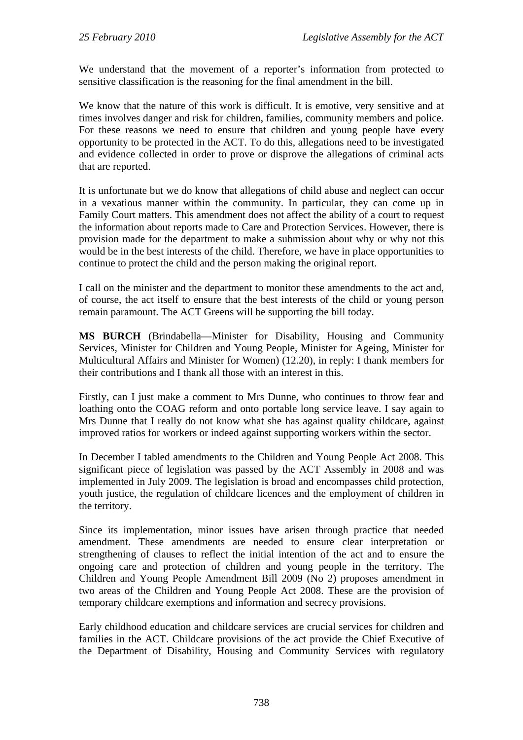We understand that the movement of a reporter's information from protected to sensitive classification is the reasoning for the final amendment in the bill.

We know that the nature of this work is difficult. It is emotive, very sensitive and at times involves danger and risk for children, families, community members and police. For these reasons we need to ensure that children and young people have every opportunity to be protected in the ACT. To do this, allegations need to be investigated and evidence collected in order to prove or disprove the allegations of criminal acts that are reported.

It is unfortunate but we do know that allegations of child abuse and neglect can occur in a vexatious manner within the community. In particular, they can come up in Family Court matters. This amendment does not affect the ability of a court to request the information about reports made to Care and Protection Services. However, there is provision made for the department to make a submission about why or why not this would be in the best interests of the child. Therefore, we have in place opportunities to continue to protect the child and the person making the original report.

I call on the minister and the department to monitor these amendments to the act and, of course, the act itself to ensure that the best interests of the child or young person remain paramount. The ACT Greens will be supporting the bill today.

**MS BURCH** (Brindabella—Minister for Disability, Housing and Community Services, Minister for Children and Young People, Minister for Ageing, Minister for Multicultural Affairs and Minister for Women) (12.20), in reply: I thank members for their contributions and I thank all those with an interest in this.

Firstly, can I just make a comment to Mrs Dunne, who continues to throw fear and loathing onto the COAG reform and onto portable long service leave. I say again to Mrs Dunne that I really do not know what she has against quality childcare, against improved ratios for workers or indeed against supporting workers within the sector.

In December I tabled amendments to the Children and Young People Act 2008. This significant piece of legislation was passed by the ACT Assembly in 2008 and was implemented in July 2009. The legislation is broad and encompasses child protection, youth justice, the regulation of childcare licences and the employment of children in the territory.

Since its implementation, minor issues have arisen through practice that needed amendment. These amendments are needed to ensure clear interpretation or strengthening of clauses to reflect the initial intention of the act and to ensure the ongoing care and protection of children and young people in the territory. The Children and Young People Amendment Bill 2009 (No 2) proposes amendment in two areas of the Children and Young People Act 2008. These are the provision of temporary childcare exemptions and information and secrecy provisions.

Early childhood education and childcare services are crucial services for children and families in the ACT. Childcare provisions of the act provide the Chief Executive of the Department of Disability, Housing and Community Services with regulatory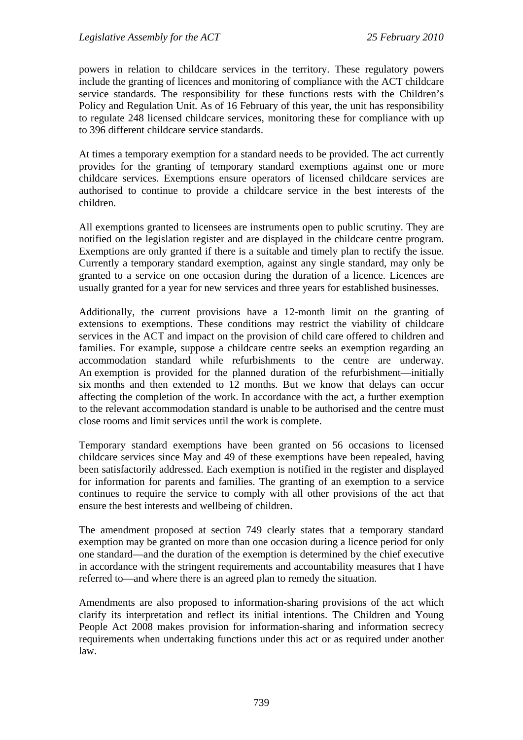powers in relation to childcare services in the territory. These regulatory powers include the granting of licences and monitoring of compliance with the ACT childcare service standards. The responsibility for these functions rests with the Children's Policy and Regulation Unit. As of 16 February of this year, the unit has responsibility to regulate 248 licensed childcare services, monitoring these for compliance with up to 396 different childcare service standards.

At times a temporary exemption for a standard needs to be provided. The act currently provides for the granting of temporary standard exemptions against one or more childcare services. Exemptions ensure operators of licensed childcare services are authorised to continue to provide a childcare service in the best interests of the children.

All exemptions granted to licensees are instruments open to public scrutiny. They are notified on the legislation register and are displayed in the childcare centre program. Exemptions are only granted if there is a suitable and timely plan to rectify the issue. Currently a temporary standard exemption, against any single standard, may only be granted to a service on one occasion during the duration of a licence. Licences are usually granted for a year for new services and three years for established businesses.

Additionally, the current provisions have a 12-month limit on the granting of extensions to exemptions. These conditions may restrict the viability of childcare services in the ACT and impact on the provision of child care offered to children and families. For example, suppose a childcare centre seeks an exemption regarding an accommodation standard while refurbishments to the centre are underway. An exemption is provided for the planned duration of the refurbishment—initially six months and then extended to 12 months. But we know that delays can occur affecting the completion of the work. In accordance with the act, a further exemption to the relevant accommodation standard is unable to be authorised and the centre must close rooms and limit services until the work is complete.

Temporary standard exemptions have been granted on 56 occasions to licensed childcare services since May and 49 of these exemptions have been repealed, having been satisfactorily addressed. Each exemption is notified in the register and displayed for information for parents and families. The granting of an exemption to a service continues to require the service to comply with all other provisions of the act that ensure the best interests and wellbeing of children.

The amendment proposed at section 749 clearly states that a temporary standard exemption may be granted on more than one occasion during a licence period for only one standard—and the duration of the exemption is determined by the chief executive in accordance with the stringent requirements and accountability measures that I have referred to—and where there is an agreed plan to remedy the situation.

Amendments are also proposed to information-sharing provisions of the act which clarify its interpretation and reflect its initial intentions. The Children and Young People Act 2008 makes provision for information-sharing and information secrecy requirements when undertaking functions under this act or as required under another law.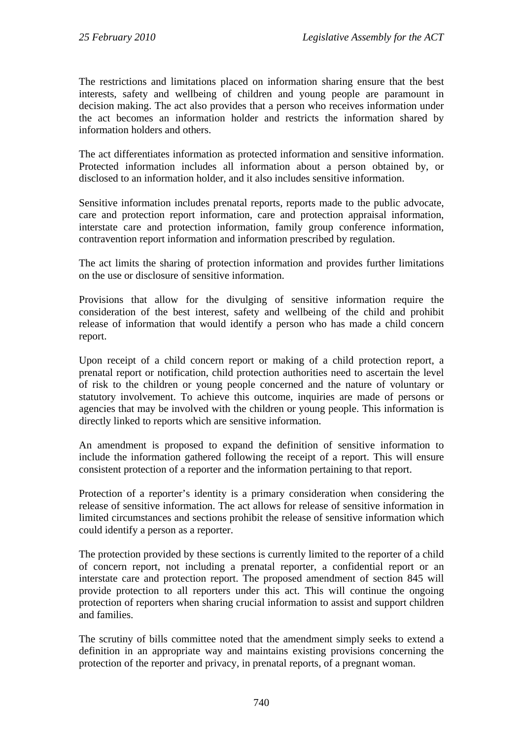The restrictions and limitations placed on information sharing ensure that the best interests, safety and wellbeing of children and young people are paramount in decision making. The act also provides that a person who receives information under the act becomes an information holder and restricts the information shared by information holders and others.

The act differentiates information as protected information and sensitive information. Protected information includes all information about a person obtained by, or disclosed to an information holder, and it also includes sensitive information.

Sensitive information includes prenatal reports, reports made to the public advocate, care and protection report information, care and protection appraisal information, interstate care and protection information, family group conference information, contravention report information and information prescribed by regulation.

The act limits the sharing of protection information and provides further limitations on the use or disclosure of sensitive information.

Provisions that allow for the divulging of sensitive information require the consideration of the best interest, safety and wellbeing of the child and prohibit release of information that would identify a person who has made a child concern report.

Upon receipt of a child concern report or making of a child protection report, a prenatal report or notification, child protection authorities need to ascertain the level of risk to the children or young people concerned and the nature of voluntary or statutory involvement. To achieve this outcome, inquiries are made of persons or agencies that may be involved with the children or young people. This information is directly linked to reports which are sensitive information.

An amendment is proposed to expand the definition of sensitive information to include the information gathered following the receipt of a report. This will ensure consistent protection of a reporter and the information pertaining to that report.

Protection of a reporter's identity is a primary consideration when considering the release of sensitive information. The act allows for release of sensitive information in limited circumstances and sections prohibit the release of sensitive information which could identify a person as a reporter.

The protection provided by these sections is currently limited to the reporter of a child of concern report, not including a prenatal reporter, a confidential report or an interstate care and protection report. The proposed amendment of section 845 will provide protection to all reporters under this act. This will continue the ongoing protection of reporters when sharing crucial information to assist and support children and families.

The scrutiny of bills committee noted that the amendment simply seeks to extend a definition in an appropriate way and maintains existing provisions concerning the protection of the reporter and privacy, in prenatal reports, of a pregnant woman.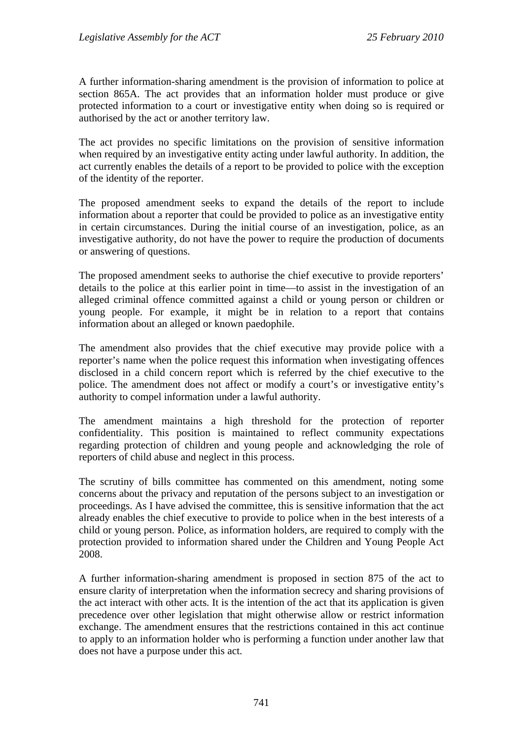A further information-sharing amendment is the provision of information to police at section 865A. The act provides that an information holder must produce or give protected information to a court or investigative entity when doing so is required or authorised by the act or another territory law.

The act provides no specific limitations on the provision of sensitive information when required by an investigative entity acting under lawful authority. In addition, the act currently enables the details of a report to be provided to police with the exception of the identity of the reporter.

The proposed amendment seeks to expand the details of the report to include information about a reporter that could be provided to police as an investigative entity in certain circumstances. During the initial course of an investigation, police, as an investigative authority, do not have the power to require the production of documents or answering of questions.

The proposed amendment seeks to authorise the chief executive to provide reporters' details to the police at this earlier point in time—to assist in the investigation of an alleged criminal offence committed against a child or young person or children or young people. For example, it might be in relation to a report that contains information about an alleged or known paedophile.

The amendment also provides that the chief executive may provide police with a reporter's name when the police request this information when investigating offences disclosed in a child concern report which is referred by the chief executive to the police. The amendment does not affect or modify a court's or investigative entity's authority to compel information under a lawful authority.

The amendment maintains a high threshold for the protection of reporter confidentiality. This position is maintained to reflect community expectations regarding protection of children and young people and acknowledging the role of reporters of child abuse and neglect in this process.

The scrutiny of bills committee has commented on this amendment, noting some concerns about the privacy and reputation of the persons subject to an investigation or proceedings. As I have advised the committee, this is sensitive information that the act already enables the chief executive to provide to police when in the best interests of a child or young person. Police, as information holders, are required to comply with the protection provided to information shared under the Children and Young People Act 2008.

A further information-sharing amendment is proposed in section 875 of the act to ensure clarity of interpretation when the information secrecy and sharing provisions of the act interact with other acts. It is the intention of the act that its application is given precedence over other legislation that might otherwise allow or restrict information exchange. The amendment ensures that the restrictions contained in this act continue to apply to an information holder who is performing a function under another law that does not have a purpose under this act.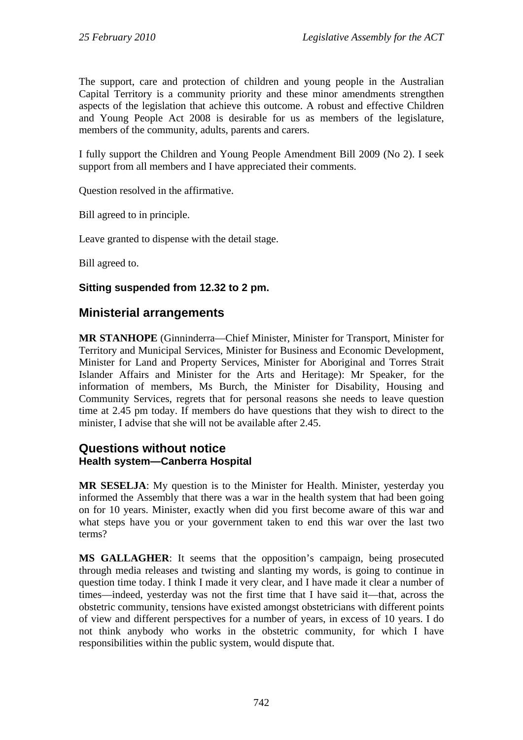The support, care and protection of children and young people in the Australian Capital Territory is a community priority and these minor amendments strengthen aspects of the legislation that achieve this outcome. A robust and effective Children and Young People Act 2008 is desirable for us as members of the legislature, members of the community, adults, parents and carers.

I fully support the Children and Young People Amendment Bill 2009 (No 2). I seek support from all members and I have appreciated their comments.

Question resolved in the affirmative.

Bill agreed to in principle.

Leave granted to dispense with the detail stage.

Bill agreed to.

## **Sitting suspended from 12.32 to 2 pm.**

# **Ministerial arrangements**

**MR STANHOPE** (Ginninderra—Chief Minister, Minister for Transport, Minister for Territory and Municipal Services, Minister for Business and Economic Development, Minister for Land and Property Services, Minister for Aboriginal and Torres Strait Islander Affairs and Minister for the Arts and Heritage): Mr Speaker, for the information of members, Ms Burch, the Minister for Disability, Housing and Community Services, regrets that for personal reasons she needs to leave question time at 2.45 pm today. If members do have questions that they wish to direct to the minister, I advise that she will not be available after 2.45.

# **Questions without notice Health system—Canberra Hospital**

**MR SESELJA**: My question is to the Minister for Health. Minister, yesterday you informed the Assembly that there was a war in the health system that had been going on for 10 years. Minister, exactly when did you first become aware of this war and what steps have you or your government taken to end this war over the last two terms?

**MS GALLAGHER**: It seems that the opposition's campaign, being prosecuted through media releases and twisting and slanting my words, is going to continue in question time today. I think I made it very clear, and I have made it clear a number of times—indeed, yesterday was not the first time that I have said it—that, across the obstetric community, tensions have existed amongst obstetricians with different points of view and different perspectives for a number of years, in excess of 10 years. I do not think anybody who works in the obstetric community, for which I have responsibilities within the public system, would dispute that.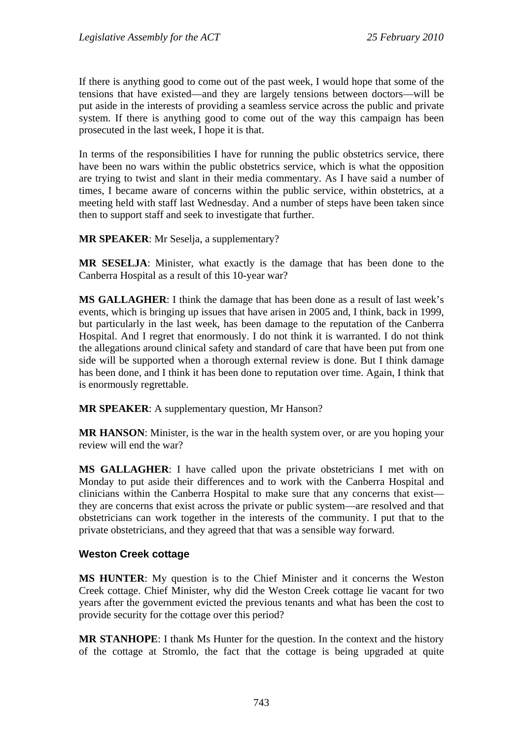If there is anything good to come out of the past week, I would hope that some of the tensions that have existed—and they are largely tensions between doctors—will be put aside in the interests of providing a seamless service across the public and private system. If there is anything good to come out of the way this campaign has been prosecuted in the last week, I hope it is that.

In terms of the responsibilities I have for running the public obstetrics service, there have been no wars within the public obstetrics service, which is what the opposition are trying to twist and slant in their media commentary. As I have said a number of times, I became aware of concerns within the public service, within obstetrics, at a meeting held with staff last Wednesday. And a number of steps have been taken since then to support staff and seek to investigate that further.

**MR SPEAKER**: Mr Seselja, a supplementary?

**MR SESELJA**: Minister, what exactly is the damage that has been done to the Canberra Hospital as a result of this 10-year war?

**MS GALLAGHER**: I think the damage that has been done as a result of last week's events, which is bringing up issues that have arisen in 2005 and, I think, back in 1999, but particularly in the last week, has been damage to the reputation of the Canberra Hospital. And I regret that enormously. I do not think it is warranted. I do not think the allegations around clinical safety and standard of care that have been put from one side will be supported when a thorough external review is done. But I think damage has been done, and I think it has been done to reputation over time. Again, I think that is enormously regrettable.

**MR SPEAKER**: A supplementary question, Mr Hanson?

**MR HANSON**: Minister, is the war in the health system over, or are you hoping your review will end the war?

**MS GALLAGHER**: I have called upon the private obstetricians I met with on Monday to put aside their differences and to work with the Canberra Hospital and clinicians within the Canberra Hospital to make sure that any concerns that exist they are concerns that exist across the private or public system—are resolved and that obstetricians can work together in the interests of the community. I put that to the private obstetricians, and they agreed that that was a sensible way forward.

#### **Weston Creek cottage**

**MS HUNTER**: My question is to the Chief Minister and it concerns the Weston Creek cottage. Chief Minister, why did the Weston Creek cottage lie vacant for two years after the government evicted the previous tenants and what has been the cost to provide security for the cottage over this period?

**MR STANHOPE**: I thank Ms Hunter for the question. In the context and the history of the cottage at Stromlo, the fact that the cottage is being upgraded at quite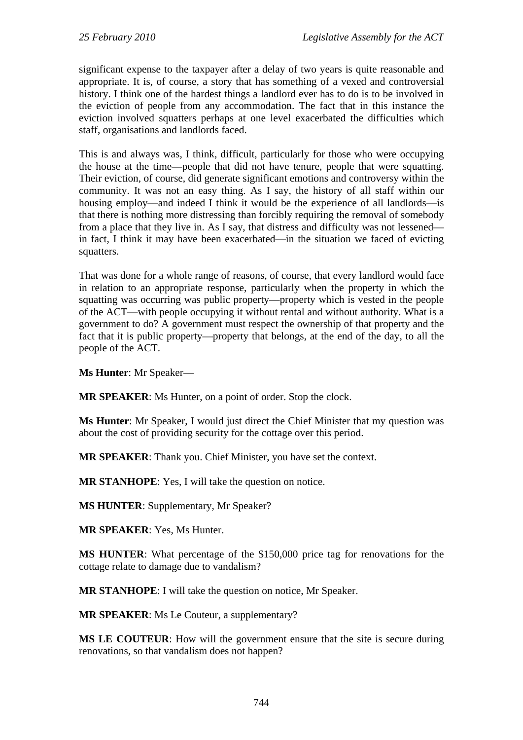significant expense to the taxpayer after a delay of two years is quite reasonable and appropriate. It is, of course, a story that has something of a vexed and controversial history. I think one of the hardest things a landlord ever has to do is to be involved in the eviction of people from any accommodation. The fact that in this instance the eviction involved squatters perhaps at one level exacerbated the difficulties which staff, organisations and landlords faced.

This is and always was, I think, difficult, particularly for those who were occupying the house at the time—people that did not have tenure, people that were squatting. Their eviction, of course, did generate significant emotions and controversy within the community. It was not an easy thing. As I say, the history of all staff within our housing employ—and indeed I think it would be the experience of all landlords—is that there is nothing more distressing than forcibly requiring the removal of somebody from a place that they live in. As I say, that distress and difficulty was not lessened in fact, I think it may have been exacerbated—in the situation we faced of evicting squatters.

That was done for a whole range of reasons, of course, that every landlord would face in relation to an appropriate response, particularly when the property in which the squatting was occurring was public property—property which is vested in the people of the ACT—with people occupying it without rental and without authority. What is a government to do? A government must respect the ownership of that property and the fact that it is public property—property that belongs, at the end of the day, to all the people of the ACT.

**Ms Hunter**: Mr Speaker—

**MR SPEAKER**: Ms Hunter, on a point of order. Stop the clock.

**Ms Hunter**: Mr Speaker, I would just direct the Chief Minister that my question was about the cost of providing security for the cottage over this period.

**MR SPEAKER**: Thank you. Chief Minister, you have set the context.

**MR STANHOPE**: Yes, I will take the question on notice.

**MS HUNTER**: Supplementary, Mr Speaker?

**MR SPEAKER**: Yes, Ms Hunter.

**MS HUNTER**: What percentage of the \$150,000 price tag for renovations for the cottage relate to damage due to vandalism?

**MR STANHOPE**: I will take the question on notice, Mr Speaker.

**MR SPEAKER**: Ms Le Couteur, a supplementary?

**MS LE COUTEUR**: How will the government ensure that the site is secure during renovations, so that vandalism does not happen?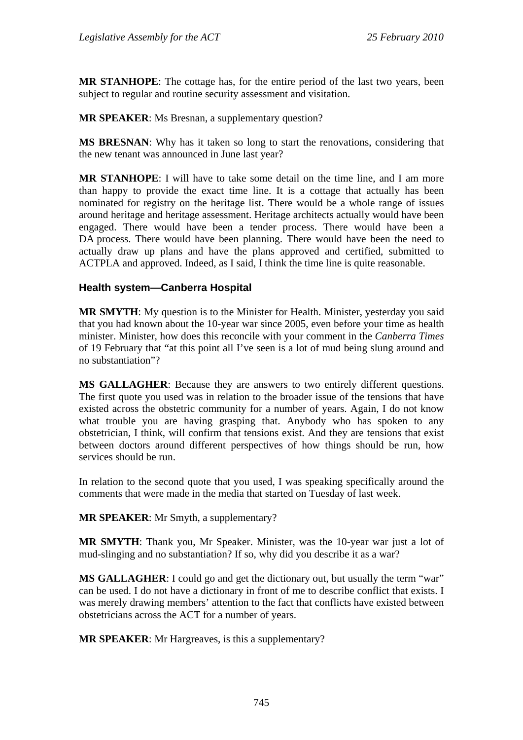**MR STANHOPE**: The cottage has, for the entire period of the last two years, been subject to regular and routine security assessment and visitation.

**MR SPEAKER**: Ms Bresnan, a supplementary question?

**MS BRESNAN**: Why has it taken so long to start the renovations, considering that the new tenant was announced in June last year?

**MR STANHOPE**: I will have to take some detail on the time line, and I am more than happy to provide the exact time line. It is a cottage that actually has been nominated for registry on the heritage list. There would be a whole range of issues around heritage and heritage assessment. Heritage architects actually would have been engaged. There would have been a tender process. There would have been a DA process. There would have been planning. There would have been the need to actually draw up plans and have the plans approved and certified, submitted to ACTPLA and approved. Indeed, as I said, I think the time line is quite reasonable.

## **Health system—Canberra Hospital**

**MR SMYTH**: My question is to the Minister for Health. Minister, yesterday you said that you had known about the 10-year war since 2005, even before your time as health minister. Minister, how does this reconcile with your comment in the *Canberra Times* of 19 February that "at this point all I've seen is a lot of mud being slung around and no substantiation"?

**MS GALLAGHER**: Because they are answers to two entirely different questions. The first quote you used was in relation to the broader issue of the tensions that have existed across the obstetric community for a number of years. Again, I do not know what trouble you are having grasping that. Anybody who has spoken to any obstetrician, I think, will confirm that tensions exist. And they are tensions that exist between doctors around different perspectives of how things should be run, how services should be run.

In relation to the second quote that you used, I was speaking specifically around the comments that were made in the media that started on Tuesday of last week.

**MR SPEAKER**: Mr Smyth, a supplementary?

**MR SMYTH**: Thank you, Mr Speaker. Minister, was the 10-year war just a lot of mud-slinging and no substantiation? If so, why did you describe it as a war?

**MS GALLAGHER:** I could go and get the dictionary out, but usually the term "war" can be used. I do not have a dictionary in front of me to describe conflict that exists. I was merely drawing members' attention to the fact that conflicts have existed between obstetricians across the ACT for a number of years.

**MR SPEAKER**: Mr Hargreaves, is this a supplementary?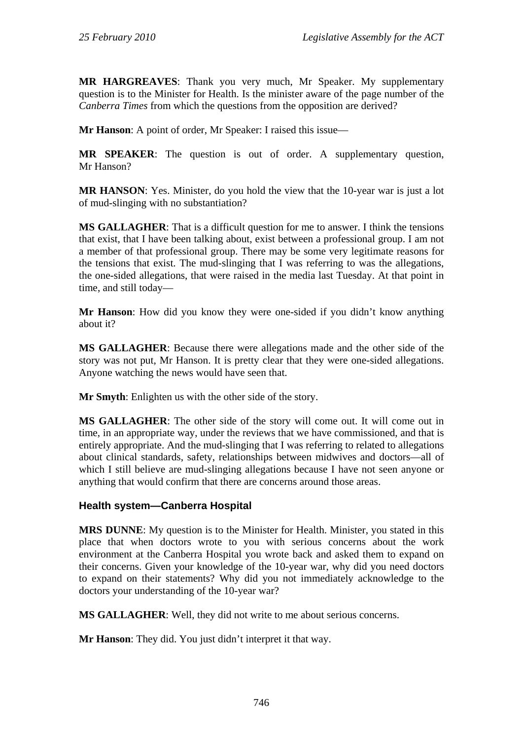**MR HARGREAVES**: Thank you very much, Mr Speaker. My supplementary question is to the Minister for Health. Is the minister aware of the page number of the *Canberra Times* from which the questions from the opposition are derived?

**Mr Hanson**: A point of order, Mr Speaker: I raised this issue—

**MR SPEAKER**: The question is out of order. A supplementary question, Mr Hanson?

**MR HANSON**: Yes. Minister, do you hold the view that the 10-year war is just a lot of mud-slinging with no substantiation?

**MS GALLAGHER**: That is a difficult question for me to answer. I think the tensions that exist, that I have been talking about, exist between a professional group. I am not a member of that professional group. There may be some very legitimate reasons for the tensions that exist. The mud-slinging that I was referring to was the allegations, the one-sided allegations, that were raised in the media last Tuesday. At that point in time, and still today—

**Mr Hanson**: How did you know they were one-sided if you didn't know anything about it?

**MS GALLAGHER**: Because there were allegations made and the other side of the story was not put, Mr Hanson. It is pretty clear that they were one-sided allegations. Anyone watching the news would have seen that.

**Mr Smyth**: Enlighten us with the other side of the story.

**MS GALLAGHER**: The other side of the story will come out. It will come out in time, in an appropriate way, under the reviews that we have commissioned, and that is entirely appropriate. And the mud-slinging that I was referring to related to allegations about clinical standards, safety, relationships between midwives and doctors—all of which I still believe are mud-slinging allegations because I have not seen anyone or anything that would confirm that there are concerns around those areas.

#### **Health system—Canberra Hospital**

**MRS DUNNE**: My question is to the Minister for Health. Minister, you stated in this place that when doctors wrote to you with serious concerns about the work environment at the Canberra Hospital you wrote back and asked them to expand on their concerns. Given your knowledge of the 10-year war, why did you need doctors to expand on their statements? Why did you not immediately acknowledge to the doctors your understanding of the 10-year war?

**MS GALLAGHER**: Well, they did not write to me about serious concerns.

**Mr Hanson**: They did. You just didn't interpret it that way.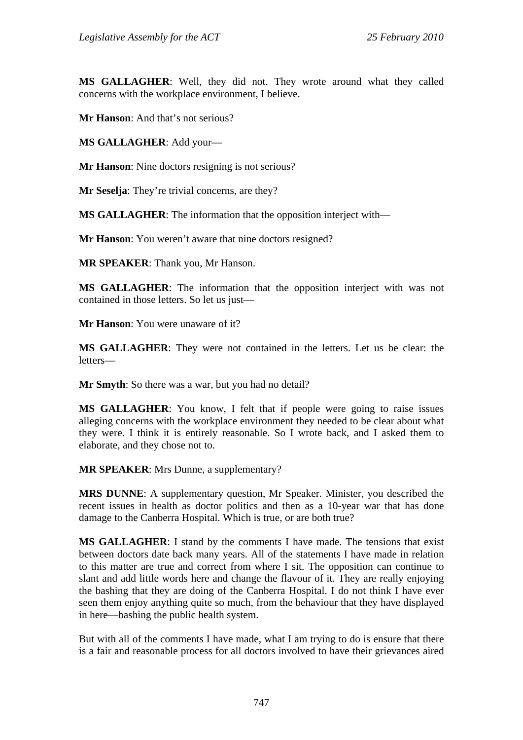**MS GALLAGHER**: Well, they did not. They wrote around what they called concerns with the workplace environment, I believe.

**Mr Hanson**: And that's not serious?

**MS GALLAGHER**: Add your—

**Mr Hanson**: Nine doctors resigning is not serious?

**Mr Seselja**: They're trivial concerns, are they?

**MS GALLAGHER**: The information that the opposition interject with—

**Mr Hanson**: You weren't aware that nine doctors resigned?

**MR SPEAKER**: Thank you, Mr Hanson.

**MS GALLAGHER**: The information that the opposition interject with was not contained in those letters. So let us just—

**Mr Hanson**: You were unaware of it?

**MS GALLAGHER**: They were not contained in the letters. Let us be clear: the letters—

**Mr Smyth**: So there was a war, but you had no detail?

**MS GALLAGHER**: You know, I felt that if people were going to raise issues alleging concerns with the workplace environment they needed to be clear about what they were. I think it is entirely reasonable. So I wrote back, and I asked them to elaborate, and they chose not to.

**MR SPEAKER**: Mrs Dunne, a supplementary?

**MRS DUNNE**: A supplementary question, Mr Speaker. Minister, you described the recent issues in health as doctor politics and then as a 10-year war that has done damage to the Canberra Hospital. Which is true, or are both true?

**MS GALLAGHER**: I stand by the comments I have made. The tensions that exist between doctors date back many years. All of the statements I have made in relation to this matter are true and correct from where I sit. The opposition can continue to slant and add little words here and change the flavour of it. They are really enjoying the bashing that they are doing of the Canberra Hospital. I do not think I have ever seen them enjoy anything quite so much, from the behaviour that they have displayed in here—bashing the public health system.

But with all of the comments I have made, what I am trying to do is ensure that there is a fair and reasonable process for all doctors involved to have their grievances aired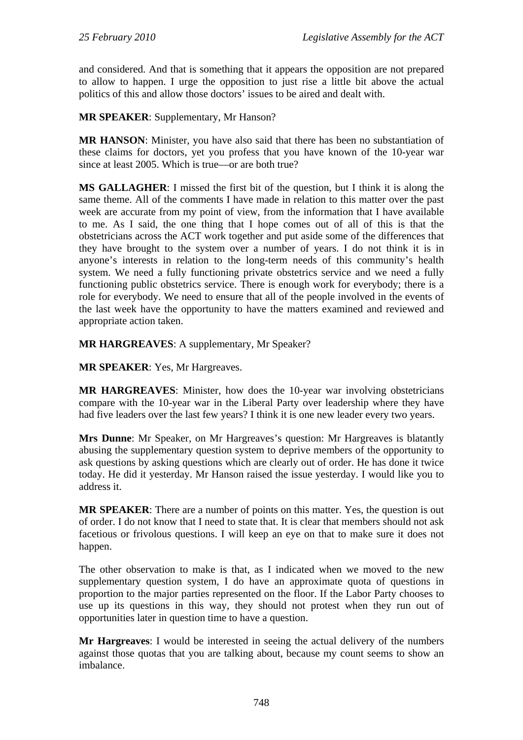and considered. And that is something that it appears the opposition are not prepared to allow to happen. I urge the opposition to just rise a little bit above the actual politics of this and allow those doctors' issues to be aired and dealt with.

**MR SPEAKER**: Supplementary, Mr Hanson?

**MR HANSON**: Minister, you have also said that there has been no substantiation of these claims for doctors, yet you profess that you have known of the 10-year war since at least 2005. Which is true—or are both true?

**MS GALLAGHER**: I missed the first bit of the question, but I think it is along the same theme. All of the comments I have made in relation to this matter over the past week are accurate from my point of view, from the information that I have available to me. As I said, the one thing that I hope comes out of all of this is that the obstetricians across the ACT work together and put aside some of the differences that they have brought to the system over a number of years. I do not think it is in anyone's interests in relation to the long-term needs of this community's health system. We need a fully functioning private obstetrics service and we need a fully functioning public obstetrics service. There is enough work for everybody; there is a role for everybody. We need to ensure that all of the people involved in the events of the last week have the opportunity to have the matters examined and reviewed and appropriate action taken.

**MR HARGREAVES**: A supplementary, Mr Speaker?

**MR SPEAKER**: Yes, Mr Hargreaves.

**MR HARGREAVES**: Minister, how does the 10-year war involving obstetricians compare with the 10-year war in the Liberal Party over leadership where they have had five leaders over the last few years? I think it is one new leader every two years.

**Mrs Dunne**: Mr Speaker, on Mr Hargreaves's question: Mr Hargreaves is blatantly abusing the supplementary question system to deprive members of the opportunity to ask questions by asking questions which are clearly out of order. He has done it twice today. He did it yesterday. Mr Hanson raised the issue yesterday. I would like you to address it.

**MR SPEAKER**: There are a number of points on this matter. Yes, the question is out of order. I do not know that I need to state that. It is clear that members should not ask facetious or frivolous questions. I will keep an eye on that to make sure it does not happen.

The other observation to make is that, as I indicated when we moved to the new supplementary question system, I do have an approximate quota of questions in proportion to the major parties represented on the floor. If the Labor Party chooses to use up its questions in this way, they should not protest when they run out of opportunities later in question time to have a question.

**Mr Hargreaves**: I would be interested in seeing the actual delivery of the numbers against those quotas that you are talking about, because my count seems to show an imbalance.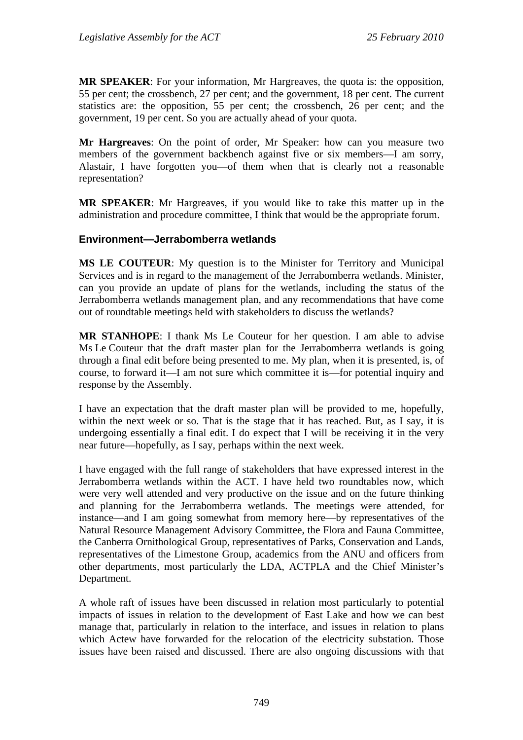**MR SPEAKER**: For your information, Mr Hargreaves, the quota is: the opposition, 55 per cent; the crossbench, 27 per cent; and the government, 18 per cent. The current statistics are: the opposition, 55 per cent; the crossbench, 26 per cent; and the government, 19 per cent. So you are actually ahead of your quota.

**Mr Hargreaves**: On the point of order, Mr Speaker: how can you measure two members of the government backbench against five or six members—I am sorry, Alastair, I have forgotten you—of them when that is clearly not a reasonable representation?

**MR SPEAKER**: Mr Hargreaves, if you would like to take this matter up in the administration and procedure committee, I think that would be the appropriate forum.

#### **Environment—Jerrabomberra wetlands**

**MS LE COUTEUR**: My question is to the Minister for Territory and Municipal Services and is in regard to the management of the Jerrabomberra wetlands. Minister, can you provide an update of plans for the wetlands, including the status of the Jerrabomberra wetlands management plan, and any recommendations that have come out of roundtable meetings held with stakeholders to discuss the wetlands?

**MR STANHOPE**: I thank Ms Le Couteur for her question. I am able to advise Ms Le Couteur that the draft master plan for the Jerrabomberra wetlands is going through a final edit before being presented to me. My plan, when it is presented, is, of course, to forward it—I am not sure which committee it is—for potential inquiry and response by the Assembly.

I have an expectation that the draft master plan will be provided to me, hopefully, within the next week or so. That is the stage that it has reached. But, as I say, it is undergoing essentially a final edit. I do expect that I will be receiving it in the very near future—hopefully, as I say, perhaps within the next week.

I have engaged with the full range of stakeholders that have expressed interest in the Jerrabomberra wetlands within the ACT. I have held two roundtables now, which were very well attended and very productive on the issue and on the future thinking and planning for the Jerrabomberra wetlands. The meetings were attended, for instance—and I am going somewhat from memory here—by representatives of the Natural Resource Management Advisory Committee, the Flora and Fauna Committee, the Canberra Ornithological Group, representatives of Parks, Conservation and Lands, representatives of the Limestone Group, academics from the ANU and officers from other departments, most particularly the LDA, ACTPLA and the Chief Minister's Department.

A whole raft of issues have been discussed in relation most particularly to potential impacts of issues in relation to the development of East Lake and how we can best manage that, particularly in relation to the interface, and issues in relation to plans which Actew have forwarded for the relocation of the electricity substation. Those issues have been raised and discussed. There are also ongoing discussions with that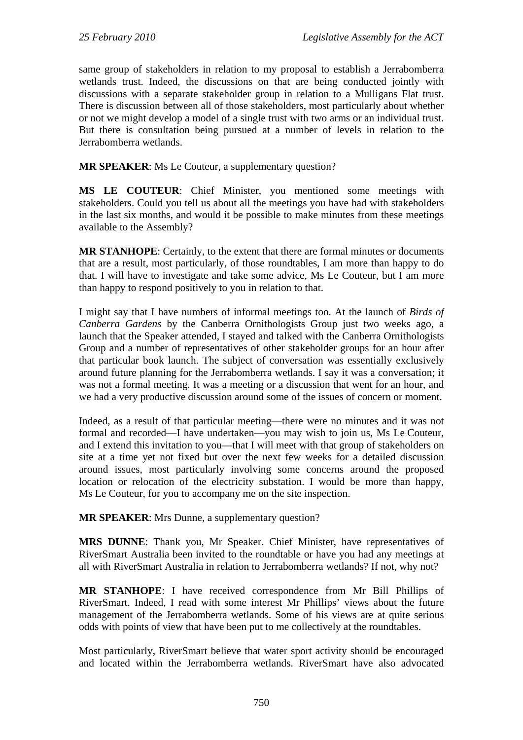same group of stakeholders in relation to my proposal to establish a Jerrabomberra wetlands trust. Indeed, the discussions on that are being conducted jointly with discussions with a separate stakeholder group in relation to a Mulligans Flat trust. There is discussion between all of those stakeholders, most particularly about whether or not we might develop a model of a single trust with two arms or an individual trust. But there is consultation being pursued at a number of levels in relation to the Jerrabomberra wetlands.

**MR SPEAKER**: Ms Le Couteur, a supplementary question?

**MS LE COUTEUR**: Chief Minister, you mentioned some meetings with stakeholders. Could you tell us about all the meetings you have had with stakeholders in the last six months, and would it be possible to make minutes from these meetings available to the Assembly?

**MR STANHOPE**: Certainly, to the extent that there are formal minutes or documents that are a result, most particularly, of those roundtables, I am more than happy to do that. I will have to investigate and take some advice, Ms Le Couteur, but I am more than happy to respond positively to you in relation to that.

I might say that I have numbers of informal meetings too. At the launch of *Birds of Canberra Gardens* by the Canberra Ornithologists Group just two weeks ago, a launch that the Speaker attended, I stayed and talked with the Canberra Ornithologists Group and a number of representatives of other stakeholder groups for an hour after that particular book launch. The subject of conversation was essentially exclusively around future planning for the Jerrabomberra wetlands. I say it was a conversation; it was not a formal meeting. It was a meeting or a discussion that went for an hour, and we had a very productive discussion around some of the issues of concern or moment.

Indeed, as a result of that particular meeting—there were no minutes and it was not formal and recorded—I have undertaken—you may wish to join us, Ms Le Couteur, and I extend this invitation to you—that I will meet with that group of stakeholders on site at a time yet not fixed but over the next few weeks for a detailed discussion around issues, most particularly involving some concerns around the proposed location or relocation of the electricity substation. I would be more than happy, Ms Le Couteur, for you to accompany me on the site inspection.

**MR SPEAKER:** Mrs Dunne, a supplementary question?

**MRS DUNNE**: Thank you, Mr Speaker. Chief Minister, have representatives of RiverSmart Australia been invited to the roundtable or have you had any meetings at all with RiverSmart Australia in relation to Jerrabomberra wetlands? If not, why not?

**MR STANHOPE**: I have received correspondence from Mr Bill Phillips of RiverSmart. Indeed, I read with some interest Mr Phillips' views about the future management of the Jerrabomberra wetlands. Some of his views are at quite serious odds with points of view that have been put to me collectively at the roundtables.

Most particularly, RiverSmart believe that water sport activity should be encouraged and located within the Jerrabomberra wetlands. RiverSmart have also advocated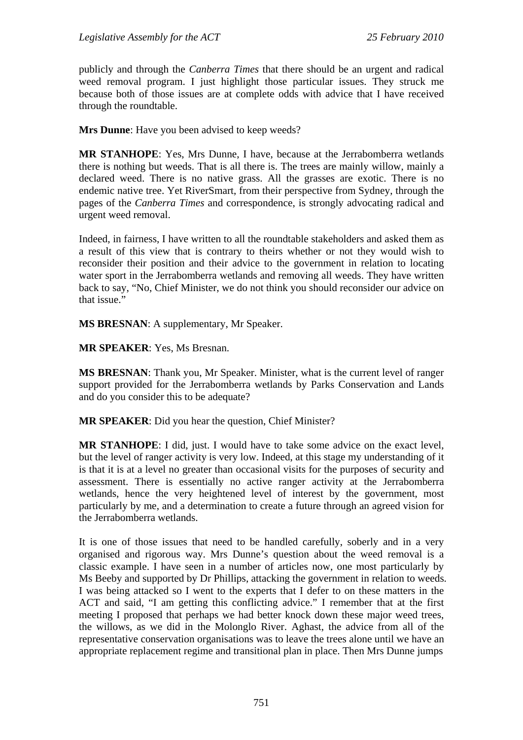publicly and through the *Canberra Times* that there should be an urgent and radical weed removal program. I just highlight those particular issues. They struck me because both of those issues are at complete odds with advice that I have received through the roundtable.

**Mrs Dunne**: Have you been advised to keep weeds?

**MR STANHOPE**: Yes, Mrs Dunne, I have, because at the Jerrabomberra wetlands there is nothing but weeds. That is all there is. The trees are mainly willow, mainly a declared weed. There is no native grass. All the grasses are exotic. There is no endemic native tree. Yet RiverSmart, from their perspective from Sydney, through the pages of the *Canberra Times* and correspondence, is strongly advocating radical and urgent weed removal.

Indeed, in fairness, I have written to all the roundtable stakeholders and asked them as a result of this view that is contrary to theirs whether or not they would wish to reconsider their position and their advice to the government in relation to locating water sport in the Jerrabomberra wetlands and removing all weeds. They have written back to say, "No, Chief Minister, we do not think you should reconsider our advice on that issue."

**MS BRESNAN**: A supplementary, Mr Speaker.

**MR SPEAKER**: Yes, Ms Bresnan.

**MS BRESNAN**: Thank you, Mr Speaker. Minister, what is the current level of ranger support provided for the Jerrabomberra wetlands by Parks Conservation and Lands and do you consider this to be adequate?

**MR SPEAKER**: Did you hear the question, Chief Minister?

**MR STANHOPE**: I did, just. I would have to take some advice on the exact level, but the level of ranger activity is very low. Indeed, at this stage my understanding of it is that it is at a level no greater than occasional visits for the purposes of security and assessment. There is essentially no active ranger activity at the Jerrabomberra wetlands, hence the very heightened level of interest by the government, most particularly by me, and a determination to create a future through an agreed vision for the Jerrabomberra wetlands.

It is one of those issues that need to be handled carefully, soberly and in a very organised and rigorous way. Mrs Dunne's question about the weed removal is a classic example. I have seen in a number of articles now, one most particularly by Ms Beeby and supported by Dr Phillips, attacking the government in relation to weeds. I was being attacked so I went to the experts that I defer to on these matters in the ACT and said, "I am getting this conflicting advice." I remember that at the first meeting I proposed that perhaps we had better knock down these major weed trees, the willows, as we did in the Molonglo River. Aghast, the advice from all of the representative conservation organisations was to leave the trees alone until we have an appropriate replacement regime and transitional plan in place. Then Mrs Dunne jumps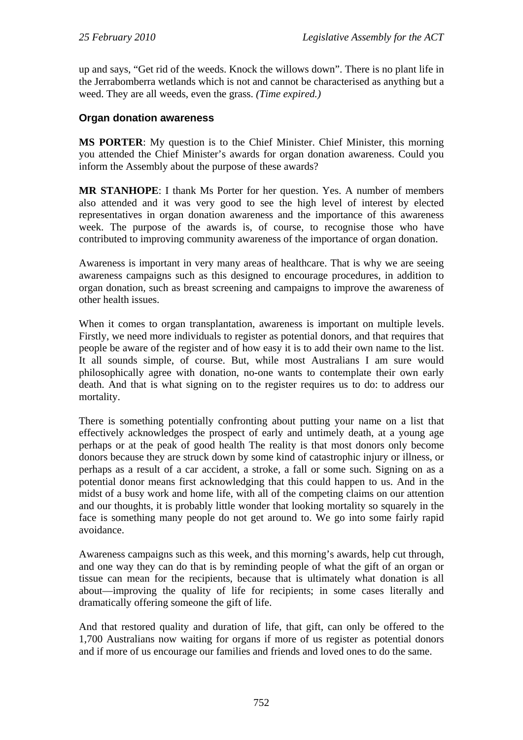up and says, "Get rid of the weeds. Knock the willows down". There is no plant life in the Jerrabomberra wetlands which is not and cannot be characterised as anything but a weed. They are all weeds, even the grass. *(Time expired.)*

### **Organ donation awareness**

**MS PORTER**: My question is to the Chief Minister. Chief Minister, this morning you attended the Chief Minister's awards for organ donation awareness. Could you inform the Assembly about the purpose of these awards?

**MR STANHOPE**: I thank Ms Porter for her question. Yes. A number of members also attended and it was very good to see the high level of interest by elected representatives in organ donation awareness and the importance of this awareness week. The purpose of the awards is, of course, to recognise those who have contributed to improving community awareness of the importance of organ donation.

Awareness is important in very many areas of healthcare. That is why we are seeing awareness campaigns such as this designed to encourage procedures, in addition to organ donation, such as breast screening and campaigns to improve the awareness of other health issues.

When it comes to organ transplantation, awareness is important on multiple levels. Firstly, we need more individuals to register as potential donors, and that requires that people be aware of the register and of how easy it is to add their own name to the list. It all sounds simple, of course. But, while most Australians I am sure would philosophically agree with donation, no-one wants to contemplate their own early death. And that is what signing on to the register requires us to do: to address our mortality.

There is something potentially confronting about putting your name on a list that effectively acknowledges the prospect of early and untimely death, at a young age perhaps or at the peak of good health The reality is that most donors only become donors because they are struck down by some kind of catastrophic injury or illness, or perhaps as a result of a car accident, a stroke, a fall or some such. Signing on as a potential donor means first acknowledging that this could happen to us. And in the midst of a busy work and home life, with all of the competing claims on our attention and our thoughts, it is probably little wonder that looking mortality so squarely in the face is something many people do not get around to. We go into some fairly rapid avoidance.

Awareness campaigns such as this week, and this morning's awards, help cut through, and one way they can do that is by reminding people of what the gift of an organ or tissue can mean for the recipients, because that is ultimately what donation is all about—improving the quality of life for recipients; in some cases literally and dramatically offering someone the gift of life.

And that restored quality and duration of life, that gift, can only be offered to the 1,700 Australians now waiting for organs if more of us register as potential donors and if more of us encourage our families and friends and loved ones to do the same.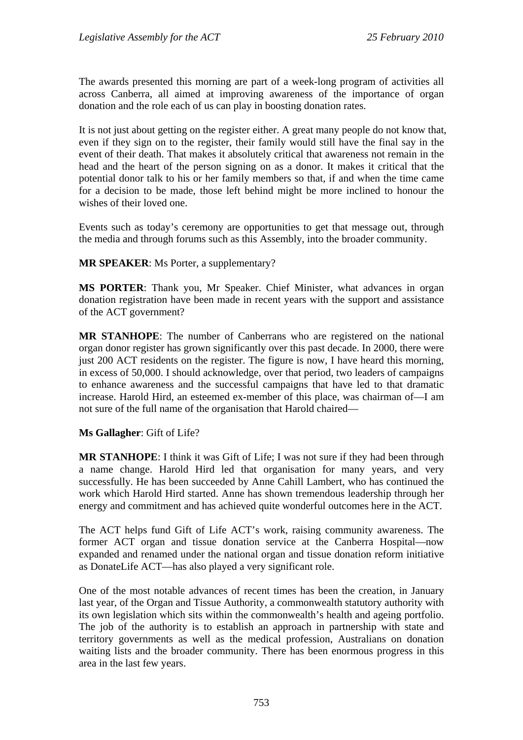The awards presented this morning are part of a week-long program of activities all across Canberra, all aimed at improving awareness of the importance of organ donation and the role each of us can play in boosting donation rates.

It is not just about getting on the register either. A great many people do not know that, even if they sign on to the register, their family would still have the final say in the event of their death. That makes it absolutely critical that awareness not remain in the head and the heart of the person signing on as a donor. It makes it critical that the potential donor talk to his or her family members so that, if and when the time came for a decision to be made, those left behind might be more inclined to honour the wishes of their loved one.

Events such as today's ceremony are opportunities to get that message out, through the media and through forums such as this Assembly, into the broader community.

**MR SPEAKER**: Ms Porter, a supplementary?

**MS PORTER**: Thank you, Mr Speaker. Chief Minister, what advances in organ donation registration have been made in recent years with the support and assistance of the ACT government?

**MR STANHOPE**: The number of Canberrans who are registered on the national organ donor register has grown significantly over this past decade. In 2000, there were just 200 ACT residents on the register. The figure is now, I have heard this morning, in excess of 50,000. I should acknowledge, over that period, two leaders of campaigns to enhance awareness and the successful campaigns that have led to that dramatic increase. Harold Hird, an esteemed ex-member of this place, was chairman of—I am not sure of the full name of the organisation that Harold chaired—

**Ms Gallagher**: Gift of Life?

**MR STANHOPE**: I think it was Gift of Life; I was not sure if they had been through a name change. Harold Hird led that organisation for many years, and very successfully. He has been succeeded by Anne Cahill Lambert, who has continued the work which Harold Hird started. Anne has shown tremendous leadership through her energy and commitment and has achieved quite wonderful outcomes here in the ACT.

The ACT helps fund Gift of Life ACT's work, raising community awareness. The former ACT organ and tissue donation service at the Canberra Hospital—now expanded and renamed under the national organ and tissue donation reform initiative as DonateLife ACT—has also played a very significant role.

One of the most notable advances of recent times has been the creation, in January last year, of the Organ and Tissue Authority, a commonwealth statutory authority with its own legislation which sits within the commonwealth's health and ageing portfolio. The job of the authority is to establish an approach in partnership with state and territory governments as well as the medical profession, Australians on donation waiting lists and the broader community. There has been enormous progress in this area in the last few years.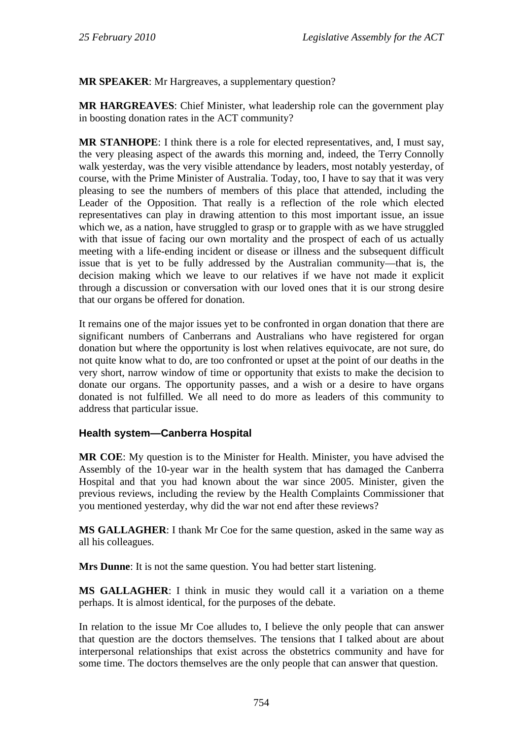**MR SPEAKER**: Mr Hargreaves, a supplementary question?

**MR HARGREAVES**: Chief Minister, what leadership role can the government play in boosting donation rates in the ACT community?

**MR STANHOPE**: I think there is a role for elected representatives, and, I must say, the very pleasing aspect of the awards this morning and, indeed, the Terry Connolly walk yesterday, was the very visible attendance by leaders, most notably yesterday, of course, with the Prime Minister of Australia. Today, too, I have to say that it was very pleasing to see the numbers of members of this place that attended, including the Leader of the Opposition. That really is a reflection of the role which elected representatives can play in drawing attention to this most important issue, an issue which we, as a nation, have struggled to grasp or to grapple with as we have struggled with that issue of facing our own mortality and the prospect of each of us actually meeting with a life-ending incident or disease or illness and the subsequent difficult issue that is yet to be fully addressed by the Australian community—that is, the decision making which we leave to our relatives if we have not made it explicit through a discussion or conversation with our loved ones that it is our strong desire that our organs be offered for donation.

It remains one of the major issues yet to be confronted in organ donation that there are significant numbers of Canberrans and Australians who have registered for organ donation but where the opportunity is lost when relatives equivocate, are not sure, do not quite know what to do, are too confronted or upset at the point of our deaths in the very short, narrow window of time or opportunity that exists to make the decision to donate our organs. The opportunity passes, and a wish or a desire to have organs donated is not fulfilled. We all need to do more as leaders of this community to address that particular issue.

# **Health system—Canberra Hospital**

**MR COE**: My question is to the Minister for Health. Minister, you have advised the Assembly of the 10-year war in the health system that has damaged the Canberra Hospital and that you had known about the war since 2005. Minister, given the previous reviews, including the review by the Health Complaints Commissioner that you mentioned yesterday, why did the war not end after these reviews?

**MS GALLAGHER**: I thank Mr Coe for the same question, asked in the same way as all his colleagues.

**Mrs Dunne**: It is not the same question. You had better start listening.

**MS GALLAGHER**: I think in music they would call it a variation on a theme perhaps. It is almost identical, for the purposes of the debate.

In relation to the issue Mr Coe alludes to, I believe the only people that can answer that question are the doctors themselves. The tensions that I talked about are about interpersonal relationships that exist across the obstetrics community and have for some time. The doctors themselves are the only people that can answer that question.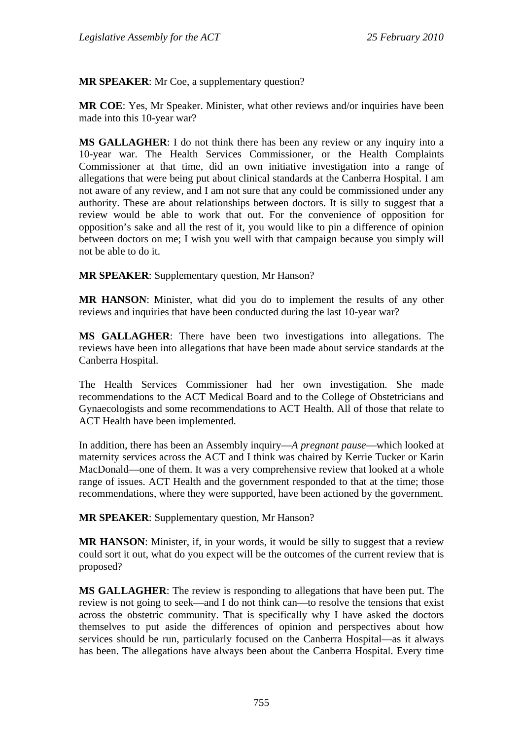**MR SPEAKER**: Mr Coe, a supplementary question?

**MR COE**: Yes, Mr Speaker. Minister, what other reviews and/or inquiries have been made into this 10-year war?

**MS GALLAGHER**: I do not think there has been any review or any inquiry into a 10-year war. The Health Services Commissioner, or the Health Complaints Commissioner at that time, did an own initiative investigation into a range of allegations that were being put about clinical standards at the Canberra Hospital. I am not aware of any review, and I am not sure that any could be commissioned under any authority. These are about relationships between doctors. It is silly to suggest that a review would be able to work that out. For the convenience of opposition for opposition's sake and all the rest of it, you would like to pin a difference of opinion between doctors on me; I wish you well with that campaign because you simply will not be able to do it.

**MR SPEAKER:** Supplementary question, Mr Hanson?

**MR HANSON**: Minister, what did you do to implement the results of any other reviews and inquiries that have been conducted during the last 10-year war?

**MS GALLAGHER**: There have been two investigations into allegations. The reviews have been into allegations that have been made about service standards at the Canberra Hospital.

The Health Services Commissioner had her own investigation. She made recommendations to the ACT Medical Board and to the College of Obstetricians and Gynaecologists and some recommendations to ACT Health. All of those that relate to ACT Health have been implemented.

In addition, there has been an Assembly inquiry—*A pregnant pause*—which looked at maternity services across the ACT and I think was chaired by Kerrie Tucker or Karin MacDonald—one of them. It was a very comprehensive review that looked at a whole range of issues. ACT Health and the government responded to that at the time; those recommendations, where they were supported, have been actioned by the government.

**MR SPEAKER**: Supplementary question, Mr Hanson?

**MR HANSON**: Minister, if, in your words, it would be silly to suggest that a review could sort it out, what do you expect will be the outcomes of the current review that is proposed?

**MS GALLAGHER**: The review is responding to allegations that have been put. The review is not going to seek—and I do not think can—to resolve the tensions that exist across the obstetric community. That is specifically why I have asked the doctors themselves to put aside the differences of opinion and perspectives about how services should be run, particularly focused on the Canberra Hospital—as it always has been. The allegations have always been about the Canberra Hospital. Every time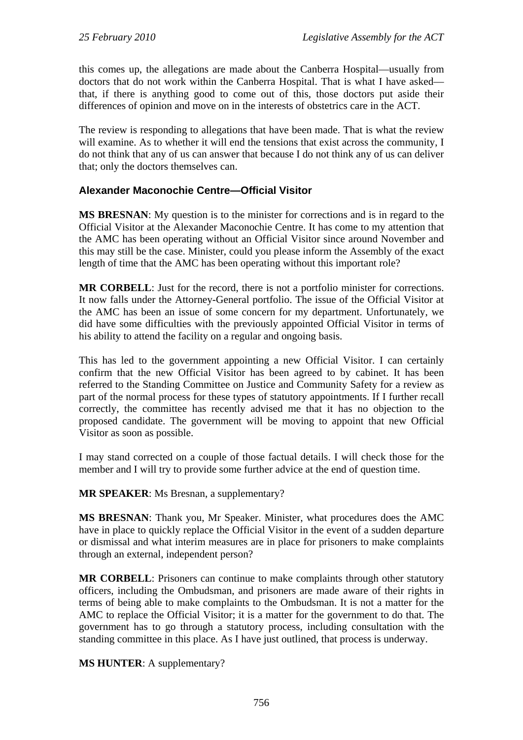this comes up, the allegations are made about the Canberra Hospital—usually from doctors that do not work within the Canberra Hospital. That is what I have asked that, if there is anything good to come out of this, those doctors put aside their differences of opinion and move on in the interests of obstetrics care in the ACT.

The review is responding to allegations that have been made. That is what the review will examine. As to whether it will end the tensions that exist across the community, I do not think that any of us can answer that because I do not think any of us can deliver that; only the doctors themselves can.

## **Alexander Maconochie Centre—Official Visitor**

**MS BRESNAN**: My question is to the minister for corrections and is in regard to the Official Visitor at the Alexander Maconochie Centre. It has come to my attention that the AMC has been operating without an Official Visitor since around November and this may still be the case. Minister, could you please inform the Assembly of the exact length of time that the AMC has been operating without this important role?

**MR CORBELL**: Just for the record, there is not a portfolio minister for corrections. It now falls under the Attorney-General portfolio. The issue of the Official Visitor at the AMC has been an issue of some concern for my department. Unfortunately, we did have some difficulties with the previously appointed Official Visitor in terms of his ability to attend the facility on a regular and ongoing basis.

This has led to the government appointing a new Official Visitor. I can certainly confirm that the new Official Visitor has been agreed to by cabinet. It has been referred to the Standing Committee on Justice and Community Safety for a review as part of the normal process for these types of statutory appointments. If I further recall correctly, the committee has recently advised me that it has no objection to the proposed candidate. The government will be moving to appoint that new Official Visitor as soon as possible.

I may stand corrected on a couple of those factual details. I will check those for the member and I will try to provide some further advice at the end of question time.

**MR SPEAKER**: Ms Bresnan, a supplementary?

**MS BRESNAN**: Thank you, Mr Speaker. Minister, what procedures does the AMC have in place to quickly replace the Official Visitor in the event of a sudden departure or dismissal and what interim measures are in place for prisoners to make complaints through an external, independent person?

**MR CORBELL**: Prisoners can continue to make complaints through other statutory officers, including the Ombudsman, and prisoners are made aware of their rights in terms of being able to make complaints to the Ombudsman. It is not a matter for the AMC to replace the Official Visitor; it is a matter for the government to do that. The government has to go through a statutory process, including consultation with the standing committee in this place. As I have just outlined, that process is underway.

**MS HUNTER**: A supplementary?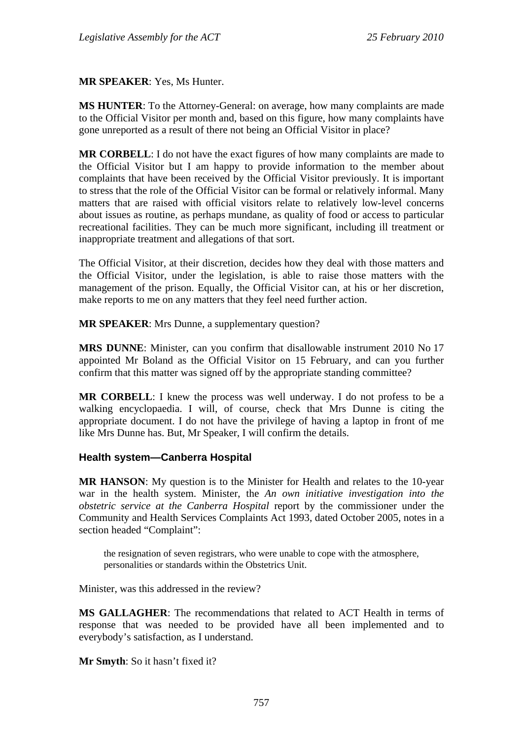**MR SPEAKER**: Yes, Ms Hunter.

**MS HUNTER**: To the Attorney-General: on average, how many complaints are made to the Official Visitor per month and, based on this figure, how many complaints have gone unreported as a result of there not being an Official Visitor in place?

**MR CORBELL**: I do not have the exact figures of how many complaints are made to the Official Visitor but I am happy to provide information to the member about complaints that have been received by the Official Visitor previously. It is important to stress that the role of the Official Visitor can be formal or relatively informal. Many matters that are raised with official visitors relate to relatively low-level concerns about issues as routine, as perhaps mundane, as quality of food or access to particular recreational facilities. They can be much more significant, including ill treatment or inappropriate treatment and allegations of that sort.

The Official Visitor, at their discretion, decides how they deal with those matters and the Official Visitor, under the legislation, is able to raise those matters with the management of the prison. Equally, the Official Visitor can, at his or her discretion, make reports to me on any matters that they feel need further action.

**MR SPEAKER**: Mrs Dunne, a supplementary question?

**MRS DUNNE**: Minister, can you confirm that disallowable instrument 2010 No 17 appointed Mr Boland as the Official Visitor on 15 February, and can you further confirm that this matter was signed off by the appropriate standing committee?

**MR CORBELL**: I knew the process was well underway. I do not profess to be a walking encyclopaedia. I will, of course, check that Mrs Dunne is citing the appropriate document. I do not have the privilege of having a laptop in front of me like Mrs Dunne has. But, Mr Speaker, I will confirm the details.

#### **Health system—Canberra Hospital**

**MR HANSON**: My question is to the Minister for Health and relates to the 10-year war in the health system. Minister, the *An own initiative investigation into the obstetric service at the Canberra Hospital* report by the commissioner under the Community and Health Services Complaints Act 1993, dated October 2005, notes in a section headed "Complaint":

the resignation of seven registrars, who were unable to cope with the atmosphere, personalities or standards within the Obstetrics Unit.

Minister, was this addressed in the review?

**MS GALLAGHER**: The recommendations that related to ACT Health in terms of response that was needed to be provided have all been implemented and to everybody's satisfaction, as I understand.

**Mr Smyth**: So it hasn't fixed it?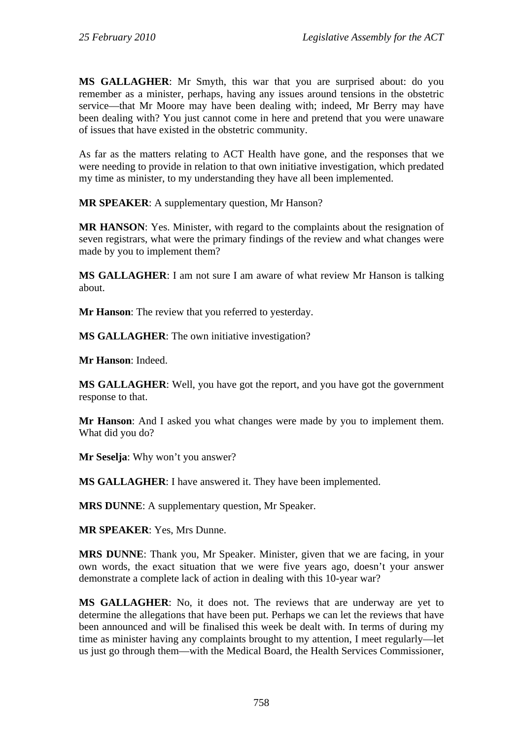**MS GALLAGHER**: Mr Smyth, this war that you are surprised about: do you remember as a minister, perhaps, having any issues around tensions in the obstetric service—that Mr Moore may have been dealing with; indeed, Mr Berry may have been dealing with? You just cannot come in here and pretend that you were unaware of issues that have existed in the obstetric community.

As far as the matters relating to ACT Health have gone, and the responses that we were needing to provide in relation to that own initiative investigation, which predated my time as minister, to my understanding they have all been implemented.

**MR SPEAKER**: A supplementary question, Mr Hanson?

**MR HANSON**: Yes. Minister, with regard to the complaints about the resignation of seven registrars, what were the primary findings of the review and what changes were made by you to implement them?

**MS GALLAGHER**: I am not sure I am aware of what review Mr Hanson is talking about.

**Mr Hanson**: The review that you referred to yesterday.

**MS GALLAGHER**: The own initiative investigation?

**Mr Hanson**: Indeed.

**MS GALLAGHER**: Well, you have got the report, and you have got the government response to that.

**Mr Hanson**: And I asked you what changes were made by you to implement them. What did you do?

**Mr Seselja**: Why won't you answer?

**MS GALLAGHER**: I have answered it. They have been implemented.

**MRS DUNNE**: A supplementary question, Mr Speaker.

**MR SPEAKER**: Yes, Mrs Dunne.

**MRS DUNNE**: Thank you, Mr Speaker. Minister, given that we are facing, in your own words, the exact situation that we were five years ago, doesn't your answer demonstrate a complete lack of action in dealing with this 10-year war?

**MS GALLAGHER**: No, it does not. The reviews that are underway are yet to determine the allegations that have been put. Perhaps we can let the reviews that have been announced and will be finalised this week be dealt with. In terms of during my time as minister having any complaints brought to my attention, I meet regularly—let us just go through them—with the Medical Board, the Health Services Commissioner,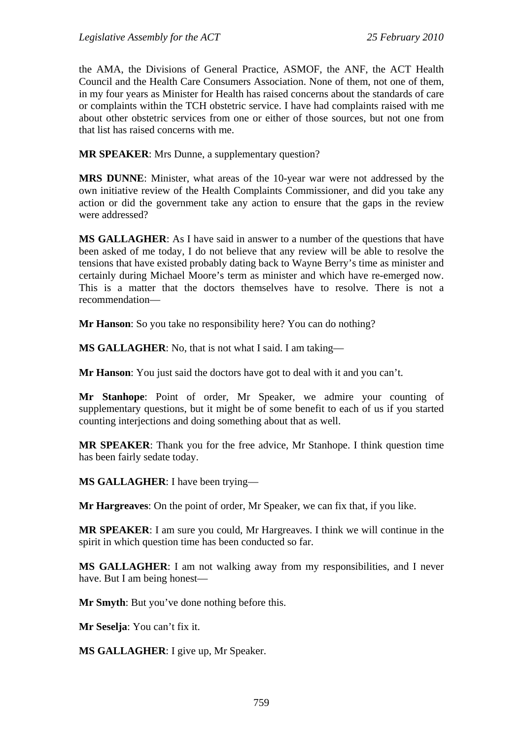the AMA, the Divisions of General Practice, ASMOF, the ANF, the ACT Health Council and the Health Care Consumers Association. None of them, not one of them, in my four years as Minister for Health has raised concerns about the standards of care or complaints within the TCH obstetric service. I have had complaints raised with me about other obstetric services from one or either of those sources, but not one from that list has raised concerns with me.

**MR SPEAKER**: Mrs Dunne, a supplementary question?

**MRS DUNNE**: Minister, what areas of the 10-year war were not addressed by the own initiative review of the Health Complaints Commissioner, and did you take any action or did the government take any action to ensure that the gaps in the review were addressed?

**MS GALLAGHER**: As I have said in answer to a number of the questions that have been asked of me today, I do not believe that any review will be able to resolve the tensions that have existed probably dating back to Wayne Berry's time as minister and certainly during Michael Moore's term as minister and which have re-emerged now. This is a matter that the doctors themselves have to resolve. There is not a recommendation—

**Mr Hanson**: So you take no responsibility here? You can do nothing?

**MS GALLAGHER**: No, that is not what I said. I am taking—

**Mr Hanson**: You just said the doctors have got to deal with it and you can't.

**Mr Stanhope**: Point of order, Mr Speaker, we admire your counting of supplementary questions, but it might be of some benefit to each of us if you started counting interjections and doing something about that as well.

**MR SPEAKER**: Thank you for the free advice, Mr Stanhope. I think question time has been fairly sedate today.

**MS GALLAGHER**: I have been trying—

**Mr Hargreaves**: On the point of order, Mr Speaker, we can fix that, if you like.

**MR SPEAKER**: I am sure you could, Mr Hargreaves. I think we will continue in the spirit in which question time has been conducted so far.

**MS GALLAGHER**: I am not walking away from my responsibilities, and I never have. But I am being honest—

**Mr Smyth**: But you've done nothing before this.

**Mr Seselja**: You can't fix it.

**MS GALLAGHER**: I give up, Mr Speaker.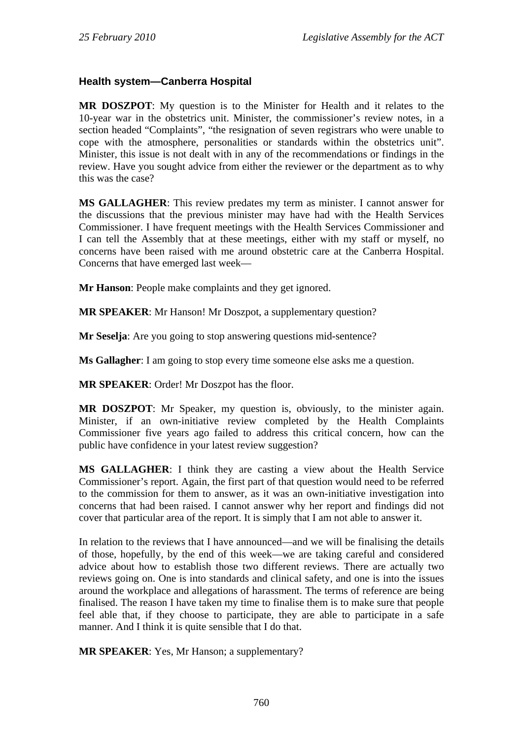## **Health system—Canberra Hospital**

**MR DOSZPOT**: My question is to the Minister for Health and it relates to the 10-year war in the obstetrics unit. Minister, the commissioner's review notes, in a section headed "Complaints", "the resignation of seven registrars who were unable to cope with the atmosphere, personalities or standards within the obstetrics unit". Minister, this issue is not dealt with in any of the recommendations or findings in the review. Have you sought advice from either the reviewer or the department as to why this was the case?

**MS GALLAGHER**: This review predates my term as minister. I cannot answer for the discussions that the previous minister may have had with the Health Services Commissioner. I have frequent meetings with the Health Services Commissioner and I can tell the Assembly that at these meetings, either with my staff or myself, no concerns have been raised with me around obstetric care at the Canberra Hospital. Concerns that have emerged last week—

**Mr Hanson**: People make complaints and they get ignored.

**MR SPEAKER**: Mr Hanson! Mr Doszpot, a supplementary question?

**Mr Seselia:** Are you going to stop answering questions mid-sentence?

**Ms Gallagher**: I am going to stop every time someone else asks me a question.

**MR SPEAKER**: Order! Mr Doszpot has the floor.

**MR DOSZPOT**: Mr Speaker, my question is, obviously, to the minister again. Minister, if an own-initiative review completed by the Health Complaints Commissioner five years ago failed to address this critical concern, how can the public have confidence in your latest review suggestion?

**MS GALLAGHER**: I think they are casting a view about the Health Service Commissioner's report. Again, the first part of that question would need to be referred to the commission for them to answer, as it was an own-initiative investigation into concerns that had been raised. I cannot answer why her report and findings did not cover that particular area of the report. It is simply that I am not able to answer it.

In relation to the reviews that I have announced—and we will be finalising the details of those, hopefully, by the end of this week—we are taking careful and considered advice about how to establish those two different reviews. There are actually two reviews going on. One is into standards and clinical safety, and one is into the issues around the workplace and allegations of harassment. The terms of reference are being finalised. The reason I have taken my time to finalise them is to make sure that people feel able that, if they choose to participate, they are able to participate in a safe manner. And I think it is quite sensible that I do that.

**MR SPEAKER**: Yes, Mr Hanson; a supplementary?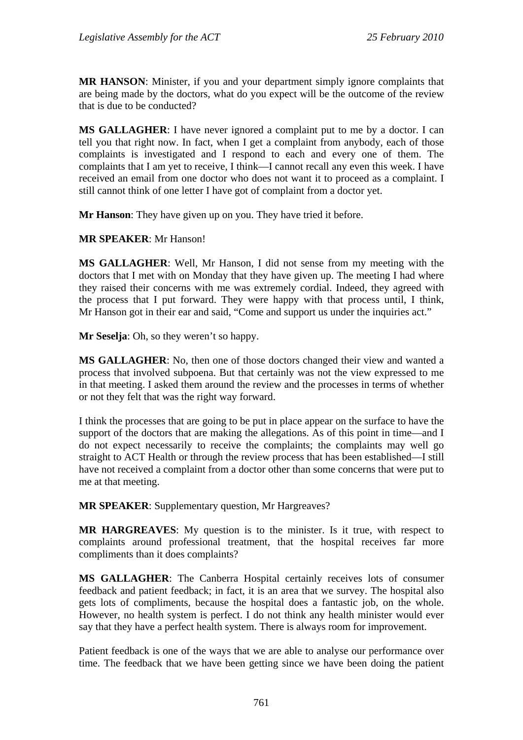**MR HANSON**: Minister, if you and your department simply ignore complaints that are being made by the doctors, what do you expect will be the outcome of the review that is due to be conducted?

**MS GALLAGHER**: I have never ignored a complaint put to me by a doctor. I can tell you that right now. In fact, when I get a complaint from anybody, each of those complaints is investigated and I respond to each and every one of them. The complaints that I am yet to receive, I think—I cannot recall any even this week. I have received an email from one doctor who does not want it to proceed as a complaint. I still cannot think of one letter I have got of complaint from a doctor yet.

**Mr Hanson**: They have given up on you. They have tried it before.

**MR SPEAKER**: Mr Hanson!

**MS GALLAGHER**: Well, Mr Hanson, I did not sense from my meeting with the doctors that I met with on Monday that they have given up. The meeting I had where they raised their concerns with me was extremely cordial. Indeed, they agreed with the process that I put forward. They were happy with that process until, I think, Mr Hanson got in their ear and said, "Come and support us under the inquiries act."

**Mr Seselja**: Oh, so they weren't so happy.

**MS GALLAGHER**: No, then one of those doctors changed their view and wanted a process that involved subpoena. But that certainly was not the view expressed to me in that meeting. I asked them around the review and the processes in terms of whether or not they felt that was the right way forward.

I think the processes that are going to be put in place appear on the surface to have the support of the doctors that are making the allegations. As of this point in time—and I do not expect necessarily to receive the complaints; the complaints may well go straight to ACT Health or through the review process that has been established—I still have not received a complaint from a doctor other than some concerns that were put to me at that meeting.

**MR SPEAKER**: Supplementary question, Mr Hargreaves?

**MR HARGREAVES**: My question is to the minister. Is it true, with respect to complaints around professional treatment, that the hospital receives far more compliments than it does complaints?

**MS GALLAGHER**: The Canberra Hospital certainly receives lots of consumer feedback and patient feedback; in fact, it is an area that we survey. The hospital also gets lots of compliments, because the hospital does a fantastic job, on the whole. However, no health system is perfect. I do not think any health minister would ever say that they have a perfect health system. There is always room for improvement.

Patient feedback is one of the ways that we are able to analyse our performance over time. The feedback that we have been getting since we have been doing the patient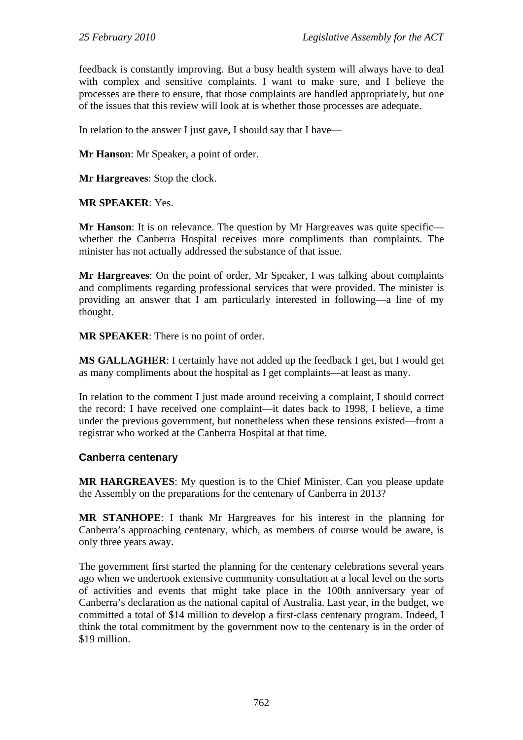feedback is constantly improving. But a busy health system will always have to deal with complex and sensitive complaints. I want to make sure, and I believe the processes are there to ensure, that those complaints are handled appropriately, but one of the issues that this review will look at is whether those processes are adequate.

In relation to the answer I just gave, I should say that I have—

**Mr Hanson**: Mr Speaker, a point of order.

**Mr Hargreaves**: Stop the clock.

**MR SPEAKER**: Yes.

**Mr Hanson**: It is on relevance. The question by Mr Hargreaves was quite specific whether the Canberra Hospital receives more compliments than complaints. The minister has not actually addressed the substance of that issue.

**Mr Hargreaves**: On the point of order, Mr Speaker, I was talking about complaints and compliments regarding professional services that were provided. The minister is providing an answer that I am particularly interested in following—a line of my thought.

**MR SPEAKER**: There is no point of order.

**MS GALLAGHER**: I certainly have not added up the feedback I get, but I would get as many compliments about the hospital as I get complaints—at least as many.

In relation to the comment I just made around receiving a complaint, I should correct the record: I have received one complaint—it dates back to 1998, I believe, a time under the previous government, but nonetheless when these tensions existed—from a registrar who worked at the Canberra Hospital at that time.

#### **Canberra centenary**

**MR HARGREAVES**: My question is to the Chief Minister. Can you please update the Assembly on the preparations for the centenary of Canberra in 2013?

**MR STANHOPE**: I thank Mr Hargreaves for his interest in the planning for Canberra's approaching centenary, which, as members of course would be aware, is only three years away.

The government first started the planning for the centenary celebrations several years ago when we undertook extensive community consultation at a local level on the sorts of activities and events that might take place in the 100th anniversary year of Canberra's declaration as the national capital of Australia. Last year, in the budget, we committed a total of \$14 million to develop a first-class centenary program. Indeed, I think the total commitment by the government now to the centenary is in the order of \$19 million.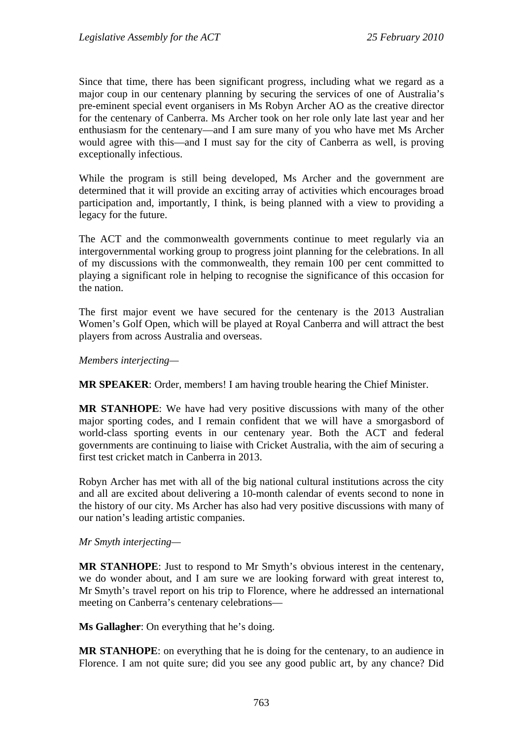Since that time, there has been significant progress, including what we regard as a major coup in our centenary planning by securing the services of one of Australia's pre-eminent special event organisers in Ms Robyn Archer AO as the creative director for the centenary of Canberra. Ms Archer took on her role only late last year and her enthusiasm for the centenary—and I am sure many of you who have met Ms Archer would agree with this—and I must say for the city of Canberra as well, is proving exceptionally infectious.

While the program is still being developed, Ms Archer and the government are determined that it will provide an exciting array of activities which encourages broad participation and, importantly, I think, is being planned with a view to providing a legacy for the future.

The ACT and the commonwealth governments continue to meet regularly via an intergovernmental working group to progress joint planning for the celebrations. In all of my discussions with the commonwealth, they remain 100 per cent committed to playing a significant role in helping to recognise the significance of this occasion for the nation.

The first major event we have secured for the centenary is the 2013 Australian Women's Golf Open, which will be played at Royal Canberra and will attract the best players from across Australia and overseas.

*Members interjecting—* 

**MR SPEAKER**: Order, members! I am having trouble hearing the Chief Minister.

**MR STANHOPE**: We have had very positive discussions with many of the other major sporting codes, and I remain confident that we will have a smorgasbord of world-class sporting events in our centenary year. Both the ACT and federal governments are continuing to liaise with Cricket Australia, with the aim of securing a first test cricket match in Canberra in 2013.

Robyn Archer has met with all of the big national cultural institutions across the city and all are excited about delivering a 10-month calendar of events second to none in the history of our city. Ms Archer has also had very positive discussions with many of our nation's leading artistic companies.

*Mr Smyth interjecting—* 

**MR STANHOPE**: Just to respond to Mr Smyth's obvious interest in the centenary, we do wonder about, and I am sure we are looking forward with great interest to, Mr Smyth's travel report on his trip to Florence, where he addressed an international meeting on Canberra's centenary celebrations—

**Ms Gallagher**: On everything that he's doing.

**MR STANHOPE**: on everything that he is doing for the centenary, to an audience in Florence. I am not quite sure; did you see any good public art, by any chance? Did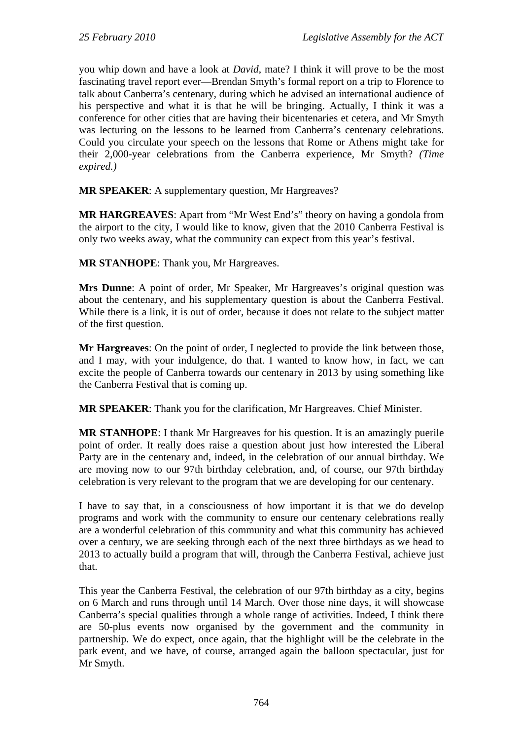you whip down and have a look at *David*, mate? I think it will prove to be the most fascinating travel report ever—Brendan Smyth's formal report on a trip to Florence to talk about Canberra's centenary, during which he advised an international audience of his perspective and what it is that he will be bringing. Actually, I think it was a conference for other cities that are having their bicentenaries et cetera, and Mr Smyth was lecturing on the lessons to be learned from Canberra's centenary celebrations. Could you circulate your speech on the lessons that Rome or Athens might take for their 2,000-year celebrations from the Canberra experience, Mr Smyth? *(Time expired.)*

**MR SPEAKER**: A supplementary question, Mr Hargreaves?

**MR HARGREAVES**: Apart from "Mr West End's" theory on having a gondola from the airport to the city, I would like to know, given that the 2010 Canberra Festival is only two weeks away, what the community can expect from this year's festival.

**MR STANHOPE**: Thank you, Mr Hargreaves.

**Mrs Dunne**: A point of order, Mr Speaker, Mr Hargreaves's original question was about the centenary, and his supplementary question is about the Canberra Festival. While there is a link, it is out of order, because it does not relate to the subject matter of the first question.

**Mr Hargreaves**: On the point of order, I neglected to provide the link between those, and I may, with your indulgence, do that. I wanted to know how, in fact, we can excite the people of Canberra towards our centenary in 2013 by using something like the Canberra Festival that is coming up.

**MR SPEAKER**: Thank you for the clarification, Mr Hargreaves. Chief Minister.

**MR STANHOPE**: I thank Mr Hargreaves for his question. It is an amazingly puerile point of order. It really does raise a question about just how interested the Liberal Party are in the centenary and, indeed, in the celebration of our annual birthday. We are moving now to our 97th birthday celebration, and, of course, our 97th birthday celebration is very relevant to the program that we are developing for our centenary.

I have to say that, in a consciousness of how important it is that we do develop programs and work with the community to ensure our centenary celebrations really are a wonderful celebration of this community and what this community has achieved over a century, we are seeking through each of the next three birthdays as we head to 2013 to actually build a program that will, through the Canberra Festival, achieve just that.

This year the Canberra Festival, the celebration of our 97th birthday as a city, begins on 6 March and runs through until 14 March. Over those nine days, it will showcase Canberra's special qualities through a whole range of activities. Indeed, I think there are 50-plus events now organised by the government and the community in partnership. We do expect, once again, that the highlight will be the celebrate in the park event, and we have, of course, arranged again the balloon spectacular, just for Mr Smyth.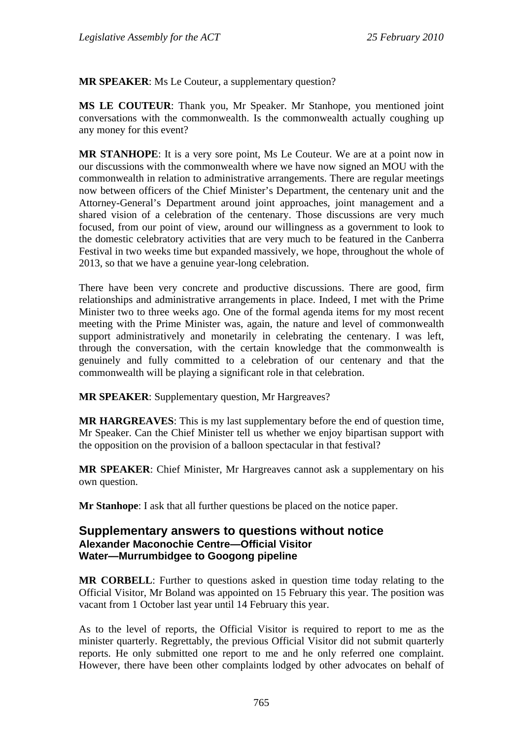**MR SPEAKER**: Ms Le Couteur, a supplementary question?

**MS LE COUTEUR**: Thank you, Mr Speaker. Mr Stanhope, you mentioned joint conversations with the commonwealth. Is the commonwealth actually coughing up any money for this event?

**MR STANHOPE**: It is a very sore point, Ms Le Couteur. We are at a point now in our discussions with the commonwealth where we have now signed an MOU with the commonwealth in relation to administrative arrangements. There are regular meetings now between officers of the Chief Minister's Department, the centenary unit and the Attorney-General's Department around joint approaches, joint management and a shared vision of a celebration of the centenary. Those discussions are very much focused, from our point of view, around our willingness as a government to look to the domestic celebratory activities that are very much to be featured in the Canberra Festival in two weeks time but expanded massively, we hope, throughout the whole of 2013, so that we have a genuine year-long celebration.

There have been very concrete and productive discussions. There are good, firm relationships and administrative arrangements in place. Indeed, I met with the Prime Minister two to three weeks ago. One of the formal agenda items for my most recent meeting with the Prime Minister was, again, the nature and level of commonwealth support administratively and monetarily in celebrating the centenary. I was left, through the conversation, with the certain knowledge that the commonwealth is genuinely and fully committed to a celebration of our centenary and that the commonwealth will be playing a significant role in that celebration.

**MR SPEAKER**: Supplementary question, Mr Hargreaves?

**MR HARGREAVES**: This is my last supplementary before the end of question time, Mr Speaker. Can the Chief Minister tell us whether we enjoy bipartisan support with the opposition on the provision of a balloon spectacular in that festival?

**MR SPEAKER**: Chief Minister, Mr Hargreaves cannot ask a supplementary on his own question.

**Mr Stanhope**: I ask that all further questions be placed on the notice paper.

## **Supplementary answers to questions without notice Alexander Maconochie Centre—Official Visitor Water—Murrumbidgee to Googong pipeline**

**MR CORBELL**: Further to questions asked in question time today relating to the Official Visitor, Mr Boland was appointed on 15 February this year. The position was vacant from 1 October last year until 14 February this year.

As to the level of reports, the Official Visitor is required to report to me as the minister quarterly. Regrettably, the previous Official Visitor did not submit quarterly reports. He only submitted one report to me and he only referred one complaint. However, there have been other complaints lodged by other advocates on behalf of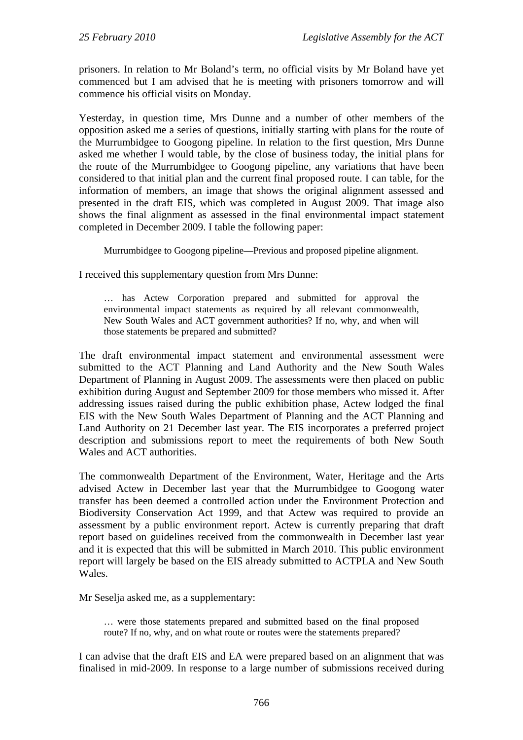prisoners. In relation to Mr Boland's term, no official visits by Mr Boland have yet commenced but I am advised that he is meeting with prisoners tomorrow and will commence his official visits on Monday.

Yesterday, in question time, Mrs Dunne and a number of other members of the opposition asked me a series of questions, initially starting with plans for the route of the Murrumbidgee to Googong pipeline. In relation to the first question, Mrs Dunne asked me whether I would table, by the close of business today, the initial plans for the route of the Murrumbidgee to Googong pipeline, any variations that have been considered to that initial plan and the current final proposed route. I can table, for the information of members, an image that shows the original alignment assessed and presented in the draft EIS, which was completed in August 2009. That image also shows the final alignment as assessed in the final environmental impact statement completed in December 2009. I table the following paper:

Murrumbidgee to Googong pipeline—Previous and proposed pipeline alignment.

I received this supplementary question from Mrs Dunne:

… has Actew Corporation prepared and submitted for approval the environmental impact statements as required by all relevant commonwealth, New South Wales and ACT government authorities? If no, why, and when will those statements be prepared and submitted?

The draft environmental impact statement and environmental assessment were submitted to the ACT Planning and Land Authority and the New South Wales Department of Planning in August 2009. The assessments were then placed on public exhibition during August and September 2009 for those members who missed it. After addressing issues raised during the public exhibition phase, Actew lodged the final EIS with the New South Wales Department of Planning and the ACT Planning and Land Authority on 21 December last year. The EIS incorporates a preferred project description and submissions report to meet the requirements of both New South Wales and ACT authorities.

The commonwealth Department of the Environment, Water, Heritage and the Arts advised Actew in December last year that the Murrumbidgee to Googong water transfer has been deemed a controlled action under the Environment Protection and Biodiversity Conservation Act 1999, and that Actew was required to provide an assessment by a public environment report. Actew is currently preparing that draft report based on guidelines received from the commonwealth in December last year and it is expected that this will be submitted in March 2010. This public environment report will largely be based on the EIS already submitted to ACTPLA and New South Wales.

Mr Seselja asked me, as a supplementary:

… were those statements prepared and submitted based on the final proposed route? If no, why, and on what route or routes were the statements prepared?

I can advise that the draft EIS and EA were prepared based on an alignment that was finalised in mid-2009. In response to a large number of submissions received during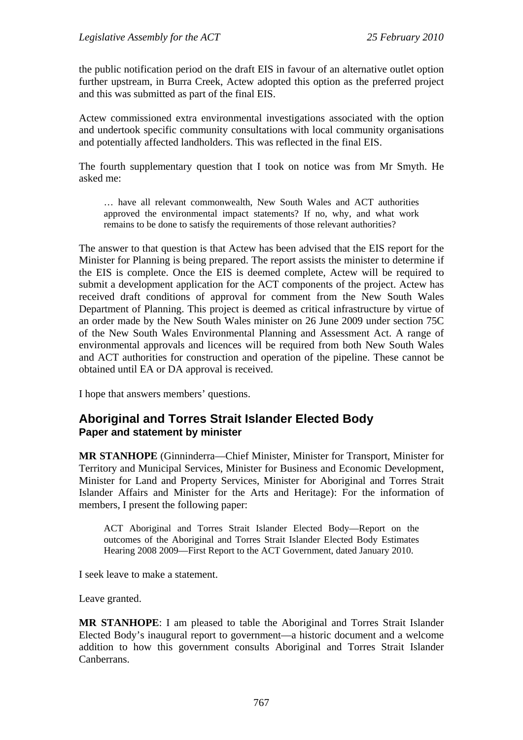the public notification period on the draft EIS in favour of an alternative outlet option further upstream, in Burra Creek, Actew adopted this option as the preferred project and this was submitted as part of the final EIS.

Actew commissioned extra environmental investigations associated with the option and undertook specific community consultations with local community organisations and potentially affected landholders. This was reflected in the final EIS.

The fourth supplementary question that I took on notice was from Mr Smyth. He asked me:

… have all relevant commonwealth, New South Wales and ACT authorities approved the environmental impact statements? If no, why, and what work remains to be done to satisfy the requirements of those relevant authorities?

The answer to that question is that Actew has been advised that the EIS report for the Minister for Planning is being prepared. The report assists the minister to determine if the EIS is complete. Once the EIS is deemed complete, Actew will be required to submit a development application for the ACT components of the project. Actew has received draft conditions of approval for comment from the New South Wales Department of Planning. This project is deemed as critical infrastructure by virtue of an order made by the New South Wales minister on 26 June 2009 under section 75C of the New South Wales Environmental Planning and Assessment Act. A range of environmental approvals and licences will be required from both New South Wales and ACT authorities for construction and operation of the pipeline. These cannot be obtained until EA or DA approval is received.

I hope that answers members' questions.

# **Aboriginal and Torres Strait Islander Elected Body Paper and statement by minister**

**MR STANHOPE** (Ginninderra—Chief Minister, Minister for Transport, Minister for Territory and Municipal Services, Minister for Business and Economic Development, Minister for Land and Property Services, Minister for Aboriginal and Torres Strait Islander Affairs and Minister for the Arts and Heritage): For the information of members, I present the following paper:

ACT Aboriginal and Torres Strait Islander Elected Body—Report on the outcomes of the Aboriginal and Torres Strait Islander Elected Body Estimates Hearing 2008 2009—First Report to the ACT Government, dated January 2010.

I seek leave to make a statement.

Leave granted.

**MR STANHOPE**: I am pleased to table the Aboriginal and Torres Strait Islander Elected Body's inaugural report to government—a historic document and a welcome addition to how this government consults Aboriginal and Torres Strait Islander Canberrans.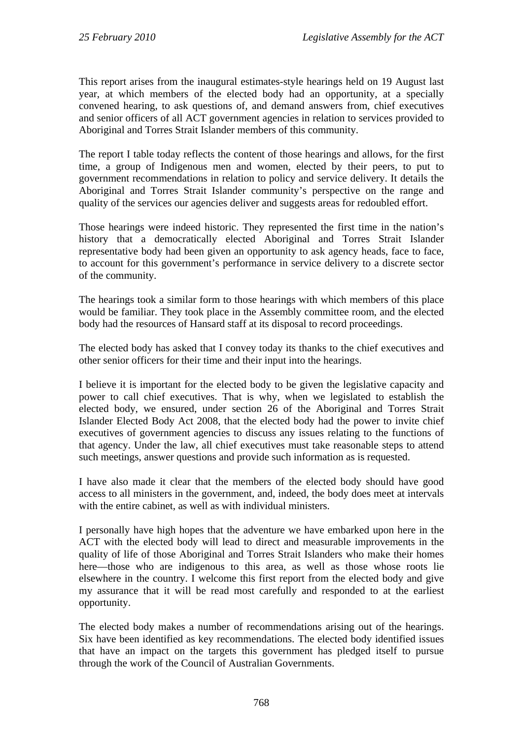This report arises from the inaugural estimates-style hearings held on 19 August last year, at which members of the elected body had an opportunity, at a specially convened hearing, to ask questions of, and demand answers from, chief executives and senior officers of all ACT government agencies in relation to services provided to Aboriginal and Torres Strait Islander members of this community.

The report I table today reflects the content of those hearings and allows, for the first time, a group of Indigenous men and women, elected by their peers, to put to government recommendations in relation to policy and service delivery. It details the Aboriginal and Torres Strait Islander community's perspective on the range and quality of the services our agencies deliver and suggests areas for redoubled effort.

Those hearings were indeed historic. They represented the first time in the nation's history that a democratically elected Aboriginal and Torres Strait Islander representative body had been given an opportunity to ask agency heads, face to face, to account for this government's performance in service delivery to a discrete sector of the community.

The hearings took a similar form to those hearings with which members of this place would be familiar. They took place in the Assembly committee room, and the elected body had the resources of Hansard staff at its disposal to record proceedings.

The elected body has asked that I convey today its thanks to the chief executives and other senior officers for their time and their input into the hearings.

I believe it is important for the elected body to be given the legislative capacity and power to call chief executives. That is why, when we legislated to establish the elected body, we ensured, under section 26 of the Aboriginal and Torres Strait Islander Elected Body Act 2008, that the elected body had the power to invite chief executives of government agencies to discuss any issues relating to the functions of that agency. Under the law, all chief executives must take reasonable steps to attend such meetings, answer questions and provide such information as is requested.

I have also made it clear that the members of the elected body should have good access to all ministers in the government, and, indeed, the body does meet at intervals with the entire cabinet, as well as with individual ministers.

I personally have high hopes that the adventure we have embarked upon here in the ACT with the elected body will lead to direct and measurable improvements in the quality of life of those Aboriginal and Torres Strait Islanders who make their homes here—those who are indigenous to this area, as well as those whose roots lie elsewhere in the country. I welcome this first report from the elected body and give my assurance that it will be read most carefully and responded to at the earliest opportunity.

The elected body makes a number of recommendations arising out of the hearings. Six have been identified as key recommendations. The elected body identified issues that have an impact on the targets this government has pledged itself to pursue through the work of the Council of Australian Governments.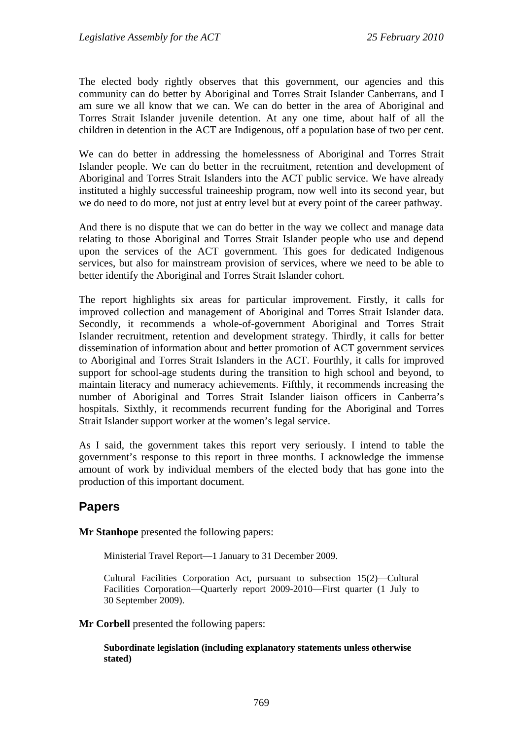The elected body rightly observes that this government, our agencies and this community can do better by Aboriginal and Torres Strait Islander Canberrans, and I am sure we all know that we can. We can do better in the area of Aboriginal and Torres Strait Islander juvenile detention. At any one time, about half of all the children in detention in the ACT are Indigenous, off a population base of two per cent.

We can do better in addressing the homelessness of Aboriginal and Torres Strait Islander people. We can do better in the recruitment, retention and development of Aboriginal and Torres Strait Islanders into the ACT public service. We have already instituted a highly successful traineeship program, now well into its second year, but we do need to do more, not just at entry level but at every point of the career pathway.

And there is no dispute that we can do better in the way we collect and manage data relating to those Aboriginal and Torres Strait Islander people who use and depend upon the services of the ACT government. This goes for dedicated Indigenous services, but also for mainstream provision of services, where we need to be able to better identify the Aboriginal and Torres Strait Islander cohort.

The report highlights six areas for particular improvement. Firstly, it calls for improved collection and management of Aboriginal and Torres Strait Islander data. Secondly, it recommends a whole-of-government Aboriginal and Torres Strait Islander recruitment, retention and development strategy. Thirdly, it calls for better dissemination of information about and better promotion of ACT government services to Aboriginal and Torres Strait Islanders in the ACT. Fourthly, it calls for improved support for school-age students during the transition to high school and beyond, to maintain literacy and numeracy achievements. Fifthly, it recommends increasing the number of Aboriginal and Torres Strait Islander liaison officers in Canberra's hospitals. Sixthly, it recommends recurrent funding for the Aboriginal and Torres Strait Islander support worker at the women's legal service.

As I said, the government takes this report very seriously. I intend to table the government's response to this report in three months. I acknowledge the immense amount of work by individual members of the elected body that has gone into the production of this important document.

# **Papers**

**Mr Stanhope** presented the following papers:

Ministerial Travel Report—1 January to 31 December 2009.

Cultural Facilities Corporation Act, pursuant to subsection 15(2)—Cultural Facilities Corporation—Quarterly report 2009-2010—First quarter (1 July to 30 September 2009).

**Mr Corbell** presented the following papers:

**Subordinate legislation (including explanatory statements unless otherwise stated)**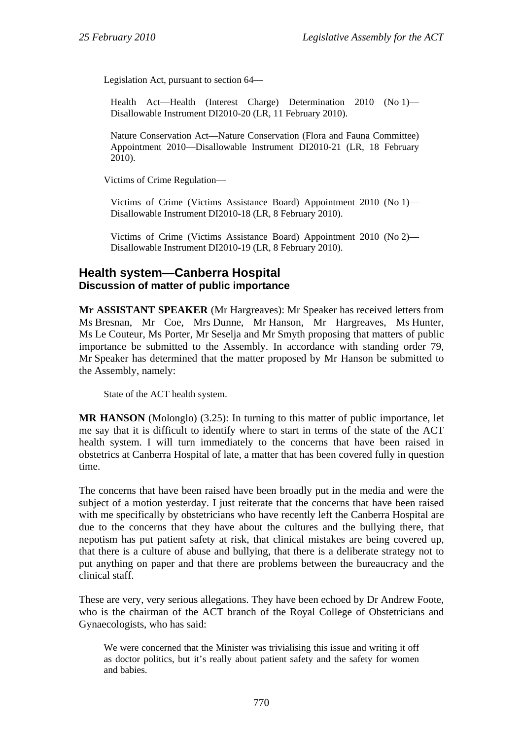Legislation Act, pursuant to section 64—

Health Act—Health (Interest Charge) Determination 2010 (No 1)— Disallowable Instrument DI2010-20 (LR, 11 February 2010).

Nature Conservation Act—Nature Conservation (Flora and Fauna Committee) Appointment 2010—Disallowable Instrument DI2010-21 (LR, 18 February 2010).

Victims of Crime Regulation—

Victims of Crime (Victims Assistance Board) Appointment 2010 (No 1)— Disallowable Instrument DI2010-18 (LR, 8 February 2010).

Victims of Crime (Victims Assistance Board) Appointment 2010 (No 2)— Disallowable Instrument DI2010-19 (LR, 8 February 2010).

## **Health system—Canberra Hospital Discussion of matter of public importance**

**Mr ASSISTANT SPEAKER** (Mr Hargreaves): Mr Speaker has received letters from Ms Bresnan, Mr Coe, Mrs Dunne, Mr Hanson, Mr Hargreaves, Ms Hunter, Ms Le Couteur, Ms Porter, Mr Seselja and Mr Smyth proposing that matters of public importance be submitted to the Assembly. In accordance with standing order 79, Mr Speaker has determined that the matter proposed by Mr Hanson be submitted to the Assembly, namely:

State of the ACT health system.

**MR HANSON** (Molonglo) (3.25): In turning to this matter of public importance, let me say that it is difficult to identify where to start in terms of the state of the ACT health system. I will turn immediately to the concerns that have been raised in obstetrics at Canberra Hospital of late, a matter that has been covered fully in question time.

The concerns that have been raised have been broadly put in the media and were the subject of a motion yesterday. I just reiterate that the concerns that have been raised with me specifically by obstetricians who have recently left the Canberra Hospital are due to the concerns that they have about the cultures and the bullying there, that nepotism has put patient safety at risk, that clinical mistakes are being covered up, that there is a culture of abuse and bullying, that there is a deliberate strategy not to put anything on paper and that there are problems between the bureaucracy and the clinical staff.

These are very, very serious allegations. They have been echoed by Dr Andrew Foote, who is the chairman of the ACT branch of the Royal College of Obstetricians and Gynaecologists, who has said:

We were concerned that the Minister was trivialising this issue and writing it off as doctor politics, but it's really about patient safety and the safety for women and babies.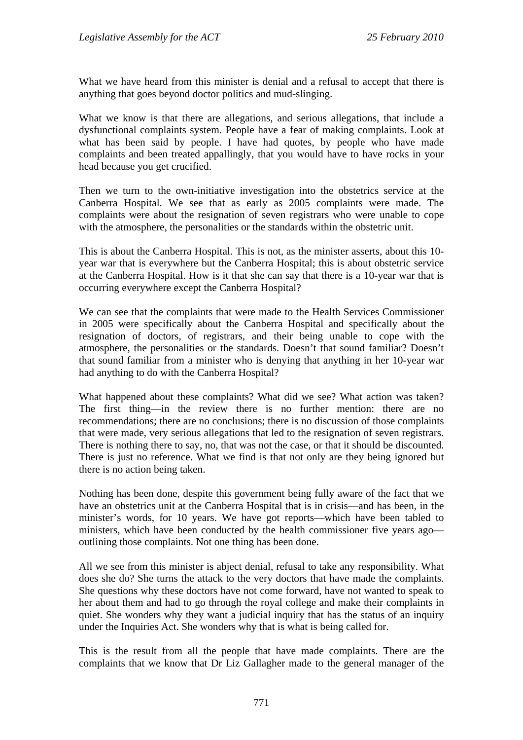What we have heard from this minister is denial and a refusal to accept that there is anything that goes beyond doctor politics and mud-slinging.

What we know is that there are allegations, and serious allegations, that include a dysfunctional complaints system. People have a fear of making complaints. Look at what has been said by people. I have had quotes, by people who have made complaints and been treated appallingly, that you would have to have rocks in your head because you get crucified.

Then we turn to the own-initiative investigation into the obstetrics service at the Canberra Hospital. We see that as early as 2005 complaints were made. The complaints were about the resignation of seven registrars who were unable to cope with the atmosphere, the personalities or the standards within the obstetric unit.

This is about the Canberra Hospital. This is not, as the minister asserts, about this 10 year war that is everywhere but the Canberra Hospital; this is about obstetric service at the Canberra Hospital. How is it that she can say that there is a 10-year war that is occurring everywhere except the Canberra Hospital?

We can see that the complaints that were made to the Health Services Commissioner in 2005 were specifically about the Canberra Hospital and specifically about the resignation of doctors, of registrars, and their being unable to cope with the atmosphere, the personalities or the standards. Doesn't that sound familiar? Doesn't that sound familiar from a minister who is denying that anything in her 10-year war had anything to do with the Canberra Hospital?

What happened about these complaints? What did we see? What action was taken? The first thing—in the review there is no further mention: there are no recommendations; there are no conclusions; there is no discussion of those complaints that were made, very serious allegations that led to the resignation of seven registrars. There is nothing there to say, no, that was not the case, or that it should be discounted. There is just no reference. What we find is that not only are they being ignored but there is no action being taken.

Nothing has been done, despite this government being fully aware of the fact that we have an obstetrics unit at the Canberra Hospital that is in crisis—and has been, in the minister's words, for 10 years. We have got reports—which have been tabled to ministers, which have been conducted by the health commissioner five years ago outlining those complaints. Not one thing has been done.

All we see from this minister is abject denial, refusal to take any responsibility. What does she do? She turns the attack to the very doctors that have made the complaints. She questions why these doctors have not come forward, have not wanted to speak to her about them and had to go through the royal college and make their complaints in quiet. She wonders why they want a judicial inquiry that has the status of an inquiry under the Inquiries Act. She wonders why that is what is being called for.

This is the result from all the people that have made complaints. There are the complaints that we know that Dr Liz Gallagher made to the general manager of the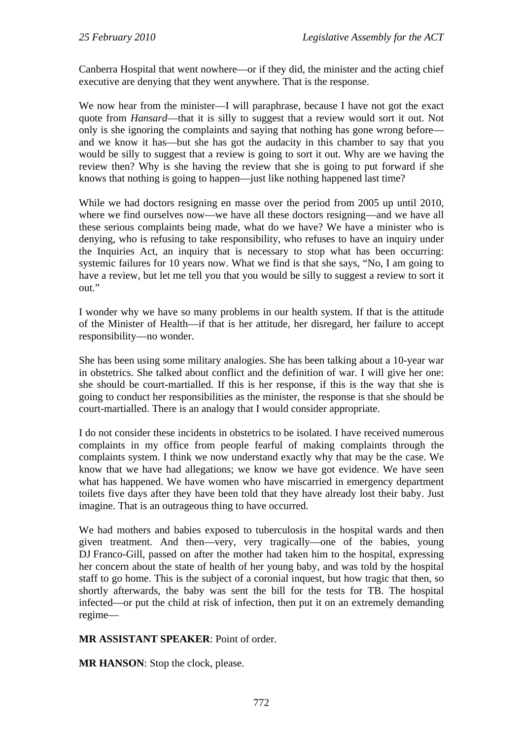Canberra Hospital that went nowhere—or if they did, the minister and the acting chief executive are denying that they went anywhere. That is the response.

We now hear from the minister—I will paraphrase, because I have not got the exact quote from *Hansard*—that it is silly to suggest that a review would sort it out. Not only is she ignoring the complaints and saying that nothing has gone wrong before and we know it has—but she has got the audacity in this chamber to say that you would be silly to suggest that a review is going to sort it out. Why are we having the review then? Why is she having the review that she is going to put forward if she knows that nothing is going to happen—just like nothing happened last time?

While we had doctors resigning en masse over the period from 2005 up until 2010, where we find ourselves now—we have all these doctors resigning—and we have all these serious complaints being made, what do we have? We have a minister who is denying, who is refusing to take responsibility, who refuses to have an inquiry under the Inquiries Act, an inquiry that is necessary to stop what has been occurring: systemic failures for 10 years now. What we find is that she says, "No, I am going to have a review, but let me tell you that you would be silly to suggest a review to sort it out."

I wonder why we have so many problems in our health system. If that is the attitude of the Minister of Health—if that is her attitude, her disregard, her failure to accept responsibility—no wonder.

She has been using some military analogies. She has been talking about a 10-year war in obstetrics. She talked about conflict and the definition of war. I will give her one: she should be court-martialled. If this is her response, if this is the way that she is going to conduct her responsibilities as the minister, the response is that she should be court-martialled. There is an analogy that I would consider appropriate.

I do not consider these incidents in obstetrics to be isolated. I have received numerous complaints in my office from people fearful of making complaints through the complaints system. I think we now understand exactly why that may be the case. We know that we have had allegations; we know we have got evidence. We have seen what has happened. We have women who have miscarried in emergency department toilets five days after they have been told that they have already lost their baby. Just imagine. That is an outrageous thing to have occurred.

We had mothers and babies exposed to tuberculosis in the hospital wards and then given treatment. And then—very, very tragically—one of the babies, young DJ Franco-Gill, passed on after the mother had taken him to the hospital, expressing her concern about the state of health of her young baby, and was told by the hospital staff to go home. This is the subject of a coronial inquest, but how tragic that then, so shortly afterwards, the baby was sent the bill for the tests for TB. The hospital infected—or put the child at risk of infection, then put it on an extremely demanding regime—

## **MR ASSISTANT SPEAKER**: Point of order.

**MR HANSON**: Stop the clock, please.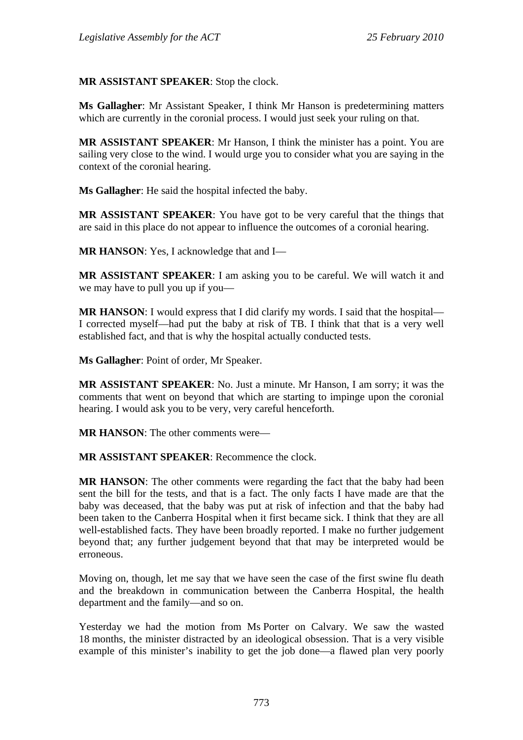**MR ASSISTANT SPEAKER**: Stop the clock.

**Ms Gallagher**: Mr Assistant Speaker, I think Mr Hanson is predetermining matters which are currently in the coronial process. I would just seek your ruling on that.

**MR ASSISTANT SPEAKER**: Mr Hanson, I think the minister has a point. You are sailing very close to the wind. I would urge you to consider what you are saying in the context of the coronial hearing.

**Ms Gallagher**: He said the hospital infected the baby.

**MR ASSISTANT SPEAKER**: You have got to be very careful that the things that are said in this place do not appear to influence the outcomes of a coronial hearing.

**MR HANSON**: Yes, I acknowledge that and I—

**MR ASSISTANT SPEAKER**: I am asking you to be careful. We will watch it and we may have to pull you up if you—

**MR HANSON:** I would express that I did clarify my words. I said that the hospital— I corrected myself—had put the baby at risk of TB. I think that that is a very well established fact, and that is why the hospital actually conducted tests.

**Ms Gallagher**: Point of order, Mr Speaker.

**MR ASSISTANT SPEAKER**: No. Just a minute. Mr Hanson, I am sorry; it was the comments that went on beyond that which are starting to impinge upon the coronial hearing. I would ask you to be very, very careful henceforth.

**MR HANSON**: The other comments were—

**MR ASSISTANT SPEAKER**: Recommence the clock.

**MR HANSON**: The other comments were regarding the fact that the baby had been sent the bill for the tests, and that is a fact. The only facts I have made are that the baby was deceased, that the baby was put at risk of infection and that the baby had been taken to the Canberra Hospital when it first became sick. I think that they are all well-established facts. They have been broadly reported. I make no further judgement beyond that; any further judgement beyond that that may be interpreted would be erroneous.

Moving on, though, let me say that we have seen the case of the first swine flu death and the breakdown in communication between the Canberra Hospital, the health department and the family—and so on.

Yesterday we had the motion from Ms Porter on Calvary. We saw the wasted 18 months, the minister distracted by an ideological obsession. That is a very visible example of this minister's inability to get the job done—a flawed plan very poorly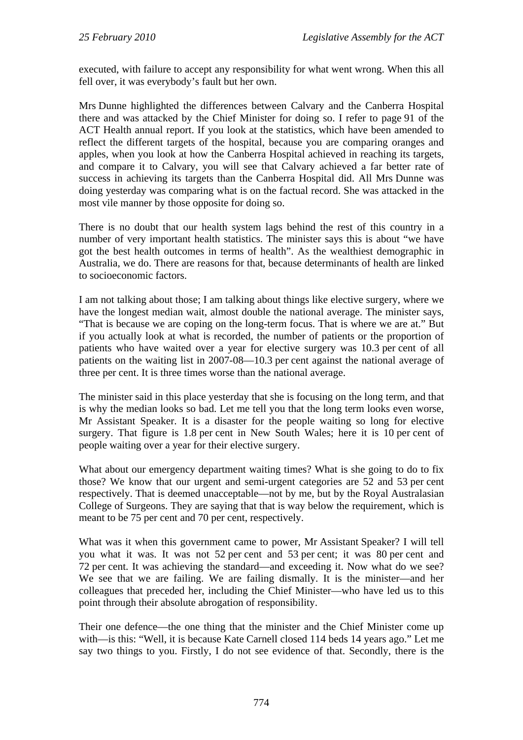executed, with failure to accept any responsibility for what went wrong. When this all fell over, it was everybody's fault but her own.

Mrs Dunne highlighted the differences between Calvary and the Canberra Hospital there and was attacked by the Chief Minister for doing so. I refer to page 91 of the ACT Health annual report. If you look at the statistics, which have been amended to reflect the different targets of the hospital, because you are comparing oranges and apples, when you look at how the Canberra Hospital achieved in reaching its targets, and compare it to Calvary, you will see that Calvary achieved a far better rate of success in achieving its targets than the Canberra Hospital did. All Mrs Dunne was doing yesterday was comparing what is on the factual record. She was attacked in the most vile manner by those opposite for doing so.

There is no doubt that our health system lags behind the rest of this country in a number of very important health statistics. The minister says this is about "we have got the best health outcomes in terms of health". As the wealthiest demographic in Australia, we do. There are reasons for that, because determinants of health are linked to socioeconomic factors.

I am not talking about those; I am talking about things like elective surgery, where we have the longest median wait, almost double the national average. The minister says, "That is because we are coping on the long-term focus. That is where we are at." But if you actually look at what is recorded, the number of patients or the proportion of patients who have waited over a year for elective surgery was 10.3 per cent of all patients on the waiting list in 2007-08—10.3 per cent against the national average of three per cent. It is three times worse than the national average.

The minister said in this place yesterday that she is focusing on the long term, and that is why the median looks so bad. Let me tell you that the long term looks even worse, Mr Assistant Speaker. It is a disaster for the people waiting so long for elective surgery. That figure is 1.8 per cent in New South Wales; here it is 10 per cent of people waiting over a year for their elective surgery.

What about our emergency department waiting times? What is she going to do to fix those? We know that our urgent and semi-urgent categories are 52 and 53 per cent respectively. That is deemed unacceptable—not by me, but by the Royal Australasian College of Surgeons. They are saying that that is way below the requirement, which is meant to be 75 per cent and 70 per cent, respectively.

What was it when this government came to power, Mr Assistant Speaker? I will tell you what it was. It was not 52 per cent and 53 per cent; it was 80 per cent and 72 per cent. It was achieving the standard—and exceeding it. Now what do we see? We see that we are failing. We are failing dismally. It is the minister—and her colleagues that preceded her, including the Chief Minister—who have led us to this point through their absolute abrogation of responsibility.

Their one defence—the one thing that the minister and the Chief Minister come up with—is this: "Well, it is because Kate Carnell closed 114 beds 14 years ago." Let me say two things to you. Firstly, I do not see evidence of that. Secondly, there is the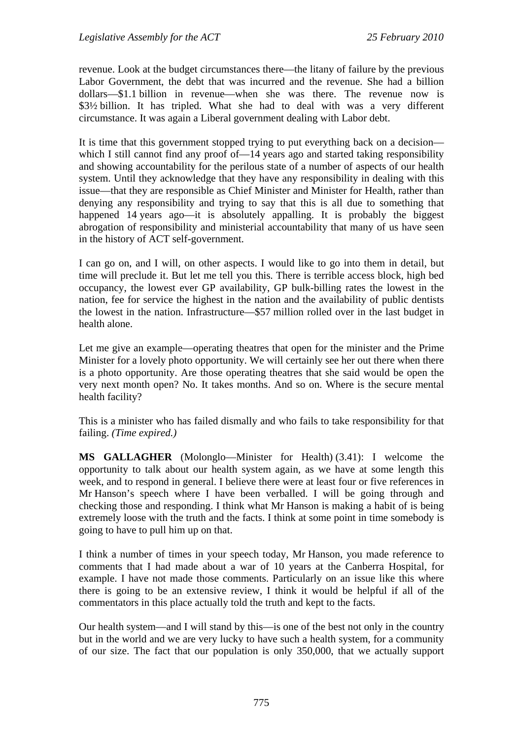revenue. Look at the budget circumstances there—the litany of failure by the previous Labor Government, the debt that was incurred and the revenue. She had a billion dollars—\$1.1 billion in revenue—when she was there. The revenue now is \$3½ billion. It has tripled. What she had to deal with was a very different circumstance. It was again a Liberal government dealing with Labor debt.

It is time that this government stopped trying to put everything back on a decision which I still cannot find any proof of  $-14$  years ago and started taking responsibility and showing accountability for the perilous state of a number of aspects of our health system. Until they acknowledge that they have any responsibility in dealing with this issue—that they are responsible as Chief Minister and Minister for Health, rather than denying any responsibility and trying to say that this is all due to something that happened 14 years ago—it is absolutely appalling. It is probably the biggest abrogation of responsibility and ministerial accountability that many of us have seen in the history of ACT self-government.

I can go on, and I will, on other aspects. I would like to go into them in detail, but time will preclude it. But let me tell you this. There is terrible access block, high bed occupancy, the lowest ever GP availability, GP bulk-billing rates the lowest in the nation, fee for service the highest in the nation and the availability of public dentists the lowest in the nation. Infrastructure—\$57 million rolled over in the last budget in health alone.

Let me give an example—operating theatres that open for the minister and the Prime Minister for a lovely photo opportunity. We will certainly see her out there when there is a photo opportunity. Are those operating theatres that she said would be open the very next month open? No. It takes months. And so on. Where is the secure mental health facility?

This is a minister who has failed dismally and who fails to take responsibility for that failing. *(Time expired.)*

**MS GALLAGHER** (Molonglo—Minister for Health) (3.41): I welcome the opportunity to talk about our health system again, as we have at some length this week, and to respond in general. I believe there were at least four or five references in Mr Hanson's speech where I have been verballed. I will be going through and checking those and responding. I think what Mr Hanson is making a habit of is being extremely loose with the truth and the facts. I think at some point in time somebody is going to have to pull him up on that.

I think a number of times in your speech today, Mr Hanson, you made reference to comments that I had made about a war of 10 years at the Canberra Hospital, for example. I have not made those comments. Particularly on an issue like this where there is going to be an extensive review, I think it would be helpful if all of the commentators in this place actually told the truth and kept to the facts.

Our health system—and I will stand by this—is one of the best not only in the country but in the world and we are very lucky to have such a health system, for a community of our size. The fact that our population is only 350,000, that we actually support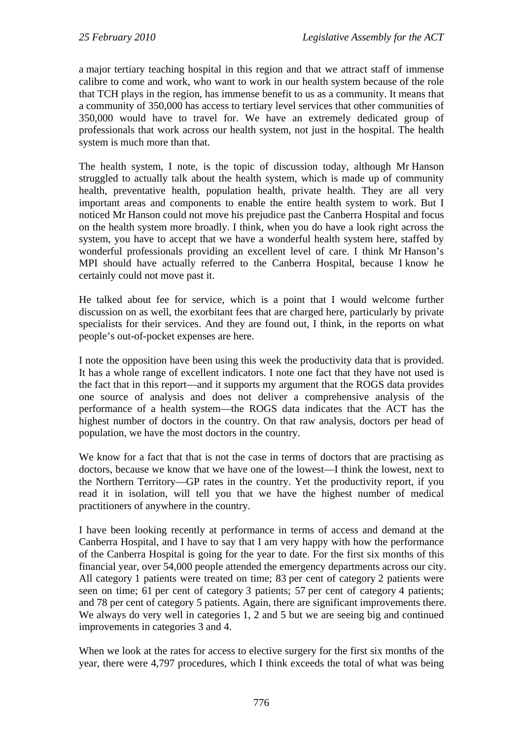a major tertiary teaching hospital in this region and that we attract staff of immense calibre to come and work, who want to work in our health system because of the role that TCH plays in the region, has immense benefit to us as a community. It means that a community of 350,000 has access to tertiary level services that other communities of 350,000 would have to travel for. We have an extremely dedicated group of professionals that work across our health system, not just in the hospital. The health system is much more than that.

The health system, I note, is the topic of discussion today, although Mr Hanson struggled to actually talk about the health system, which is made up of community health, preventative health, population health, private health. They are all very important areas and components to enable the entire health system to work. But I noticed Mr Hanson could not move his prejudice past the Canberra Hospital and focus on the health system more broadly. I think, when you do have a look right across the system, you have to accept that we have a wonderful health system here, staffed by wonderful professionals providing an excellent level of care. I think Mr Hanson's MPI should have actually referred to the Canberra Hospital, because I know he certainly could not move past it.

He talked about fee for service, which is a point that I would welcome further discussion on as well, the exorbitant fees that are charged here, particularly by private specialists for their services. And they are found out, I think, in the reports on what people's out-of-pocket expenses are here.

I note the opposition have been using this week the productivity data that is provided. It has a whole range of excellent indicators. I note one fact that they have not used is the fact that in this report—and it supports my argument that the ROGS data provides one source of analysis and does not deliver a comprehensive analysis of the performance of a health system—the ROGS data indicates that the ACT has the highest number of doctors in the country. On that raw analysis, doctors per head of population, we have the most doctors in the country.

We know for a fact that that is not the case in terms of doctors that are practising as doctors, because we know that we have one of the lowest—I think the lowest, next to the Northern Territory—GP rates in the country. Yet the productivity report, if you read it in isolation, will tell you that we have the highest number of medical practitioners of anywhere in the country.

I have been looking recently at performance in terms of access and demand at the Canberra Hospital, and I have to say that I am very happy with how the performance of the Canberra Hospital is going for the year to date. For the first six months of this financial year, over 54,000 people attended the emergency departments across our city. All category 1 patients were treated on time; 83 per cent of category 2 patients were seen on time; 61 per cent of category 3 patients; 57 per cent of category 4 patients; and 78 per cent of category 5 patients. Again, there are significant improvements there. We always do very well in categories 1, 2 and 5 but we are seeing big and continued improvements in categories 3 and 4.

When we look at the rates for access to elective surgery for the first six months of the year, there were 4,797 procedures, which I think exceeds the total of what was being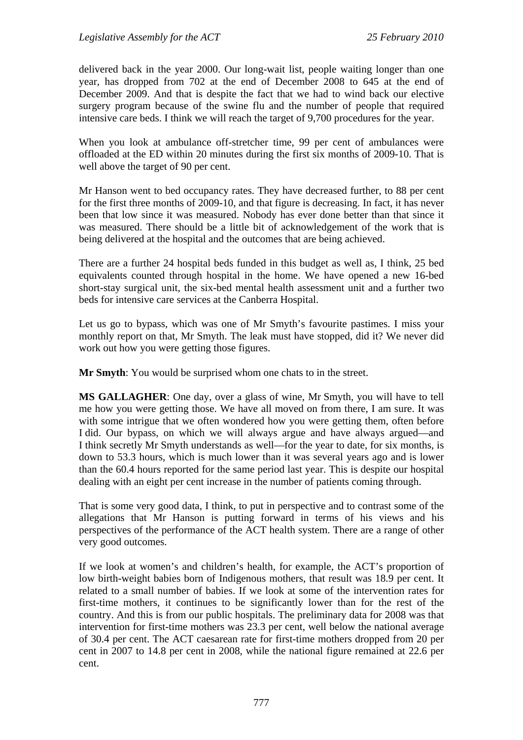delivered back in the year 2000. Our long-wait list, people waiting longer than one year, has dropped from 702 at the end of December 2008 to 645 at the end of December 2009. And that is despite the fact that we had to wind back our elective surgery program because of the swine flu and the number of people that required intensive care beds. I think we will reach the target of 9,700 procedures for the year.

When you look at ambulance off-stretcher time, 99 per cent of ambulances were offloaded at the ED within 20 minutes during the first six months of 2009-10. That is well above the target of 90 per cent.

Mr Hanson went to bed occupancy rates. They have decreased further, to 88 per cent for the first three months of 2009-10, and that figure is decreasing. In fact, it has never been that low since it was measured. Nobody has ever done better than that since it was measured. There should be a little bit of acknowledgement of the work that is being delivered at the hospital and the outcomes that are being achieved.

There are a further 24 hospital beds funded in this budget as well as, I think, 25 bed equivalents counted through hospital in the home. We have opened a new 16-bed short-stay surgical unit, the six-bed mental health assessment unit and a further two beds for intensive care services at the Canberra Hospital.

Let us go to bypass, which was one of Mr Smyth's favourite pastimes. I miss your monthly report on that, Mr Smyth. The leak must have stopped, did it? We never did work out how you were getting those figures.

**Mr Smyth**: You would be surprised whom one chats to in the street.

**MS GALLAGHER**: One day, over a glass of wine, Mr Smyth, you will have to tell me how you were getting those. We have all moved on from there, I am sure. It was with some intrigue that we often wondered how you were getting them, often before I did. Our bypass, on which we will always argue and have always argued—and I think secretly Mr Smyth understands as well—for the year to date, for six months, is down to 53.3 hours, which is much lower than it was several years ago and is lower than the 60.4 hours reported for the same period last year. This is despite our hospital dealing with an eight per cent increase in the number of patients coming through.

That is some very good data, I think, to put in perspective and to contrast some of the allegations that Mr Hanson is putting forward in terms of his views and his perspectives of the performance of the ACT health system. There are a range of other very good outcomes.

If we look at women's and children's health, for example, the ACT's proportion of low birth-weight babies born of Indigenous mothers, that result was 18.9 per cent. It related to a small number of babies. If we look at some of the intervention rates for first-time mothers, it continues to be significantly lower than for the rest of the country. And this is from our public hospitals. The preliminary data for 2008 was that intervention for first-time mothers was 23.3 per cent, well below the national average of 30.4 per cent. The ACT caesarean rate for first-time mothers dropped from 20 per cent in 2007 to 14.8 per cent in 2008, while the national figure remained at 22.6 per cent.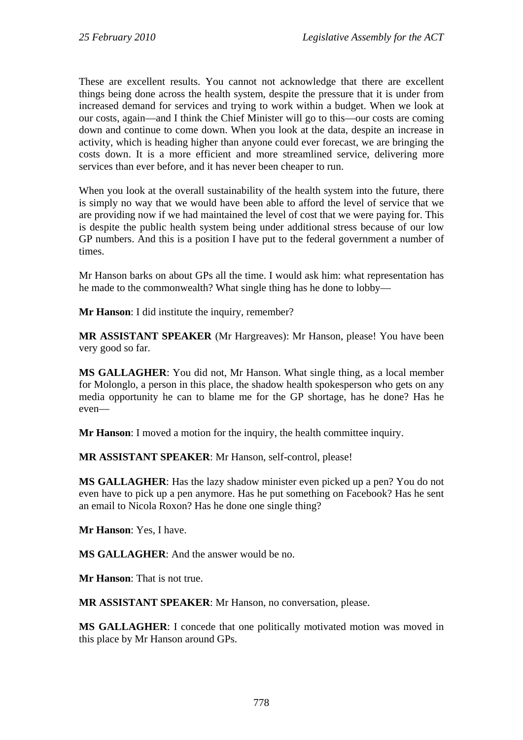These are excellent results. You cannot not acknowledge that there are excellent things being done across the health system, despite the pressure that it is under from increased demand for services and trying to work within a budget. When we look at our costs, again—and I think the Chief Minister will go to this—our costs are coming down and continue to come down. When you look at the data, despite an increase in activity, which is heading higher than anyone could ever forecast, we are bringing the costs down. It is a more efficient and more streamlined service, delivering more services than ever before, and it has never been cheaper to run.

When you look at the overall sustainability of the health system into the future, there is simply no way that we would have been able to afford the level of service that we are providing now if we had maintained the level of cost that we were paying for. This is despite the public health system being under additional stress because of our low GP numbers. And this is a position I have put to the federal government a number of times.

Mr Hanson barks on about GPs all the time. I would ask him: what representation has he made to the commonwealth? What single thing has he done to lobby—

**Mr Hanson**: I did institute the inquiry, remember?

**MR ASSISTANT SPEAKER** (Mr Hargreaves): Mr Hanson, please! You have been very good so far.

**MS GALLAGHER**: You did not, Mr Hanson. What single thing, as a local member for Molonglo, a person in this place, the shadow health spokesperson who gets on any media opportunity he can to blame me for the GP shortage, has he done? Has he even—

**Mr Hanson**: I moved a motion for the inquiry, the health committee inquiry.

**MR ASSISTANT SPEAKER**: Mr Hanson, self-control, please!

**MS GALLAGHER**: Has the lazy shadow minister even picked up a pen? You do not even have to pick up a pen anymore. Has he put something on Facebook? Has he sent an email to Nicola Roxon? Has he done one single thing?

**Mr Hanson**: Yes, I have.

**MS GALLAGHER**: And the answer would be no.

**Mr Hanson**: That is not true.

**MR ASSISTANT SPEAKER**: Mr Hanson, no conversation, please.

**MS GALLAGHER**: I concede that one politically motivated motion was moved in this place by Mr Hanson around GPs.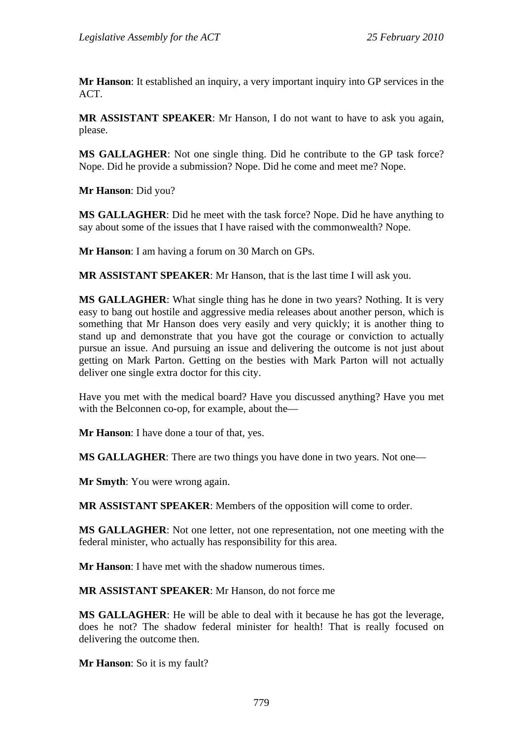**Mr Hanson**: It established an inquiry, a very important inquiry into GP services in the ACT.

**MR ASSISTANT SPEAKER**: Mr Hanson, I do not want to have to ask you again, please.

**MS GALLAGHER**: Not one single thing. Did he contribute to the GP task force? Nope. Did he provide a submission? Nope. Did he come and meet me? Nope.

**Mr Hanson**: Did you?

**MS GALLAGHER**: Did he meet with the task force? Nope. Did he have anything to say about some of the issues that I have raised with the commonwealth? Nope.

**Mr Hanson**: I am having a forum on 30 March on GPs.

**MR ASSISTANT SPEAKER**: Mr Hanson, that is the last time I will ask you.

**MS GALLAGHER**: What single thing has he done in two years? Nothing. It is very easy to bang out hostile and aggressive media releases about another person, which is something that Mr Hanson does very easily and very quickly; it is another thing to stand up and demonstrate that you have got the courage or conviction to actually pursue an issue. And pursuing an issue and delivering the outcome is not just about getting on Mark Parton. Getting on the besties with Mark Parton will not actually deliver one single extra doctor for this city.

Have you met with the medical board? Have you discussed anything? Have you met with the Belconnen co-op, for example, about the—

**Mr Hanson**: I have done a tour of that, yes.

**MS GALLAGHER**: There are two things you have done in two years. Not one—

**Mr Smyth**: You were wrong again.

**MR ASSISTANT SPEAKER**: Members of the opposition will come to order.

**MS GALLAGHER**: Not one letter, not one representation, not one meeting with the federal minister, who actually has responsibility for this area.

**Mr Hanson**: I have met with the shadow numerous times.

**MR ASSISTANT SPEAKER**: Mr Hanson, do not force me

**MS GALLAGHER**: He will be able to deal with it because he has got the leverage, does he not? The shadow federal minister for health! That is really focused on delivering the outcome then.

**Mr Hanson**: So it is my fault?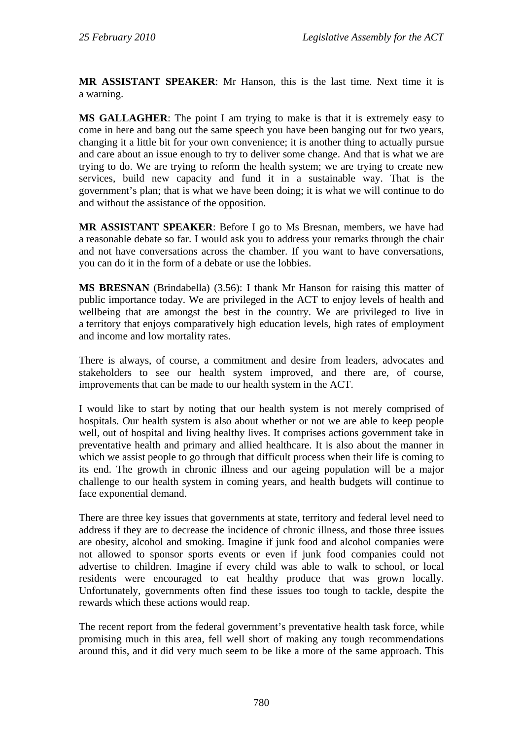**MR ASSISTANT SPEAKER**: Mr Hanson, this is the last time. Next time it is a warning.

**MS GALLAGHER**: The point I am trying to make is that it is extremely easy to come in here and bang out the same speech you have been banging out for two years, changing it a little bit for your own convenience; it is another thing to actually pursue and care about an issue enough to try to deliver some change. And that is what we are trying to do. We are trying to reform the health system; we are trying to create new services, build new capacity and fund it in a sustainable way. That is the government's plan; that is what we have been doing; it is what we will continue to do and without the assistance of the opposition.

**MR ASSISTANT SPEAKER**: Before I go to Ms Bresnan, members, we have had a reasonable debate so far. I would ask you to address your remarks through the chair and not have conversations across the chamber. If you want to have conversations, you can do it in the form of a debate or use the lobbies.

**MS BRESNAN** (Brindabella) (3.56): I thank Mr Hanson for raising this matter of public importance today. We are privileged in the ACT to enjoy levels of health and wellbeing that are amongst the best in the country. We are privileged to live in a territory that enjoys comparatively high education levels, high rates of employment and income and low mortality rates.

There is always, of course, a commitment and desire from leaders, advocates and stakeholders to see our health system improved, and there are, of course, improvements that can be made to our health system in the ACT.

I would like to start by noting that our health system is not merely comprised of hospitals. Our health system is also about whether or not we are able to keep people well, out of hospital and living healthy lives. It comprises actions government take in preventative health and primary and allied healthcare. It is also about the manner in which we assist people to go through that difficult process when their life is coming to its end. The growth in chronic illness and our ageing population will be a major challenge to our health system in coming years, and health budgets will continue to face exponential demand.

There are three key issues that governments at state, territory and federal level need to address if they are to decrease the incidence of chronic illness, and those three issues are obesity, alcohol and smoking. Imagine if junk food and alcohol companies were not allowed to sponsor sports events or even if junk food companies could not advertise to children. Imagine if every child was able to walk to school, or local residents were encouraged to eat healthy produce that was grown locally. Unfortunately, governments often find these issues too tough to tackle, despite the rewards which these actions would reap.

The recent report from the federal government's preventative health task force, while promising much in this area, fell well short of making any tough recommendations around this, and it did very much seem to be like a more of the same approach. This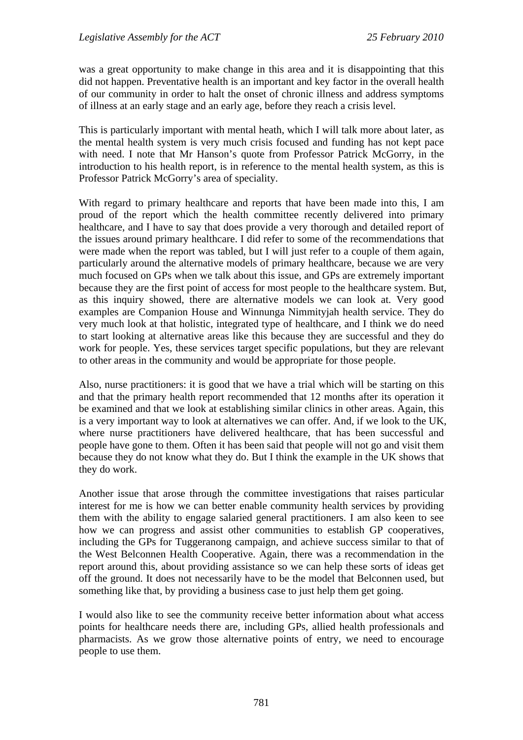was a great opportunity to make change in this area and it is disappointing that this did not happen. Preventative health is an important and key factor in the overall health of our community in order to halt the onset of chronic illness and address symptoms of illness at an early stage and an early age, before they reach a crisis level.

This is particularly important with mental heath, which I will talk more about later, as the mental health system is very much crisis focused and funding has not kept pace with need. I note that Mr Hanson's quote from Professor Patrick McGorry, in the introduction to his health report, is in reference to the mental health system, as this is Professor Patrick McGorry's area of speciality.

With regard to primary healthcare and reports that have been made into this, I am proud of the report which the health committee recently delivered into primary healthcare, and I have to say that does provide a very thorough and detailed report of the issues around primary healthcare. I did refer to some of the recommendations that were made when the report was tabled, but I will just refer to a couple of them again, particularly around the alternative models of primary healthcare, because we are very much focused on GPs when we talk about this issue, and GPs are extremely important because they are the first point of access for most people to the healthcare system. But, as this inquiry showed, there are alternative models we can look at. Very good examples are Companion House and Winnunga Nimmityjah health service. They do very much look at that holistic, integrated type of healthcare, and I think we do need to start looking at alternative areas like this because they are successful and they do work for people. Yes, these services target specific populations, but they are relevant to other areas in the community and would be appropriate for those people.

Also, nurse practitioners: it is good that we have a trial which will be starting on this and that the primary health report recommended that 12 months after its operation it be examined and that we look at establishing similar clinics in other areas. Again, this is a very important way to look at alternatives we can offer. And, if we look to the UK, where nurse practitioners have delivered healthcare, that has been successful and people have gone to them. Often it has been said that people will not go and visit them because they do not know what they do. But I think the example in the UK shows that they do work.

Another issue that arose through the committee investigations that raises particular interest for me is how we can better enable community health services by providing them with the ability to engage salaried general practitioners. I am also keen to see how we can progress and assist other communities to establish GP cooperatives, including the GPs for Tuggeranong campaign, and achieve success similar to that of the West Belconnen Health Cooperative. Again, there was a recommendation in the report around this, about providing assistance so we can help these sorts of ideas get off the ground. It does not necessarily have to be the model that Belconnen used, but something like that, by providing a business case to just help them get going.

I would also like to see the community receive better information about what access points for healthcare needs there are, including GPs, allied health professionals and pharmacists. As we grow those alternative points of entry, we need to encourage people to use them.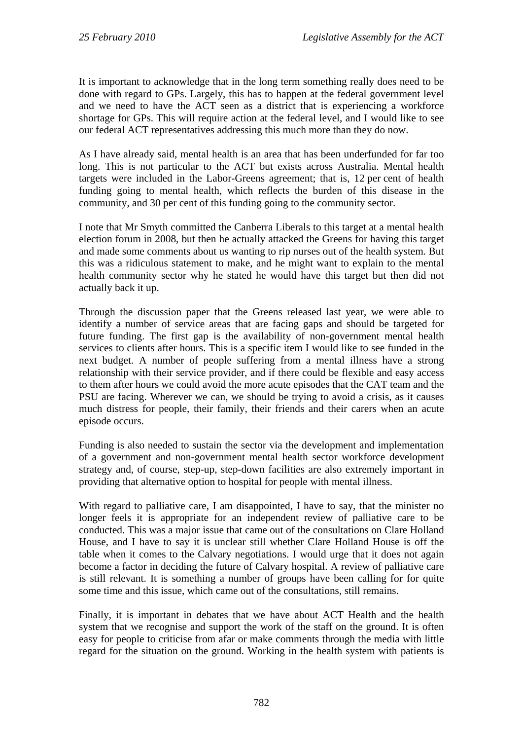It is important to acknowledge that in the long term something really does need to be done with regard to GPs. Largely, this has to happen at the federal government level and we need to have the ACT seen as a district that is experiencing a workforce shortage for GPs. This will require action at the federal level, and I would like to see our federal ACT representatives addressing this much more than they do now.

As I have already said, mental health is an area that has been underfunded for far too long. This is not particular to the ACT but exists across Australia. Mental health targets were included in the Labor-Greens agreement; that is, 12 per cent of health funding going to mental health, which reflects the burden of this disease in the community, and 30 per cent of this funding going to the community sector.

I note that Mr Smyth committed the Canberra Liberals to this target at a mental health election forum in 2008, but then he actually attacked the Greens for having this target and made some comments about us wanting to rip nurses out of the health system. But this was a ridiculous statement to make, and he might want to explain to the mental health community sector why he stated he would have this target but then did not actually back it up.

Through the discussion paper that the Greens released last year, we were able to identify a number of service areas that are facing gaps and should be targeted for future funding. The first gap is the availability of non-government mental health services to clients after hours. This is a specific item I would like to see funded in the next budget. A number of people suffering from a mental illness have a strong relationship with their service provider, and if there could be flexible and easy access to them after hours we could avoid the more acute episodes that the CAT team and the PSU are facing. Wherever we can, we should be trying to avoid a crisis, as it causes much distress for people, their family, their friends and their carers when an acute episode occurs.

Funding is also needed to sustain the sector via the development and implementation of a government and non-government mental health sector workforce development strategy and, of course, step-up, step-down facilities are also extremely important in providing that alternative option to hospital for people with mental illness.

With regard to palliative care, I am disappointed, I have to say, that the minister no longer feels it is appropriate for an independent review of palliative care to be conducted. This was a major issue that came out of the consultations on Clare Holland House, and I have to say it is unclear still whether Clare Holland House is off the table when it comes to the Calvary negotiations. I would urge that it does not again become a factor in deciding the future of Calvary hospital. A review of palliative care is still relevant. It is something a number of groups have been calling for for quite some time and this issue, which came out of the consultations, still remains.

Finally, it is important in debates that we have about ACT Health and the health system that we recognise and support the work of the staff on the ground. It is often easy for people to criticise from afar or make comments through the media with little regard for the situation on the ground. Working in the health system with patients is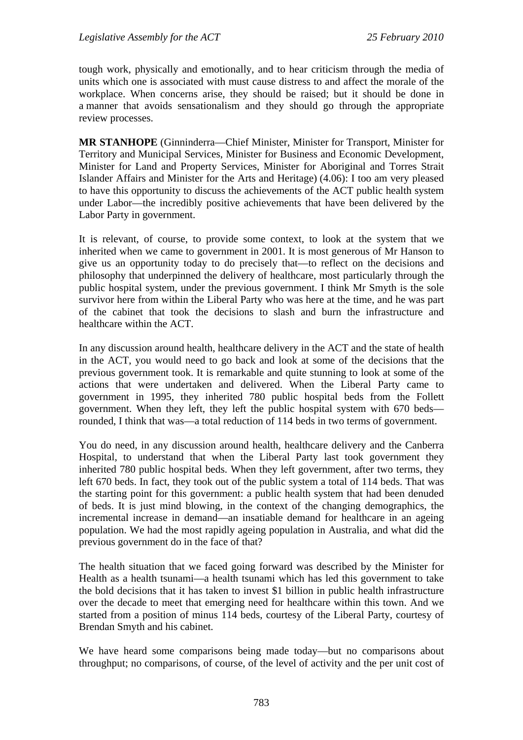tough work, physically and emotionally, and to hear criticism through the media of units which one is associated with must cause distress to and affect the morale of the workplace. When concerns arise, they should be raised; but it should be done in a manner that avoids sensationalism and they should go through the appropriate review processes.

**MR STANHOPE** (Ginninderra—Chief Minister, Minister for Transport, Minister for Territory and Municipal Services, Minister for Business and Economic Development, Minister for Land and Property Services, Minister for Aboriginal and Torres Strait Islander Affairs and Minister for the Arts and Heritage) (4.06): I too am very pleased to have this opportunity to discuss the achievements of the ACT public health system under Labor—the incredibly positive achievements that have been delivered by the Labor Party in government.

It is relevant, of course, to provide some context, to look at the system that we inherited when we came to government in 2001. It is most generous of Mr Hanson to give us an opportunity today to do precisely that—to reflect on the decisions and philosophy that underpinned the delivery of healthcare, most particularly through the public hospital system, under the previous government. I think Mr Smyth is the sole survivor here from within the Liberal Party who was here at the time, and he was part of the cabinet that took the decisions to slash and burn the infrastructure and healthcare within the ACT.

In any discussion around health, healthcare delivery in the ACT and the state of health in the ACT, you would need to go back and look at some of the decisions that the previous government took. It is remarkable and quite stunning to look at some of the actions that were undertaken and delivered. When the Liberal Party came to government in 1995, they inherited 780 public hospital beds from the Follett government. When they left, they left the public hospital system with 670 beds rounded, I think that was—a total reduction of 114 beds in two terms of government.

You do need, in any discussion around health, healthcare delivery and the Canberra Hospital, to understand that when the Liberal Party last took government they inherited 780 public hospital beds. When they left government, after two terms, they left 670 beds. In fact, they took out of the public system a total of 114 beds. That was the starting point for this government: a public health system that had been denuded of beds. It is just mind blowing, in the context of the changing demographics, the incremental increase in demand—an insatiable demand for healthcare in an ageing population. We had the most rapidly ageing population in Australia, and what did the previous government do in the face of that?

The health situation that we faced going forward was described by the Minister for Health as a health tsunami—a health tsunami which has led this government to take the bold decisions that it has taken to invest \$1 billion in public health infrastructure over the decade to meet that emerging need for healthcare within this town. And we started from a position of minus 114 beds, courtesy of the Liberal Party, courtesy of Brendan Smyth and his cabinet.

We have heard some comparisons being made today—but no comparisons about throughput; no comparisons, of course, of the level of activity and the per unit cost of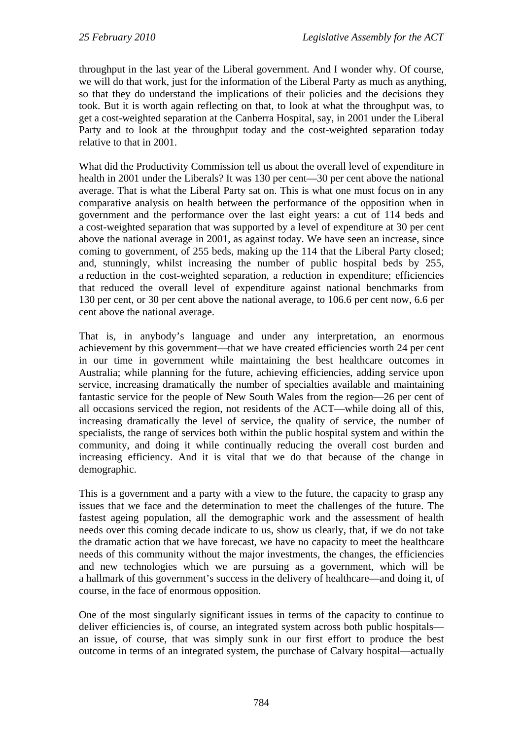throughput in the last year of the Liberal government. And I wonder why. Of course, we will do that work, just for the information of the Liberal Party as much as anything, so that they do understand the implications of their policies and the decisions they took. But it is worth again reflecting on that, to look at what the throughput was, to get a cost-weighted separation at the Canberra Hospital, say, in 2001 under the Liberal Party and to look at the throughput today and the cost-weighted separation today relative to that in 2001.

What did the Productivity Commission tell us about the overall level of expenditure in health in 2001 under the Liberals? It was 130 per cent—30 per cent above the national average. That is what the Liberal Party sat on. This is what one must focus on in any comparative analysis on health between the performance of the opposition when in government and the performance over the last eight years: a cut of 114 beds and a cost-weighted separation that was supported by a level of expenditure at 30 per cent above the national average in 2001, as against today. We have seen an increase, since coming to government, of 255 beds, making up the 114 that the Liberal Party closed; and, stunningly, whilst increasing the number of public hospital beds by 255, a reduction in the cost-weighted separation, a reduction in expenditure; efficiencies that reduced the overall level of expenditure against national benchmarks from 130 per cent, or 30 per cent above the national average, to 106.6 per cent now, 6.6 per cent above the national average.

That is, in anybody's language and under any interpretation, an enormous achievement by this government—that we have created efficiencies worth 24 per cent in our time in government while maintaining the best healthcare outcomes in Australia; while planning for the future, achieving efficiencies, adding service upon service, increasing dramatically the number of specialties available and maintaining fantastic service for the people of New South Wales from the region—26 per cent of all occasions serviced the region, not residents of the ACT—while doing all of this, increasing dramatically the level of service, the quality of service, the number of specialists, the range of services both within the public hospital system and within the community, and doing it while continually reducing the overall cost burden and increasing efficiency. And it is vital that we do that because of the change in demographic.

This is a government and a party with a view to the future, the capacity to grasp any issues that we face and the determination to meet the challenges of the future. The fastest ageing population, all the demographic work and the assessment of health needs over this coming decade indicate to us, show us clearly, that, if we do not take the dramatic action that we have forecast, we have no capacity to meet the healthcare needs of this community without the major investments, the changes, the efficiencies and new technologies which we are pursuing as a government, which will be a hallmark of this government's success in the delivery of healthcare—and doing it, of course, in the face of enormous opposition.

One of the most singularly significant issues in terms of the capacity to continue to deliver efficiencies is, of course, an integrated system across both public hospitals an issue, of course, that was simply sunk in our first effort to produce the best outcome in terms of an integrated system, the purchase of Calvary hospital—actually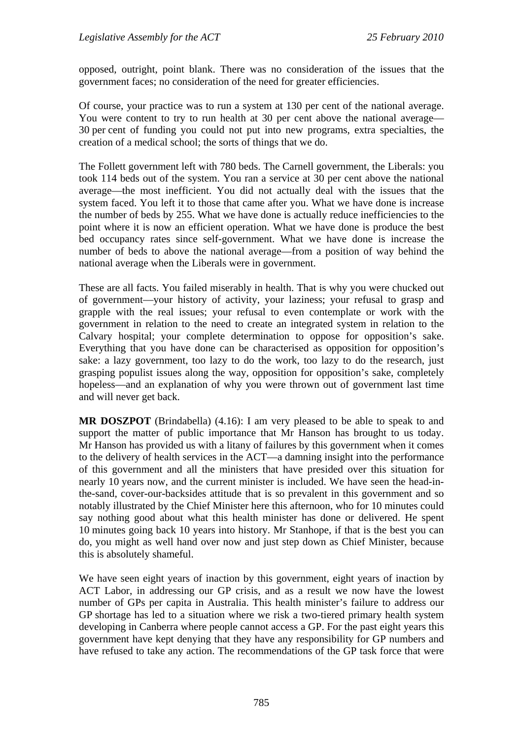opposed, outright, point blank. There was no consideration of the issues that the government faces; no consideration of the need for greater efficiencies.

Of course, your practice was to run a system at 130 per cent of the national average. You were content to try to run health at 30 per cent above the national average— 30 per cent of funding you could not put into new programs, extra specialties, the creation of a medical school; the sorts of things that we do.

The Follett government left with 780 beds. The Carnell government, the Liberals: you took 114 beds out of the system. You ran a service at 30 per cent above the national average—the most inefficient. You did not actually deal with the issues that the system faced. You left it to those that came after you. What we have done is increase the number of beds by 255. What we have done is actually reduce inefficiencies to the point where it is now an efficient operation. What we have done is produce the best bed occupancy rates since self-government. What we have done is increase the number of beds to above the national average—from a position of way behind the national average when the Liberals were in government.

These are all facts. You failed miserably in health. That is why you were chucked out of government—your history of activity, your laziness; your refusal to grasp and grapple with the real issues; your refusal to even contemplate or work with the government in relation to the need to create an integrated system in relation to the Calvary hospital; your complete determination to oppose for opposition's sake. Everything that you have done can be characterised as opposition for opposition's sake: a lazy government, too lazy to do the work, too lazy to do the research, just grasping populist issues along the way, opposition for opposition's sake, completely hopeless—and an explanation of why you were thrown out of government last time and will never get back.

**MR DOSZPOT** (Brindabella) (4.16): I am very pleased to be able to speak to and support the matter of public importance that Mr Hanson has brought to us today. Mr Hanson has provided us with a litany of failures by this government when it comes to the delivery of health services in the ACT—a damning insight into the performance of this government and all the ministers that have presided over this situation for nearly 10 years now, and the current minister is included. We have seen the head-inthe-sand, cover-our-backsides attitude that is so prevalent in this government and so notably illustrated by the Chief Minister here this afternoon, who for 10 minutes could say nothing good about what this health minister has done or delivered. He spent 10 minutes going back 10 years into history. Mr Stanhope, if that is the best you can do, you might as well hand over now and just step down as Chief Minister, because this is absolutely shameful.

We have seen eight years of inaction by this government, eight years of inaction by ACT Labor, in addressing our GP crisis, and as a result we now have the lowest number of GPs per capita in Australia. This health minister's failure to address our GP shortage has led to a situation where we risk a two-tiered primary health system developing in Canberra where people cannot access a GP. For the past eight years this government have kept denying that they have any responsibility for GP numbers and have refused to take any action. The recommendations of the GP task force that were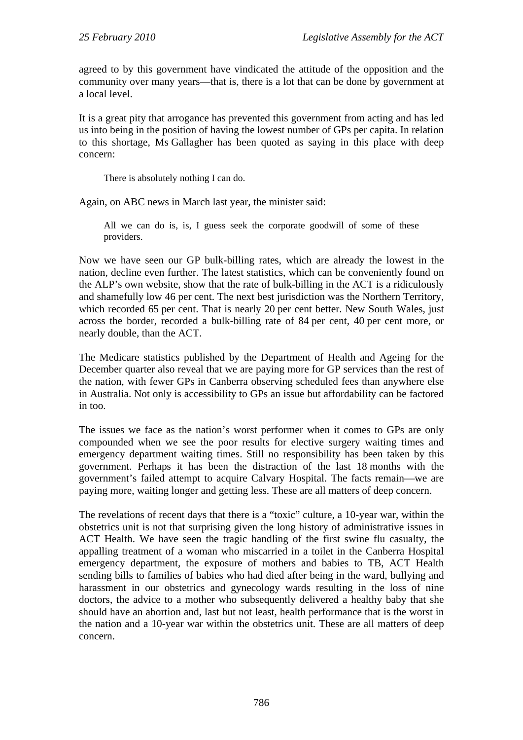agreed to by this government have vindicated the attitude of the opposition and the community over many years—that is, there is a lot that can be done by government at a local level.

It is a great pity that arrogance has prevented this government from acting and has led us into being in the position of having the lowest number of GPs per capita. In relation to this shortage, Ms Gallagher has been quoted as saying in this place with deep concern:

There is absolutely nothing I can do.

Again, on ABC news in March last year, the minister said:

All we can do is, is, I guess seek the corporate goodwill of some of these providers.

Now we have seen our GP bulk-billing rates, which are already the lowest in the nation, decline even further. The latest statistics, which can be conveniently found on the ALP's own website, show that the rate of bulk-billing in the ACT is a ridiculously and shamefully low 46 per cent. The next best jurisdiction was the Northern Territory, which recorded 65 per cent. That is nearly 20 per cent better. New South Wales, just across the border, recorded a bulk-billing rate of 84 per cent, 40 per cent more, or nearly double, than the ACT.

The Medicare statistics published by the Department of Health and Ageing for the December quarter also reveal that we are paying more for GP services than the rest of the nation, with fewer GPs in Canberra observing scheduled fees than anywhere else in Australia. Not only is accessibility to GPs an issue but affordability can be factored in too.

The issues we face as the nation's worst performer when it comes to GPs are only compounded when we see the poor results for elective surgery waiting times and emergency department waiting times. Still no responsibility has been taken by this government. Perhaps it has been the distraction of the last 18 months with the government's failed attempt to acquire Calvary Hospital. The facts remain—we are paying more, waiting longer and getting less. These are all matters of deep concern.

The revelations of recent days that there is a "toxic" culture, a 10-year war, within the obstetrics unit is not that surprising given the long history of administrative issues in ACT Health. We have seen the tragic handling of the first swine flu casualty, the appalling treatment of a woman who miscarried in a toilet in the Canberra Hospital emergency department, the exposure of mothers and babies to TB, ACT Health sending bills to families of babies who had died after being in the ward, bullying and harassment in our obstetrics and gynecology wards resulting in the loss of nine doctors, the advice to a mother who subsequently delivered a healthy baby that she should have an abortion and, last but not least, health performance that is the worst in the nation and a 10-year war within the obstetrics unit. These are all matters of deep concern.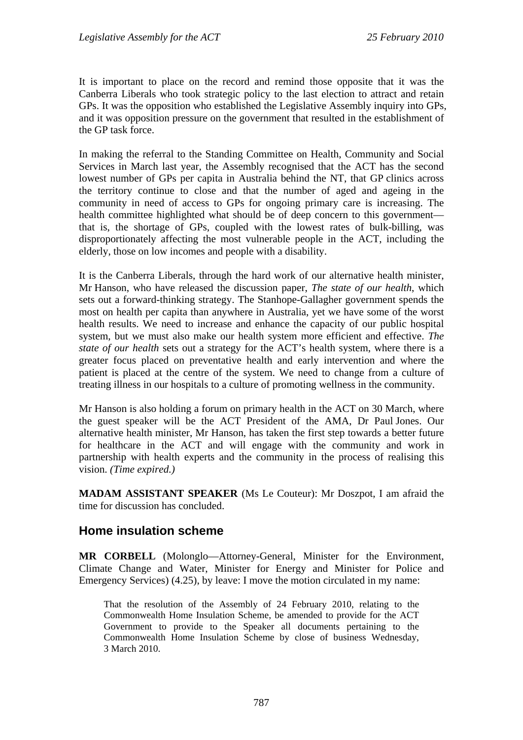It is important to place on the record and remind those opposite that it was the Canberra Liberals who took strategic policy to the last election to attract and retain GPs. It was the opposition who established the Legislative Assembly inquiry into GPs, and it was opposition pressure on the government that resulted in the establishment of the GP task force.

In making the referral to the Standing Committee on Health, Community and Social Services in March last year, the Assembly recognised that the ACT has the second lowest number of GPs per capita in Australia behind the NT, that GP clinics across the territory continue to close and that the number of aged and ageing in the community in need of access to GPs for ongoing primary care is increasing. The health committee highlighted what should be of deep concern to this government that is, the shortage of GPs, coupled with the lowest rates of bulk-billing, was disproportionately affecting the most vulnerable people in the ACT, including the elderly, those on low incomes and people with a disability.

It is the Canberra Liberals, through the hard work of our alternative health minister, Mr Hanson, who have released the discussion paper, *The state of our health*, which sets out a forward-thinking strategy. The Stanhope-Gallagher government spends the most on health per capita than anywhere in Australia, yet we have some of the worst health results. We need to increase and enhance the capacity of our public hospital system, but we must also make our health system more efficient and effective. *The state of our health* sets out a strategy for the ACT's health system, where there is a greater focus placed on preventative health and early intervention and where the patient is placed at the centre of the system. We need to change from a culture of treating illness in our hospitals to a culture of promoting wellness in the community.

Mr Hanson is also holding a forum on primary health in the ACT on 30 March, where the guest speaker will be the ACT President of the AMA, Dr Paul Jones. Our alternative health minister, Mr Hanson, has taken the first step towards a better future for healthcare in the ACT and will engage with the community and work in partnership with health experts and the community in the process of realising this vision. *(Time expired.)*

**MADAM ASSISTANT SPEAKER** (Ms Le Couteur): Mr Doszpot, I am afraid the time for discussion has concluded.

# **Home insulation scheme**

**MR CORBELL** (Molonglo—Attorney-General, Minister for the Environment, Climate Change and Water, Minister for Energy and Minister for Police and Emergency Services) (4.25), by leave: I move the motion circulated in my name:

That the resolution of the Assembly of 24 February 2010, relating to the Commonwealth Home Insulation Scheme, be amended to provide for the ACT Government to provide to the Speaker all documents pertaining to the Commonwealth Home Insulation Scheme by close of business Wednesday, 3 March 2010.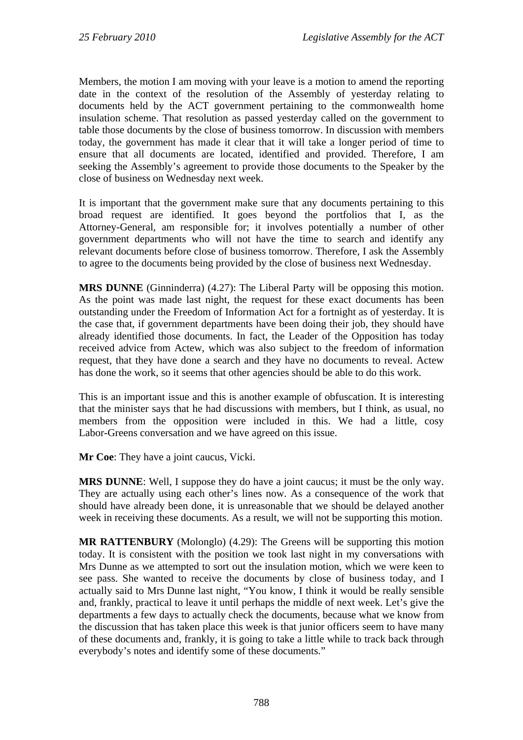Members, the motion I am moving with your leave is a motion to amend the reporting date in the context of the resolution of the Assembly of yesterday relating to documents held by the ACT government pertaining to the commonwealth home insulation scheme. That resolution as passed yesterday called on the government to table those documents by the close of business tomorrow. In discussion with members today, the government has made it clear that it will take a longer period of time to ensure that all documents are located, identified and provided. Therefore, I am seeking the Assembly's agreement to provide those documents to the Speaker by the close of business on Wednesday next week.

It is important that the government make sure that any documents pertaining to this broad request are identified. It goes beyond the portfolios that I, as the Attorney-General, am responsible for; it involves potentially a number of other government departments who will not have the time to search and identify any relevant documents before close of business tomorrow. Therefore, I ask the Assembly to agree to the documents being provided by the close of business next Wednesday.

**MRS DUNNE** (Ginninderra) (4.27): The Liberal Party will be opposing this motion. As the point was made last night, the request for these exact documents has been outstanding under the Freedom of Information Act for a fortnight as of yesterday. It is the case that, if government departments have been doing their job, they should have already identified those documents. In fact, the Leader of the Opposition has today received advice from Actew, which was also subject to the freedom of information request, that they have done a search and they have no documents to reveal. Actew has done the work, so it seems that other agencies should be able to do this work.

This is an important issue and this is another example of obfuscation. It is interesting that the minister says that he had discussions with members, but I think, as usual, no members from the opposition were included in this. We had a little, cosy Labor-Greens conversation and we have agreed on this issue.

**Mr Coe**: They have a joint caucus, Vicki.

**MRS DUNNE**: Well, I suppose they do have a joint caucus; it must be the only way. They are actually using each other's lines now. As a consequence of the work that should have already been done, it is unreasonable that we should be delayed another week in receiving these documents. As a result, we will not be supporting this motion.

**MR RATTENBURY** (Molonglo) (4.29): The Greens will be supporting this motion today. It is consistent with the position we took last night in my conversations with Mrs Dunne as we attempted to sort out the insulation motion, which we were keen to see pass. She wanted to receive the documents by close of business today, and I actually said to Mrs Dunne last night, "You know, I think it would be really sensible and, frankly, practical to leave it until perhaps the middle of next week. Let's give the departments a few days to actually check the documents, because what we know from the discussion that has taken place this week is that junior officers seem to have many of these documents and, frankly, it is going to take a little while to track back through everybody's notes and identify some of these documents."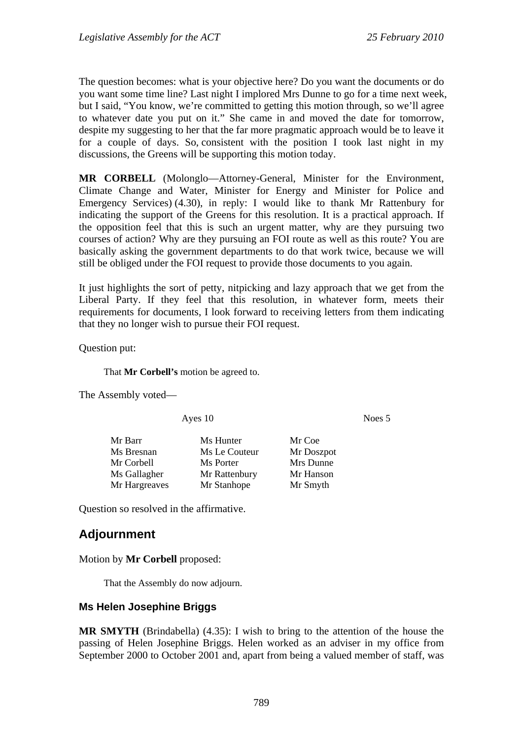The question becomes: what is your objective here? Do you want the documents or do you want some time line? Last night I implored Mrs Dunne to go for a time next week, but I said, "You know, we're committed to getting this motion through, so we'll agree to whatever date you put on it." She came in and moved the date for tomorrow, despite my suggesting to her that the far more pragmatic approach would be to leave it for a couple of days. So, consistent with the position I took last night in my discussions, the Greens will be supporting this motion today.

**MR CORBELL** (Molonglo—Attorney-General, Minister for the Environment, Climate Change and Water, Minister for Energy and Minister for Police and Emergency Services) (4.30), in reply: I would like to thank Mr Rattenbury for indicating the support of the Greens for this resolution. It is a practical approach. If the opposition feel that this is such an urgent matter, why are they pursuing two courses of action? Why are they pursuing an FOI route as well as this route? You are basically asking the government departments to do that work twice, because we will still be obliged under the FOI request to provide those documents to you again.

It just highlights the sort of petty, nitpicking and lazy approach that we get from the Liberal Party. If they feel that this resolution, in whatever form, meets their requirements for documents, I look forward to receiving letters from them indicating that they no longer wish to pursue their FOI request.

Question put:

That **Mr Corbell's** motion be agreed to.

The Assembly voted—

Ayes 10 Noes 5

Question so resolved in the affirmative.

# **Adjournment**

Motion by **Mr Corbell** proposed:

That the Assembly do now adjourn.

#### **Ms Helen Josephine Briggs**

**MR SMYTH** (Brindabella) (4.35): I wish to bring to the attention of the house the passing of Helen Josephine Briggs. Helen worked as an adviser in my office from September 2000 to October 2001 and, apart from being a valued member of staff, was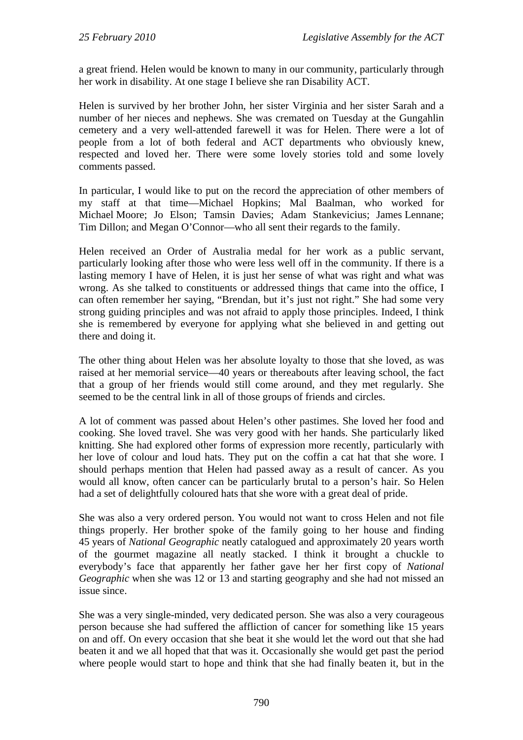a great friend. Helen would be known to many in our community, particularly through her work in disability. At one stage I believe she ran Disability ACT.

Helen is survived by her brother John, her sister Virginia and her sister Sarah and a number of her nieces and nephews. She was cremated on Tuesday at the Gungahlin cemetery and a very well-attended farewell it was for Helen. There were a lot of people from a lot of both federal and ACT departments who obviously knew, respected and loved her. There were some lovely stories told and some lovely comments passed.

In particular, I would like to put on the record the appreciation of other members of my staff at that time—Michael Hopkins; Mal Baalman, who worked for Michael Moore; Jo Elson; Tamsin Davies; Adam Stankevicius; James Lennane; Tim Dillon; and Megan O'Connor—who all sent their regards to the family.

Helen received an Order of Australia medal for her work as a public servant, particularly looking after those who were less well off in the community. If there is a lasting memory I have of Helen, it is just her sense of what was right and what was wrong. As she talked to constituents or addressed things that came into the office, I can often remember her saying, "Brendan, but it's just not right." She had some very strong guiding principles and was not afraid to apply those principles. Indeed, I think she is remembered by everyone for applying what she believed in and getting out there and doing it.

The other thing about Helen was her absolute loyalty to those that she loved, as was raised at her memorial service—40 years or thereabouts after leaving school, the fact that a group of her friends would still come around, and they met regularly. She seemed to be the central link in all of those groups of friends and circles.

A lot of comment was passed about Helen's other pastimes. She loved her food and cooking. She loved travel. She was very good with her hands. She particularly liked knitting. She had explored other forms of expression more recently, particularly with her love of colour and loud hats. They put on the coffin a cat hat that she wore. I should perhaps mention that Helen had passed away as a result of cancer. As you would all know, often cancer can be particularly brutal to a person's hair. So Helen had a set of delightfully coloured hats that she wore with a great deal of pride.

She was also a very ordered person. You would not want to cross Helen and not file things properly. Her brother spoke of the family going to her house and finding 45 years of *National Geographic* neatly catalogued and approximately 20 years worth of the gourmet magazine all neatly stacked. I think it brought a chuckle to everybody's face that apparently her father gave her her first copy of *National Geographic* when she was 12 or 13 and starting geography and she had not missed an issue since.

She was a very single-minded, very dedicated person. She was also a very courageous person because she had suffered the affliction of cancer for something like 15 years on and off. On every occasion that she beat it she would let the word out that she had beaten it and we all hoped that that was it. Occasionally she would get past the period where people would start to hope and think that she had finally beaten it, but in the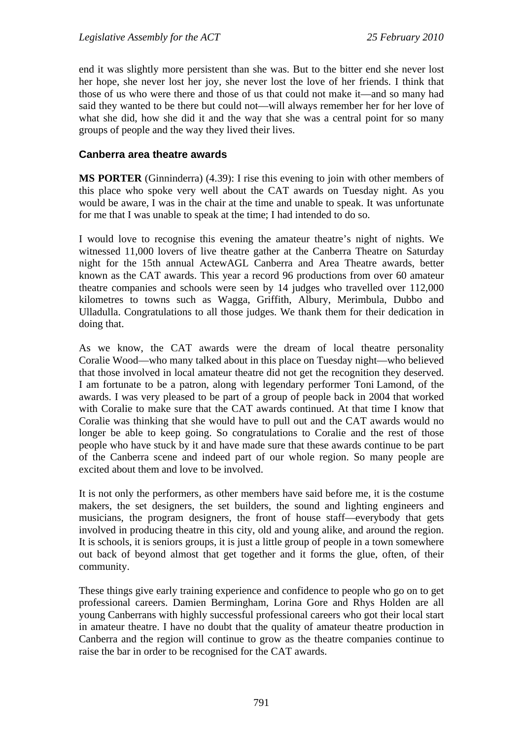end it was slightly more persistent than she was. But to the bitter end she never lost her hope, she never lost her joy, she never lost the love of her friends. I think that those of us who were there and those of us that could not make it—and so many had said they wanted to be there but could not—will always remember her for her love of what she did, how she did it and the way that she was a central point for so many groups of people and the way they lived their lives.

#### **Canberra area theatre awards**

**MS PORTER** (Ginninderra) (4.39): I rise this evening to join with other members of this place who spoke very well about the CAT awards on Tuesday night. As you would be aware, I was in the chair at the time and unable to speak. It was unfortunate for me that I was unable to speak at the time; I had intended to do so.

I would love to recognise this evening the amateur theatre's night of nights. We witnessed 11,000 lovers of live theatre gather at the Canberra Theatre on Saturday night for the 15th annual ActewAGL Canberra and Area Theatre awards, better known as the CAT awards. This year a record 96 productions from over 60 amateur theatre companies and schools were seen by 14 judges who travelled over 112,000 kilometres to towns such as Wagga, Griffith, Albury, Merimbula, Dubbo and Ulladulla. Congratulations to all those judges. We thank them for their dedication in doing that.

As we know, the CAT awards were the dream of local theatre personality Coralie Wood—who many talked about in this place on Tuesday night—who believed that those involved in local amateur theatre did not get the recognition they deserved. I am fortunate to be a patron, along with legendary performer Toni Lamond, of the awards. I was very pleased to be part of a group of people back in 2004 that worked with Coralie to make sure that the CAT awards continued. At that time I know that Coralie was thinking that she would have to pull out and the CAT awards would no longer be able to keep going. So congratulations to Coralie and the rest of those people who have stuck by it and have made sure that these awards continue to be part of the Canberra scene and indeed part of our whole region. So many people are excited about them and love to be involved.

It is not only the performers, as other members have said before me, it is the costume makers, the set designers, the set builders, the sound and lighting engineers and musicians, the program designers, the front of house staff—everybody that gets involved in producing theatre in this city, old and young alike, and around the region. It is schools, it is seniors groups, it is just a little group of people in a town somewhere out back of beyond almost that get together and it forms the glue, often, of their community.

These things give early training experience and confidence to people who go on to get professional careers. Damien Bermingham, Lorina Gore and Rhys Holden are all young Canberrans with highly successful professional careers who got their local start in amateur theatre. I have no doubt that the quality of amateur theatre production in Canberra and the region will continue to grow as the theatre companies continue to raise the bar in order to be recognised for the CAT awards.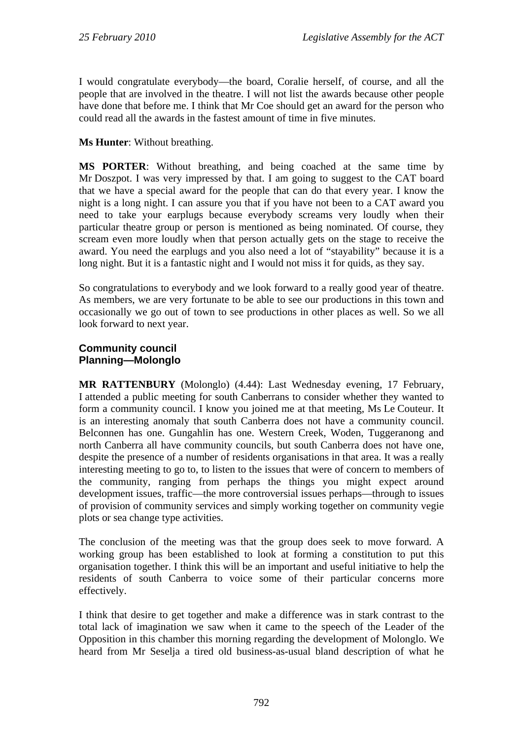I would congratulate everybody—the board, Coralie herself, of course, and all the people that are involved in the theatre. I will not list the awards because other people have done that before me. I think that Mr Coe should get an award for the person who could read all the awards in the fastest amount of time in five minutes.

## **Ms Hunter**: Without breathing.

**MS PORTER**: Without breathing, and being coached at the same time by Mr Doszpot. I was very impressed by that. I am going to suggest to the CAT board that we have a special award for the people that can do that every year. I know the night is a long night. I can assure you that if you have not been to a CAT award you need to take your earplugs because everybody screams very loudly when their particular theatre group or person is mentioned as being nominated. Of course, they scream even more loudly when that person actually gets on the stage to receive the award. You need the earplugs and you also need a lot of "stayability" because it is a long night. But it is a fantastic night and I would not miss it for quids, as they say.

So congratulations to everybody and we look forward to a really good year of theatre. As members, we are very fortunate to be able to see our productions in this town and occasionally we go out of town to see productions in other places as well. So we all look forward to next year.

#### **Community council Planning—Molonglo**

**MR RATTENBURY** (Molonglo) (4.44): Last Wednesday evening, 17 February, I attended a public meeting for south Canberrans to consider whether they wanted to form a community council. I know you joined me at that meeting, Ms Le Couteur. It is an interesting anomaly that south Canberra does not have a community council. Belconnen has one. Gungahlin has one. Western Creek, Woden, Tuggeranong and north Canberra all have community councils, but south Canberra does not have one, despite the presence of a number of residents organisations in that area. It was a really interesting meeting to go to, to listen to the issues that were of concern to members of the community, ranging from perhaps the things you might expect around development issues, traffic—the more controversial issues perhaps—through to issues of provision of community services and simply working together on community vegie plots or sea change type activities.

The conclusion of the meeting was that the group does seek to move forward. A working group has been established to look at forming a constitution to put this organisation together. I think this will be an important and useful initiative to help the residents of south Canberra to voice some of their particular concerns more effectively.

I think that desire to get together and make a difference was in stark contrast to the total lack of imagination we saw when it came to the speech of the Leader of the Opposition in this chamber this morning regarding the development of Molonglo. We heard from Mr Seselja a tired old business-as-usual bland description of what he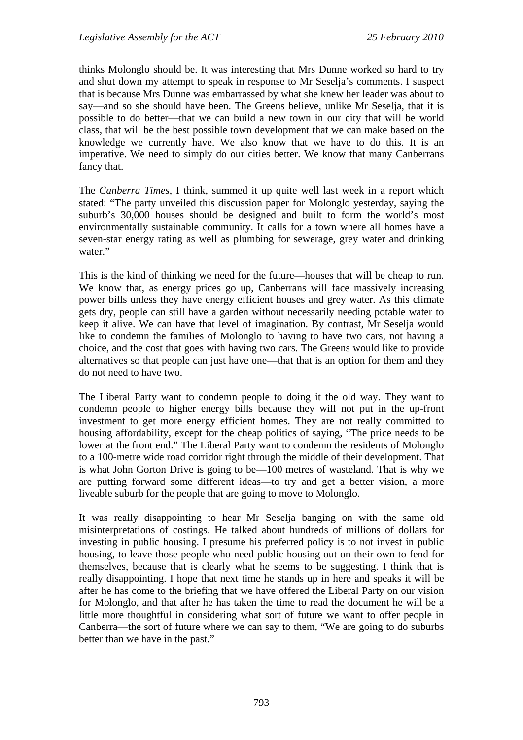thinks Molonglo should be. It was interesting that Mrs Dunne worked so hard to try and shut down my attempt to speak in response to Mr Seselja's comments. I suspect that is because Mrs Dunne was embarrassed by what she knew her leader was about to say—and so she should have been. The Greens believe, unlike Mr Seselja, that it is possible to do better—that we can build a new town in our city that will be world class, that will be the best possible town development that we can make based on the knowledge we currently have. We also know that we have to do this. It is an imperative. We need to simply do our cities better. We know that many Canberrans fancy that.

The *Canberra Times*, I think, summed it up quite well last week in a report which stated: "The party unveiled this discussion paper for Molonglo yesterday, saying the suburb's 30,000 houses should be designed and built to form the world's most environmentally sustainable community. It calls for a town where all homes have a seven-star energy rating as well as plumbing for sewerage, grey water and drinking water."

This is the kind of thinking we need for the future—houses that will be cheap to run. We know that, as energy prices go up, Canberrans will face massively increasing power bills unless they have energy efficient houses and grey water. As this climate gets dry, people can still have a garden without necessarily needing potable water to keep it alive. We can have that level of imagination. By contrast, Mr Seselja would like to condemn the families of Molonglo to having to have two cars, not having a choice, and the cost that goes with having two cars. The Greens would like to provide alternatives so that people can just have one—that that is an option for them and they do not need to have two.

The Liberal Party want to condemn people to doing it the old way. They want to condemn people to higher energy bills because they will not put in the up-front investment to get more energy efficient homes. They are not really committed to housing affordability, except for the cheap politics of saying, "The price needs to be lower at the front end." The Liberal Party want to condemn the residents of Molonglo to a 100-metre wide road corridor right through the middle of their development. That is what John Gorton Drive is going to be—100 metres of wasteland. That is why we are putting forward some different ideas—to try and get a better vision, a more liveable suburb for the people that are going to move to Molonglo.

It was really disappointing to hear Mr Seselja banging on with the same old misinterpretations of costings. He talked about hundreds of millions of dollars for investing in public housing. I presume his preferred policy is to not invest in public housing, to leave those people who need public housing out on their own to fend for themselves, because that is clearly what he seems to be suggesting. I think that is really disappointing. I hope that next time he stands up in here and speaks it will be after he has come to the briefing that we have offered the Liberal Party on our vision for Molonglo, and that after he has taken the time to read the document he will be a little more thoughtful in considering what sort of future we want to offer people in Canberra—the sort of future where we can say to them, "We are going to do suburbs better than we have in the past."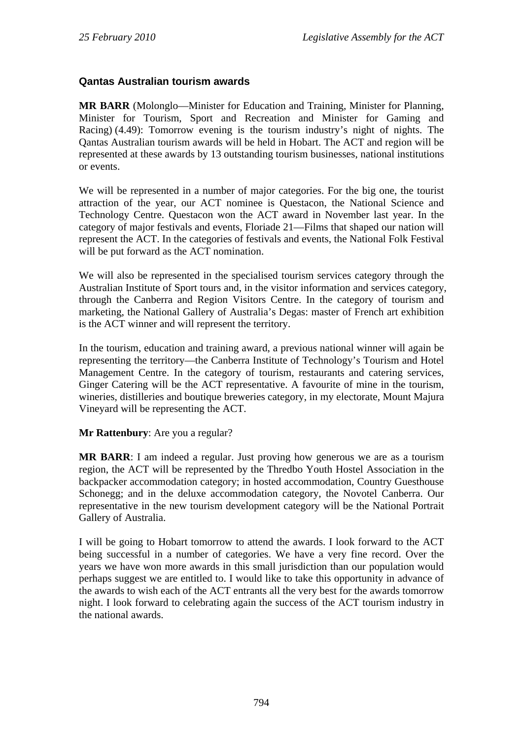## **Qantas Australian tourism awards**

**MR BARR** (Molonglo—Minister for Education and Training, Minister for Planning, Minister for Tourism, Sport and Recreation and Minister for Gaming and Racing) (4.49): Tomorrow evening is the tourism industry's night of nights. The Qantas Australian tourism awards will be held in Hobart. The ACT and region will be represented at these awards by 13 outstanding tourism businesses, national institutions or events.

We will be represented in a number of major categories. For the big one, the tourist attraction of the year, our ACT nominee is Questacon, the National Science and Technology Centre. Questacon won the ACT award in November last year. In the category of major festivals and events, Floriade 21—Films that shaped our nation will represent the ACT. In the categories of festivals and events, the National Folk Festival will be put forward as the ACT nomination.

We will also be represented in the specialised tourism services category through the Australian Institute of Sport tours and, in the visitor information and services category, through the Canberra and Region Visitors Centre. In the category of tourism and marketing, the National Gallery of Australia's Degas: master of French art exhibition is the ACT winner and will represent the territory.

In the tourism, education and training award, a previous national winner will again be representing the territory—the Canberra Institute of Technology's Tourism and Hotel Management Centre. In the category of tourism, restaurants and catering services, Ginger Catering will be the ACT representative. A favourite of mine in the tourism, wineries, distilleries and boutique breweries category, in my electorate, Mount Majura Vineyard will be representing the ACT.

#### **Mr Rattenbury**: Are you a regular?

**MR BARR**: I am indeed a regular. Just proving how generous we are as a tourism region, the ACT will be represented by the Thredbo Youth Hostel Association in the backpacker accommodation category; in hosted accommodation, Country Guesthouse Schonegg; and in the deluxe accommodation category, the Novotel Canberra. Our representative in the new tourism development category will be the National Portrait Gallery of Australia.

I will be going to Hobart tomorrow to attend the awards. I look forward to the ACT being successful in a number of categories. We have a very fine record. Over the years we have won more awards in this small jurisdiction than our population would perhaps suggest we are entitled to. I would like to take this opportunity in advance of the awards to wish each of the ACT entrants all the very best for the awards tomorrow night. I look forward to celebrating again the success of the ACT tourism industry in the national awards.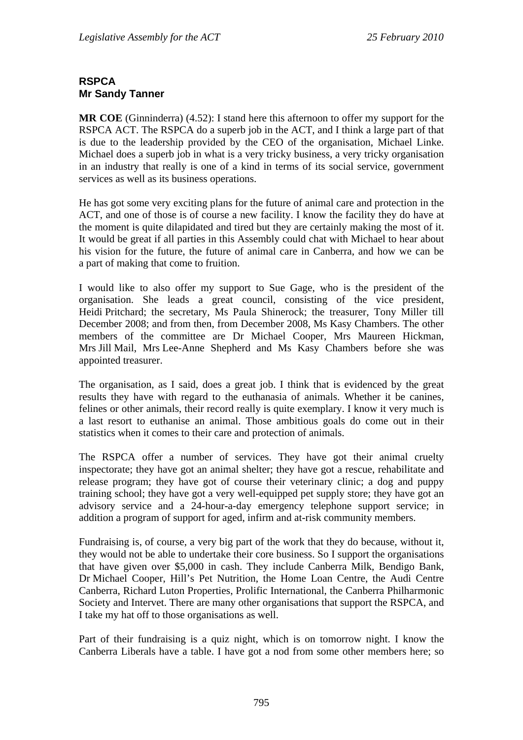## **RSPCA Mr Sandy Tanner**

**MR COE** (Ginninderra) (4.52): I stand here this afternoon to offer my support for the RSPCA ACT. The RSPCA do a superb job in the ACT, and I think a large part of that is due to the leadership provided by the CEO of the organisation, Michael Linke. Michael does a superb job in what is a very tricky business, a very tricky organisation in an industry that really is one of a kind in terms of its social service, government services as well as its business operations.

He has got some very exciting plans for the future of animal care and protection in the ACT, and one of those is of course a new facility. I know the facility they do have at the moment is quite dilapidated and tired but they are certainly making the most of it. It would be great if all parties in this Assembly could chat with Michael to hear about his vision for the future, the future of animal care in Canberra, and how we can be a part of making that come to fruition.

I would like to also offer my support to Sue Gage, who is the president of the organisation. She leads a great council, consisting of the vice president, Heidi Pritchard; the secretary, Ms Paula Shinerock; the treasurer, Tony Miller till December 2008; and from then, from December 2008, Ms Kasy Chambers. The other members of the committee are Dr Michael Cooper, Mrs Maureen Hickman, Mrs Jill Mail, Mrs Lee-Anne Shepherd and Ms Kasy Chambers before she was appointed treasurer.

The organisation, as I said, does a great job. I think that is evidenced by the great results they have with regard to the euthanasia of animals. Whether it be canines, felines or other animals, their record really is quite exemplary. I know it very much is a last resort to euthanise an animal. Those ambitious goals do come out in their statistics when it comes to their care and protection of animals.

The RSPCA offer a number of services. They have got their animal cruelty inspectorate; they have got an animal shelter; they have got a rescue, rehabilitate and release program; they have got of course their veterinary clinic; a dog and puppy training school; they have got a very well-equipped pet supply store; they have got an advisory service and a 24-hour-a-day emergency telephone support service; in addition a program of support for aged, infirm and at-risk community members.

Fundraising is, of course, a very big part of the work that they do because, without it, they would not be able to undertake their core business. So I support the organisations that have given over \$5,000 in cash. They include Canberra Milk, Bendigo Bank, Dr Michael Cooper, Hill's Pet Nutrition, the Home Loan Centre, the Audi Centre Canberra, Richard Luton Properties, Prolific International, the Canberra Philharmonic Society and Intervet. There are many other organisations that support the RSPCA, and I take my hat off to those organisations as well.

Part of their fundraising is a quiz night, which is on tomorrow night. I know the Canberra Liberals have a table. I have got a nod from some other members here; so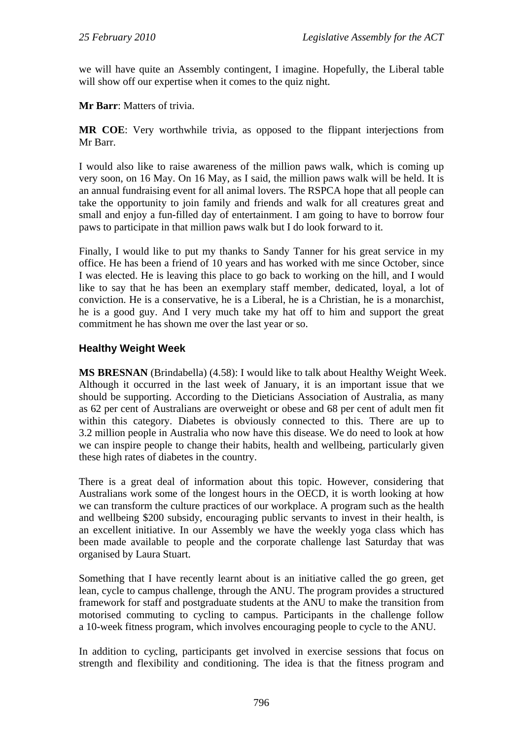we will have quite an Assembly contingent, I imagine. Hopefully, the Liberal table will show off our expertise when it comes to the quiz night.

**Mr Barr**: Matters of trivia.

**MR COE**: Very worthwhile trivia, as opposed to the flippant interjections from Mr Barr.

I would also like to raise awareness of the million paws walk, which is coming up very soon, on 16 May. On 16 May, as I said, the million paws walk will be held. It is an annual fundraising event for all animal lovers. The RSPCA hope that all people can take the opportunity to join family and friends and walk for all creatures great and small and enjoy a fun-filled day of entertainment. I am going to have to borrow four paws to participate in that million paws walk but I do look forward to it.

Finally, I would like to put my thanks to Sandy Tanner for his great service in my office. He has been a friend of 10 years and has worked with me since October, since I was elected. He is leaving this place to go back to working on the hill, and I would like to say that he has been an exemplary staff member, dedicated, loyal, a lot of conviction. He is a conservative, he is a Liberal, he is a Christian, he is a monarchist, he is a good guy. And I very much take my hat off to him and support the great commitment he has shown me over the last year or so.

## **Healthy Weight Week**

**MS BRESNAN** (Brindabella) (4.58): I would like to talk about Healthy Weight Week. Although it occurred in the last week of January, it is an important issue that we should be supporting. According to the Dieticians Association of Australia, as many as 62 per cent of Australians are overweight or obese and 68 per cent of adult men fit within this category. Diabetes is obviously connected to this. There are up to 3.2 million people in Australia who now have this disease. We do need to look at how we can inspire people to change their habits, health and wellbeing, particularly given these high rates of diabetes in the country.

There is a great deal of information about this topic. However, considering that Australians work some of the longest hours in the OECD, it is worth looking at how we can transform the culture practices of our workplace. A program such as the health and wellbeing \$200 subsidy, encouraging public servants to invest in their health, is an excellent initiative. In our Assembly we have the weekly yoga class which has been made available to people and the corporate challenge last Saturday that was organised by Laura Stuart.

Something that I have recently learnt about is an initiative called the go green, get lean, cycle to campus challenge, through the ANU. The program provides a structured framework for staff and postgraduate students at the ANU to make the transition from motorised commuting to cycling to campus. Participants in the challenge follow a 10-week fitness program, which involves encouraging people to cycle to the ANU.

In addition to cycling, participants get involved in exercise sessions that focus on strength and flexibility and conditioning. The idea is that the fitness program and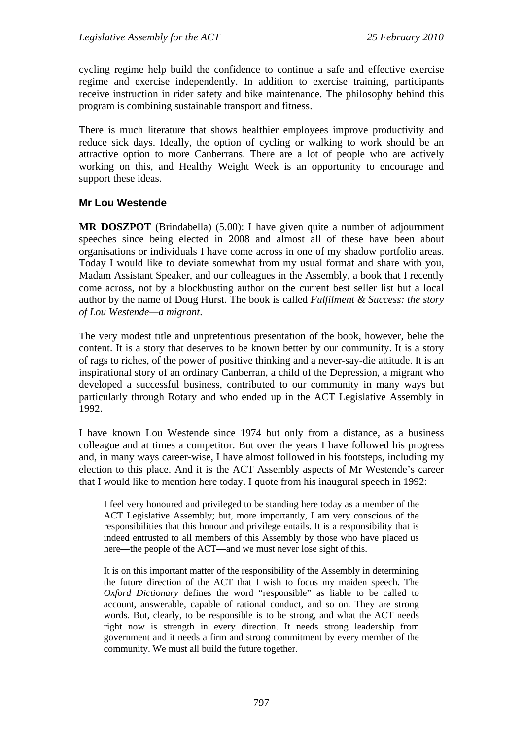cycling regime help build the confidence to continue a safe and effective exercise regime and exercise independently. In addition to exercise training, participants receive instruction in rider safety and bike maintenance. The philosophy behind this program is combining sustainable transport and fitness.

There is much literature that shows healthier employees improve productivity and reduce sick days. Ideally, the option of cycling or walking to work should be an attractive option to more Canberrans. There are a lot of people who are actively working on this, and Healthy Weight Week is an opportunity to encourage and support these ideas.

#### **Mr Lou Westende**

**MR DOSZPOT** (Brindabella) (5.00): I have given quite a number of adjournment speeches since being elected in 2008 and almost all of these have been about organisations or individuals I have come across in one of my shadow portfolio areas. Today I would like to deviate somewhat from my usual format and share with you, Madam Assistant Speaker, and our colleagues in the Assembly, a book that I recently come across, not by a blockbusting author on the current best seller list but a local author by the name of Doug Hurst. The book is called *Fulfilment & Success: the story of Lou Westende—a migrant*.

The very modest title and unpretentious presentation of the book, however, belie the content. It is a story that deserves to be known better by our community. It is a story of rags to riches, of the power of positive thinking and a never-say-die attitude. It is an inspirational story of an ordinary Canberran, a child of the Depression, a migrant who developed a successful business, contributed to our community in many ways but particularly through Rotary and who ended up in the ACT Legislative Assembly in 1992.

I have known Lou Westende since 1974 but only from a distance, as a business colleague and at times a competitor. But over the years I have followed his progress and, in many ways career-wise, I have almost followed in his footsteps, including my election to this place. And it is the ACT Assembly aspects of Mr Westende's career that I would like to mention here today. I quote from his inaugural speech in 1992:

I feel very honoured and privileged to be standing here today as a member of the ACT Legislative Assembly; but, more importantly, I am very conscious of the responsibilities that this honour and privilege entails. It is a responsibility that is indeed entrusted to all members of this Assembly by those who have placed us here—the people of the ACT—and we must never lose sight of this.

It is on this important matter of the responsibility of the Assembly in determining the future direction of the ACT that I wish to focus my maiden speech. The *Oxford Dictionary* defines the word "responsible" as liable to be called to account, answerable, capable of rational conduct, and so on. They are strong words. But, clearly, to be responsible is to be strong, and what the ACT needs right now is strength in every direction. It needs strong leadership from government and it needs a firm and strong commitment by every member of the community. We must all build the future together.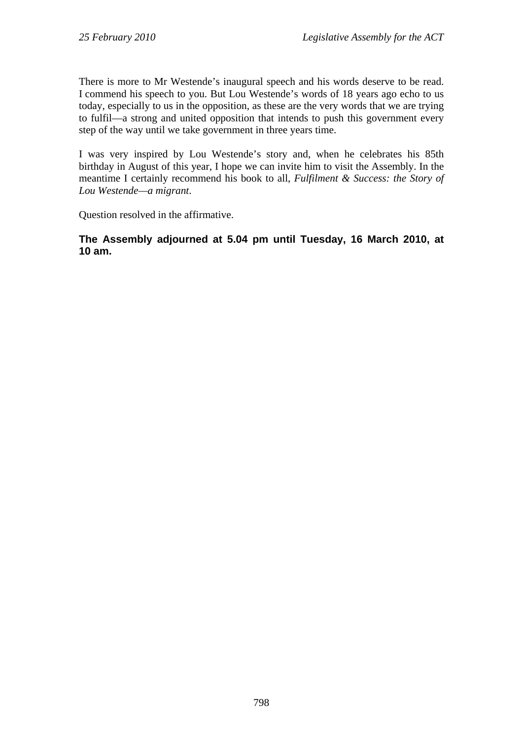There is more to Mr Westende's inaugural speech and his words deserve to be read. I commend his speech to you. But Lou Westende's words of 18 years ago echo to us today, especially to us in the opposition, as these are the very words that we are trying to fulfil—a strong and united opposition that intends to push this government every step of the way until we take government in three years time.

I was very inspired by Lou Westende's story and, when he celebrates his 85th birthday in August of this year, I hope we can invite him to visit the Assembly. In the meantime I certainly recommend his book to all, *Fulfilment & Success: the Story of Lou Westende—a migrant*.

Question resolved in the affirmative.

**The Assembly adjourned at 5.04 pm until Tuesday, 16 March 2010, at 10 am.**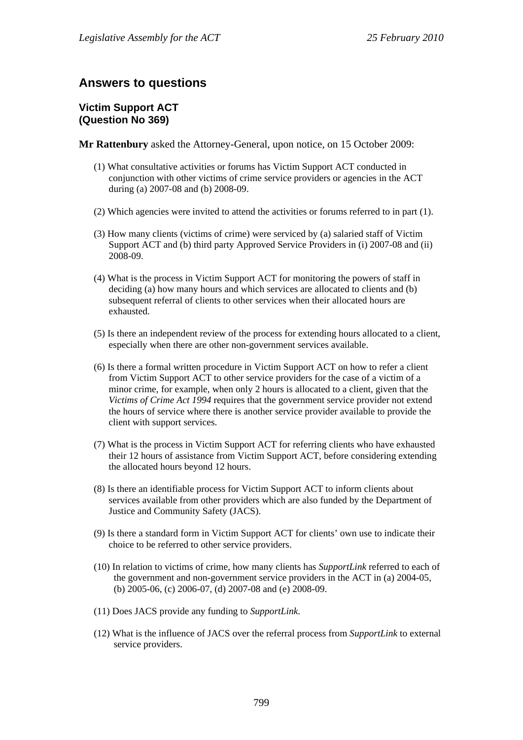# **Answers to questions**

## **Victim Support ACT (Question No 369)**

**Mr Rattenbury** asked the Attorney-General, upon notice, on 15 October 2009:

- (1) What consultative activities or forums has Victim Support ACT conducted in conjunction with other victims of crime service providers or agencies in the ACT during (a) 2007-08 and (b) 2008-09.
- (2) Which agencies were invited to attend the activities or forums referred to in part (1).
- (3) How many clients (victims of crime) were serviced by (a) salaried staff of Victim Support ACT and (b) third party Approved Service Providers in (i) 2007-08 and (ii) 2008-09.
- (4) What is the process in Victim Support ACT for monitoring the powers of staff in deciding (a) how many hours and which services are allocated to clients and (b) subsequent referral of clients to other services when their allocated hours are exhausted.
- (5) Is there an independent review of the process for extending hours allocated to a client, especially when there are other non-government services available.
- (6) Is there a formal written procedure in Victim Support ACT on how to refer a client from Victim Support ACT to other service providers for the case of a victim of a minor crime, for example, when only 2 hours is allocated to a client, given that the *Victims of Crime Act 1994* requires that the government service provider not extend the hours of service where there is another service provider available to provide the client with support services.
- (7) What is the process in Victim Support ACT for referring clients who have exhausted their 12 hours of assistance from Victim Support ACT, before considering extending the allocated hours beyond 12 hours.
- (8) Is there an identifiable process for Victim Support ACT to inform clients about services available from other providers which are also funded by the Department of Justice and Community Safety (JACS).
- (9) Is there a standard form in Victim Support ACT for clients' own use to indicate their choice to be referred to other service providers.
- (10) In relation to victims of crime, how many clients has *SupportLink* referred to each of the government and non-government service providers in the ACT in (a) 2004-05, (b) 2005-06, (c) 2006-07, (d) 2007-08 and (e) 2008-09.
- (11) Does JACS provide any funding to *SupportLink*.
- (12) What is the influence of JACS over the referral process from *SupportLink* to external service providers.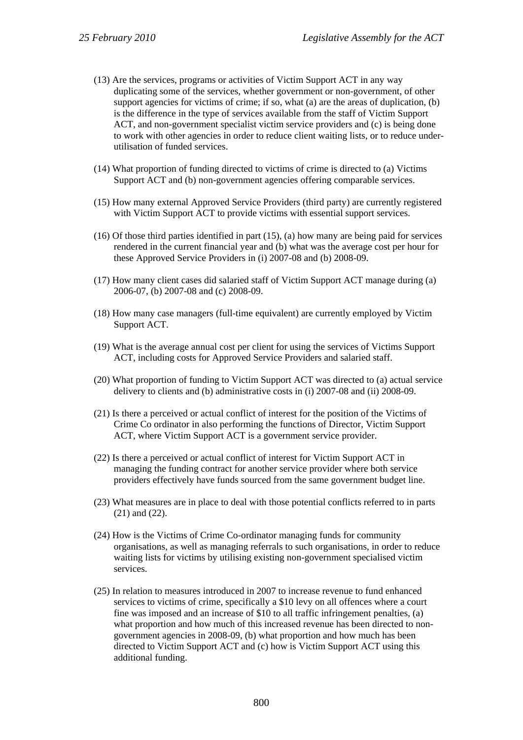- (13) Are the services, programs or activities of Victim Support ACT in any way duplicating some of the services, whether government or non-government, of other support agencies for victims of crime; if so, what (a) are the areas of duplication, (b) is the difference in the type of services available from the staff of Victim Support ACT, and non-government specialist victim service providers and (c) is being done to work with other agencies in order to reduce client waiting lists, or to reduce underutilisation of funded services.
- (14) What proportion of funding directed to victims of crime is directed to (a) Victims Support ACT and (b) non-government agencies offering comparable services.
- (15) How many external Approved Service Providers (third party) are currently registered with Victim Support ACT to provide victims with essential support services.
- (16) Of those third parties identified in part (15), (a) how many are being paid for services rendered in the current financial year and (b) what was the average cost per hour for these Approved Service Providers in (i) 2007-08 and (b) 2008-09.
- (17) How many client cases did salaried staff of Victim Support ACT manage during (a) 2006-07, (b) 2007-08 and (c) 2008-09.
- (18) How many case managers (full-time equivalent) are currently employed by Victim Support ACT.
- (19) What is the average annual cost per client for using the services of Victims Support ACT, including costs for Approved Service Providers and salaried staff.
- (20) What proportion of funding to Victim Support ACT was directed to (a) actual service delivery to clients and (b) administrative costs in (i) 2007-08 and (ii) 2008-09.
- (21) Is there a perceived or actual conflict of interest for the position of the Victims of Crime Co ordinator in also performing the functions of Director, Victim Support ACT, where Victim Support ACT is a government service provider.
- (22) Is there a perceived or actual conflict of interest for Victim Support ACT in managing the funding contract for another service provider where both service providers effectively have funds sourced from the same government budget line.
- (23) What measures are in place to deal with those potential conflicts referred to in parts (21) and (22).
- (24) How is the Victims of Crime Co-ordinator managing funds for community organisations, as well as managing referrals to such organisations, in order to reduce waiting lists for victims by utilising existing non-government specialised victim services.
- (25) In relation to measures introduced in 2007 to increase revenue to fund enhanced services to victims of crime, specifically a \$10 levy on all offences where a court fine was imposed and an increase of \$10 to all traffic infringement penalties, (a) what proportion and how much of this increased revenue has been directed to nongovernment agencies in 2008-09, (b) what proportion and how much has been directed to Victim Support ACT and (c) how is Victim Support ACT using this additional funding.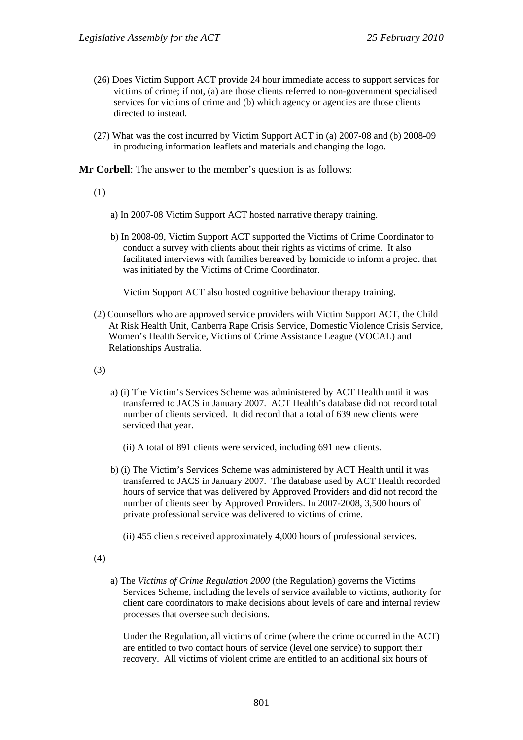- (26) Does Victim Support ACT provide 24 hour immediate access to support services for victims of crime; if not, (a) are those clients referred to non-government specialised services for victims of crime and (b) which agency or agencies are those clients directed to instead.
- (27) What was the cost incurred by Victim Support ACT in (a) 2007-08 and (b) 2008-09 in producing information leaflets and materials and changing the logo.

**Mr Corbell**: The answer to the member's question is as follows:

(1)

- a) In 2007-08 Victim Support ACT hosted narrative therapy training.
- b) In 2008-09, Victim Support ACT supported the Victims of Crime Coordinator to conduct a survey with clients about their rights as victims of crime. It also facilitated interviews with families bereaved by homicide to inform a project that was initiated by the Victims of Crime Coordinator.

Victim Support ACT also hosted cognitive behaviour therapy training.

(2) Counsellors who are approved service providers with Victim Support ACT, the Child At Risk Health Unit, Canberra Rape Crisis Service, Domestic Violence Crisis Service, Women's Health Service, Victims of Crime Assistance League (VOCAL) and Relationships Australia.

(3)

- a) (i) The Victim's Services Scheme was administered by ACT Health until it was transferred to JACS in January 2007. ACT Health's database did not record total number of clients serviced. It did record that a total of 639 new clients were serviced that year.
	- (ii) A total of 891 clients were serviced, including 691 new clients.
- b) (i) The Victim's Services Scheme was administered by ACT Health until it was transferred to JACS in January 2007. The database used by ACT Health recorded hours of service that was delivered by Approved Providers and did not record the number of clients seen by Approved Providers. In 2007-2008, 3,500 hours of private professional service was delivered to victims of crime.
	- (ii) 455 clients received approximately 4,000 hours of professional services.

(4)

a) The *Victims of Crime Regulation 2000* (the Regulation) governs the Victims Services Scheme, including the levels of service available to victims, authority for client care coordinators to make decisions about levels of care and internal review processes that oversee such decisions.

Under the Regulation, all victims of crime (where the crime occurred in the ACT) are entitled to two contact hours of service (level one service) to support their recovery. All victims of violent crime are entitled to an additional six hours of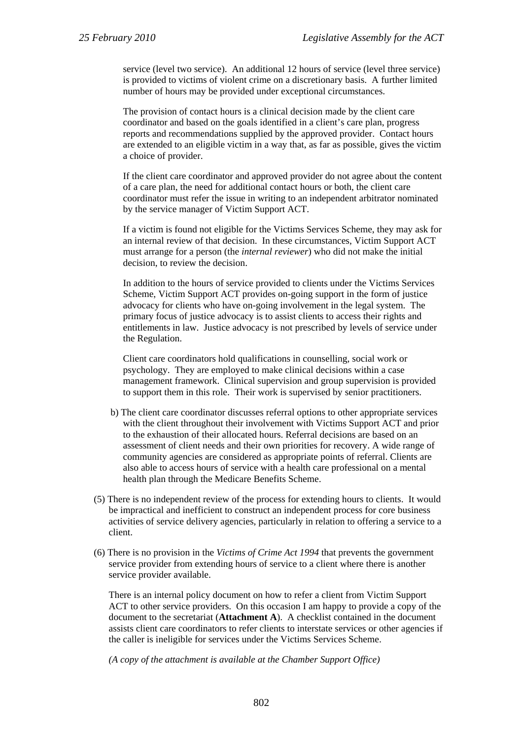service (level two service). An additional 12 hours of service (level three service) is provided to victims of violent crime on a discretionary basis. A further limited number of hours may be provided under exceptional circumstances.

The provision of contact hours is a clinical decision made by the client care coordinator and based on the goals identified in a client's care plan, progress reports and recommendations supplied by the approved provider. Contact hours are extended to an eligible victim in a way that, as far as possible, gives the victim a choice of provider.

If the client care coordinator and approved provider do not agree about the content of a care plan, the need for additional contact hours or both, the client care coordinator must refer the issue in writing to an independent arbitrator nominated by the service manager of Victim Support ACT.

If a victim is found not eligible for the Victims Services Scheme, they may ask for an internal review of that decision. In these circumstances, Victim Support ACT must arrange for a person (the *internal reviewer*) who did not make the initial decision, to review the decision.

In addition to the hours of service provided to clients under the Victims Services Scheme, Victim Support ACT provides on-going support in the form of justice advocacy for clients who have on-going involvement in the legal system. The primary focus of justice advocacy is to assist clients to access their rights and entitlements in law. Justice advocacy is not prescribed by levels of service under the Regulation.

Client care coordinators hold qualifications in counselling, social work or psychology. They are employed to make clinical decisions within a case management framework. Clinical supervision and group supervision is provided to support them in this role. Their work is supervised by senior practitioners.

- b) The client care coordinator discusses referral options to other appropriate services with the client throughout their involvement with Victims Support ACT and prior to the exhaustion of their allocated hours. Referral decisions are based on an assessment of client needs and their own priorities for recovery. A wide range of community agencies are considered as appropriate points of referral. Clients are also able to access hours of service with a health care professional on a mental health plan through the Medicare Benefits Scheme.
- (5) There is no independent review of the process for extending hours to clients. It would be impractical and inefficient to construct an independent process for core business activities of service delivery agencies, particularly in relation to offering a service to a client.
- (6) There is no provision in the *Victims of Crime Act 1994* that prevents the government service provider from extending hours of service to a client where there is another service provider available.

There is an internal policy document on how to refer a client from Victim Support ACT to other service providers. On this occasion I am happy to provide a copy of the document to the secretariat (**Attachment A**). A checklist contained in the document assists client care coordinators to refer clients to interstate services or other agencies if the caller is ineligible for services under the Victims Services Scheme.

*(A copy of the attachment is available at the Chamber Support Office)*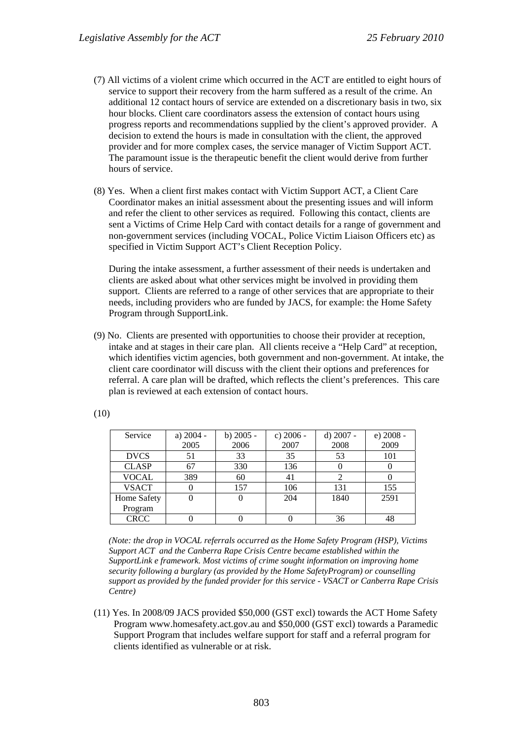- (7) All victims of a violent crime which occurred in the ACT are entitled to eight hours of service to support their recovery from the harm suffered as a result of the crime. An additional 12 contact hours of service are extended on a discretionary basis in two, six hour blocks. Client care coordinators assess the extension of contact hours using progress reports and recommendations supplied by the client's approved provider. A decision to extend the hours is made in consultation with the client, the approved provider and for more complex cases, the service manager of Victim Support ACT. The paramount issue is the therapeutic benefit the client would derive from further hours of service.
- (8) Yes. When a client first makes contact with Victim Support ACT, a Client Care Coordinator makes an initial assessment about the presenting issues and will inform and refer the client to other services as required. Following this contact, clients are sent a Victims of Crime Help Card with contact details for a range of government and non-government services (including VOCAL, Police Victim Liaison Officers etc) as specified in Victim Support ACT's Client Reception Policy.

During the intake assessment, a further assessment of their needs is undertaken and clients are asked about what other services might be involved in providing them support. Clients are referred to a range of other services that are appropriate to their needs, including providers who are funded by JACS, for example: the Home Safety Program through SupportLink.

(9) No. Clients are presented with opportunities to choose their provider at reception, intake and at stages in their care plan. All clients receive a "Help Card" at reception, which identifies victim agencies, both government and non-government. At intake, the client care coordinator will discuss with the client their options and preferences for referral. A care plan will be drafted, which reflects the client's preferences. This care plan is reviewed at each extension of contact hours.

| Service      | a) 2004 - | b) $2005 -$ | c) 2006 - | d) 2007 - | e) 2008 - |
|--------------|-----------|-------------|-----------|-----------|-----------|
|              | 2005      | 2006        | 2007      | 2008      | 2009      |
| <b>DVCS</b>  | 51        | 33          | 35        | 53        | 101       |
| <b>CLASP</b> | 67        | 330         | 136       |           |           |
| <b>VOCAL</b> | 389       | 60          | 41        | 2         |           |
| <b>VSACT</b> |           | 157         | 106       | 131       | 155       |
| Home Safety  |           |             | 204       | 1840      | 2591      |
| Program      |           |             |           |           |           |
| <b>CRCC</b>  |           |             |           | 36        | 48        |

(10)

*(Note: the drop in VOCAL referrals occurred as the Home Safety Program (HSP), Victims Support ACT and the Canberra Rape Crisis Centre became established within the SupportLink e framework. Most victims of crime sought information on improving home security following a burglary (as provided by the Home SafetyProgram) or counselling support as provided by the funded provider for this service - VSACT or Canberra Rape Crisis Centre)* 

(11) Yes. In 2008/09 JACS provided \$50,000 (GST excl) towards the ACT Home Safety Program www.homesafety.act.gov.au and \$50,000 (GST excl) towards a Paramedic Support Program that includes welfare support for staff and a referral program for clients identified as vulnerable or at risk.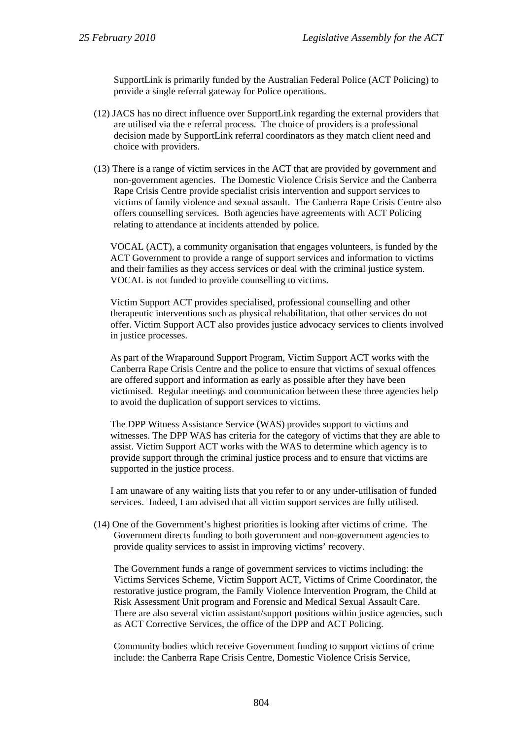SupportLink is primarily funded by the Australian Federal Police (ACT Policing) to provide a single referral gateway for Police operations.

- (12) JACS has no direct influence over SupportLink regarding the external providers that are utilised via the e referral process. The choice of providers is a professional decision made by SupportLink referral coordinators as they match client need and choice with providers.
- (13) There is a range of victim services in the ACT that are provided by government and non-government agencies. The Domestic Violence Crisis Service and the Canberra Rape Crisis Centre provide specialist crisis intervention and support services to victims of family violence and sexual assault. The Canberra Rape Crisis Centre also offers counselling services. Both agencies have agreements with ACT Policing relating to attendance at incidents attended by police.

VOCAL (ACT), a community organisation that engages volunteers, is funded by the ACT Government to provide a range of support services and information to victims and their families as they access services or deal with the criminal justice system. VOCAL is not funded to provide counselling to victims.

Victim Support ACT provides specialised, professional counselling and other therapeutic interventions such as physical rehabilitation, that other services do not offer. Victim Support ACT also provides justice advocacy services to clients involved in justice processes.

As part of the Wraparound Support Program, Victim Support ACT works with the Canberra Rape Crisis Centre and the police to ensure that victims of sexual offences are offered support and information as early as possible after they have been victimised. Regular meetings and communication between these three agencies help to avoid the duplication of support services to victims.

The DPP Witness Assistance Service (WAS) provides support to victims and witnesses. The DPP WAS has criteria for the category of victims that they are able to assist. Victim Support ACT works with the WAS to determine which agency is to provide support through the criminal justice process and to ensure that victims are supported in the justice process.

I am unaware of any waiting lists that you refer to or any under-utilisation of funded services. Indeed, I am advised that all victim support services are fully utilised.

(14) One of the Government's highest priorities is looking after victims of crime. The Government directs funding to both government and non-government agencies to provide quality services to assist in improving victims' recovery.

The Government funds a range of government services to victims including: the Victims Services Scheme, Victim Support ACT, Victims of Crime Coordinator, the restorative justice program, the Family Violence Intervention Program, the Child at Risk Assessment Unit program and Forensic and Medical Sexual Assault Care. There are also several victim assistant/support positions within justice agencies, such as ACT Corrective Services, the office of the DPP and ACT Policing.

Community bodies which receive Government funding to support victims of crime include: the Canberra Rape Crisis Centre, Domestic Violence Crisis Service,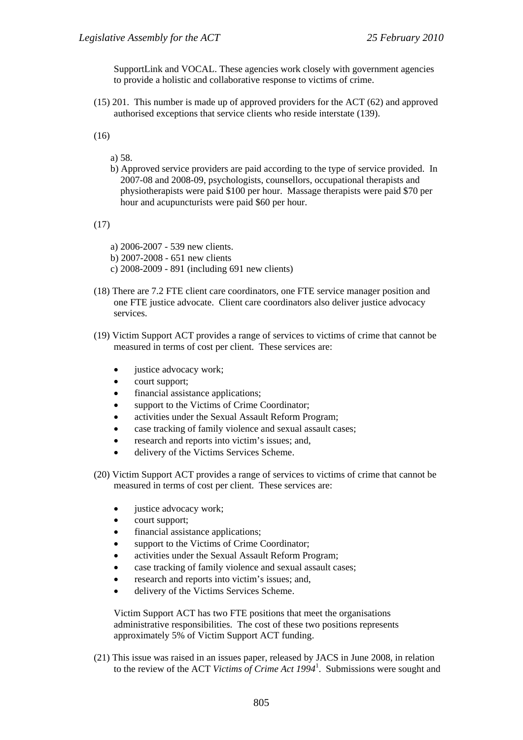SupportLink and VOCAL. These agencies work closely with government agencies to provide a holistic and collaborative response to victims of crime.

(15) 201. This number is made up of approved providers for the ACT (62) and approved authorised exceptions that service clients who reside interstate (139).

(16)

- a) 58.
- b) Approved service providers are paid according to the type of service provided. In 2007-08 and 2008-09, psychologists, counsellors, occupational therapists and physiotherapists were paid \$100 per hour. Massage therapists were paid \$70 per hour and acupuncturists were paid \$60 per hour.

(17)

- a) 2006-2007 539 new clients.
- b) 2007-2008 651 new clients
- c) 2008-2009 891 (including 691 new clients)
- (18) There are 7.2 FTE client care coordinators, one FTE service manager position and one FTE justice advocate. Client care coordinators also deliver justice advocacy services.
- (19) Victim Support ACT provides a range of services to victims of crime that cannot be measured in terms of cost per client. These services are:
	- justice advocacy work;
	- court support;
	- financial assistance applications:
	- support to the Victims of Crime Coordinator;
	- activities under the Sexual Assault Reform Program;
	- case tracking of family violence and sexual assault cases;
	- research and reports into victim's issues; and,
	- delivery of the Victims Services Scheme.
- (20) Victim Support ACT provides a range of services to victims of crime that cannot be measured in terms of cost per client. These services are:
	- iustice advocacy work:
	- court support:
	- financial assistance applications;
	- support to the Victims of Crime Coordinator;
	- activities under the Sexual Assault Reform Program;
	- case tracking of family violence and sexual assault cases;
	- research and reports into victim's issues; and,
	- delivery of the Victims Services Scheme.

Victim Support ACT has two FTE positions that meet the organisations administrative responsibilities. The cost of these two positions represents approximately 5% of Victim Support ACT funding.

(21) This issue was raised in an issues paper, released by JACS in June 2008, in relation to the review of the ACT *Victims of Crime Act 1994*<sup>1</sup> . Submissions were sought and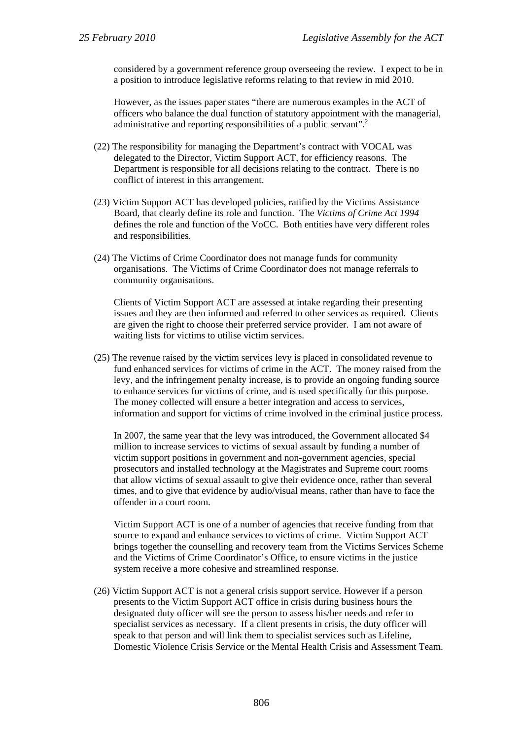considered by a government reference group overseeing the review. I expect to be in a position to introduce legislative reforms relating to that review in mid 2010.

However, as the issues paper states "there are numerous examples in the ACT of officers who balance the dual function of statutory appointment with the managerial, administrative and reporting responsibilities of a public servant".<sup>2</sup>

- (22) The responsibility for managing the Department's contract with VOCAL was delegated to the Director, Victim Support ACT, for efficiency reasons. The Department is responsible for all decisions relating to the contract. There is no conflict of interest in this arrangement.
- (23) Victim Support ACT has developed policies, ratified by the Victims Assistance Board, that clearly define its role and function. The *Victims of Crime Act 1994* defines the role and function of the VoCC. Both entities have very different roles and responsibilities.
- (24) The Victims of Crime Coordinator does not manage funds for community organisations. The Victims of Crime Coordinator does not manage referrals to community organisations.

Clients of Victim Support ACT are assessed at intake regarding their presenting issues and they are then informed and referred to other services as required. Clients are given the right to choose their preferred service provider. I am not aware of waiting lists for victims to utilise victim services.

(25) The revenue raised by the victim services levy is placed in consolidated revenue to fund enhanced services for victims of crime in the ACT. The money raised from the levy, and the infringement penalty increase, is to provide an ongoing funding source to enhance services for victims of crime, and is used specifically for this purpose. The money collected will ensure a better integration and access to services, information and support for victims of crime involved in the criminal justice process.

In 2007, the same year that the levy was introduced, the Government allocated \$4 million to increase services to victims of sexual assault by funding a number of victim support positions in government and non-government agencies, special prosecutors and installed technology at the Magistrates and Supreme court rooms that allow victims of sexual assault to give their evidence once, rather than several times, and to give that evidence by audio/visual means, rather than have to face the offender in a court room.

Victim Support ACT is one of a number of agencies that receive funding from that source to expand and enhance services to victims of crime. Victim Support ACT brings together the counselling and recovery team from the Victims Services Scheme and the Victims of Crime Coordinator's Office, to ensure victims in the justice system receive a more cohesive and streamlined response.

(26) Victim Support ACT is not a general crisis support service. However if a person presents to the Victim Support ACT office in crisis during business hours the designated duty officer will see the person to assess his/her needs and refer to specialist services as necessary. If a client presents in crisis, the duty officer will speak to that person and will link them to specialist services such as Lifeline, Domestic Violence Crisis Service or the Mental Health Crisis and Assessment Team.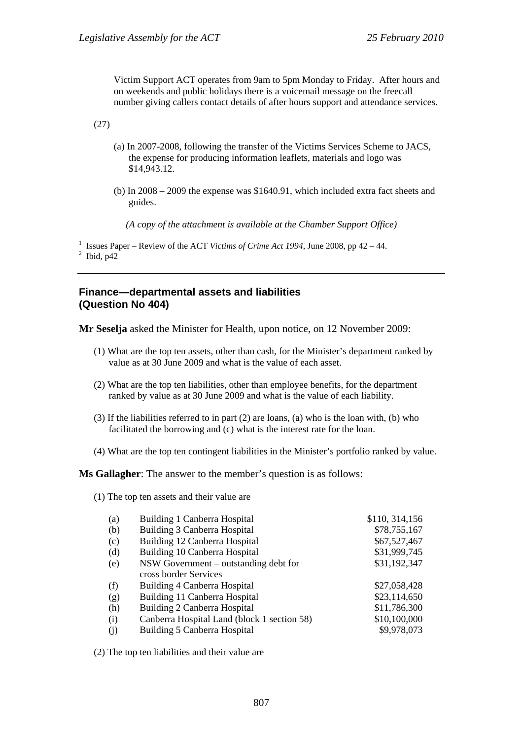Victim Support ACT operates from 9am to 5pm Monday to Friday. After hours and on weekends and public holidays there is a voicemail message on the freecall number giving callers contact details of after hours support and attendance services.

(27)

- (a) In 2007-2008, following the transfer of the Victims Services Scheme to JACS, the expense for producing information leaflets, materials and logo was \$14,943.12.
- (b) In 2008 2009 the expense was \$1640.91, which included extra fact sheets and guides.

*(A copy of the attachment is available at the Chamber Support Office)* 

<sup>1</sup> Issues Paper – Review of the ACT *Victims of Crime Act 1994*, June 2008, pp 42 – 44.  $2$  Ibid, p42

#### **Finance—departmental assets and liabilities (Question No 404)**

**Mr Seselja** asked the Minister for Health, upon notice, on 12 November 2009:

- (1) What are the top ten assets, other than cash, for the Minister's department ranked by value as at 30 June 2009 and what is the value of each asset.
- (2) What are the top ten liabilities, other than employee benefits, for the department ranked by value as at 30 June 2009 and what is the value of each liability.
- (3) If the liabilities referred to in part (2) are loans, (a) who is the loan with, (b) who facilitated the borrowing and (c) what is the interest rate for the loan.
- (4) What are the top ten contingent liabilities in the Minister's portfolio ranked by value.

**Ms Gallagher**: The answer to the member's question is as follows:

(1) The top ten assets and their value are

| (a) | Building 1 Canberra Hospital                | \$110, 314, 156 |
|-----|---------------------------------------------|-----------------|
| (b) | Building 3 Canberra Hospital                | \$78,755,167    |
| (c) | Building 12 Canberra Hospital               | \$67,527,467    |
| (d) | Building 10 Canberra Hospital               | \$31,999,745    |
| (e) | NSW Government – outstanding debt for       | \$31,192,347    |
|     | cross border Services                       |                 |
| (f) | Building 4 Canberra Hospital                | \$27,058,428    |
| (g) | Building 11 Canberra Hospital               | \$23,114,650    |
| (h) | Building 2 Canberra Hospital                | \$11,786,300    |
| (i) | Canberra Hospital Land (block 1 section 58) | \$10,100,000    |
| (i) | Building 5 Canberra Hospital                | \$9,978,073     |

(2) The top ten liabilities and their value are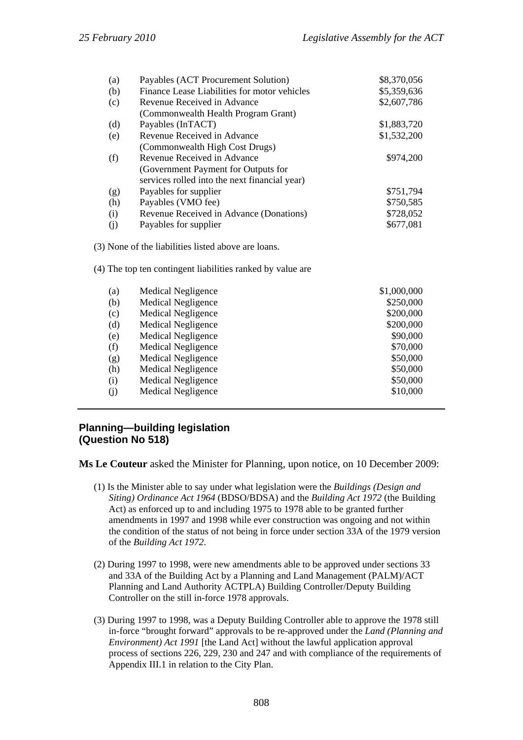| (a)        | Payables (ACT Procurement Solution)                        | \$8,370,056 |
|------------|------------------------------------------------------------|-------------|
| (b)        | Finance Lease Liabilities for motor vehicles               | \$5,359,636 |
| (c)        | Revenue Received in Advance                                | \$2,607,786 |
|            | (Commonwealth Health Program Grant)                        |             |
| (d)        | Payables (InTACT)                                          | \$1,883,720 |
| (e)        | Revenue Received in Advance                                | \$1,532,200 |
|            | (Commonwealth High Cost Drugs)                             |             |
| (f)        | Revenue Received in Advance                                | \$974,200   |
|            | (Government Payment for Outputs for                        |             |
|            | services rolled into the next financial year)              |             |
| (g)        | Payables for supplier                                      | \$751,794   |
| (h)        | Payables (VMO fee)                                         | \$750,585   |
| (i)        | Revenue Received in Advance (Donations)                    | \$728,052   |
| (j)        | Payables for supplier                                      | \$677,081   |
|            | (3) None of the liabilities listed above are loans.        |             |
|            | (4) The top ten contingent liabilities ranked by value are |             |
| (a)        | Medical Negligence                                         | \$1,000,000 |
| (b)        | <b>Medical Negligence</b>                                  | \$250,000   |
| $(\alpha)$ | <i>Modical Mogligance</i>                                  | മാസ ഗഗ      |

| (c) | <b>Medical Negligence</b> | \$200,000 |
|-----|---------------------------|-----------|
| (d) | <b>Medical Negligence</b> | \$200,000 |
| (e) | <b>Medical Negligence</b> | \$90,000  |
| (f) | <b>Medical Negligence</b> | \$70,000  |
| (g) | <b>Medical Negligence</b> | \$50,000  |
| (h) | <b>Medical Negligence</b> | \$50,000  |
| (i) | Medical Negligence        | \$50,000  |
| (i) | <b>Medical Negligence</b> | \$10,000  |
|     |                           |           |

# **Planning—building legislation (Question No 518)**

**Ms Le Couteur** asked the Minister for Planning, upon notice, on 10 December 2009:

- (1) Is the Minister able to say under what legislation were the *Buildings (Design and Siting) Ordinance Act 1964* (BDSO/BDSA) and the *Building Act 1972* (the Building Act) as enforced up to and including 1975 to 1978 able to be granted further amendments in 1997 and 1998 while ever construction was ongoing and not within the condition of the status of not being in force under section 33A of the 1979 version of the *Building Act 1972*.
- (2) During 1997 to 1998, were new amendments able to be approved under sections 33 and 33A of the Building Act by a Planning and Land Management (PALM)/ACT Planning and Land Authority ACTPLA) Building Controller/Deputy Building Controller on the still in-force 1978 approvals.
- (3) During 1997 to 1998, was a Deputy Building Controller able to approve the 1978 still in-force "brought forward" approvals to be re-approved under the *Land (Planning and Environment) Act 1991* [the Land Act] without the lawful application approval process of sections 226, 229, 230 and 247 and with compliance of the requirements of Appendix III.1 in relation to the City Plan.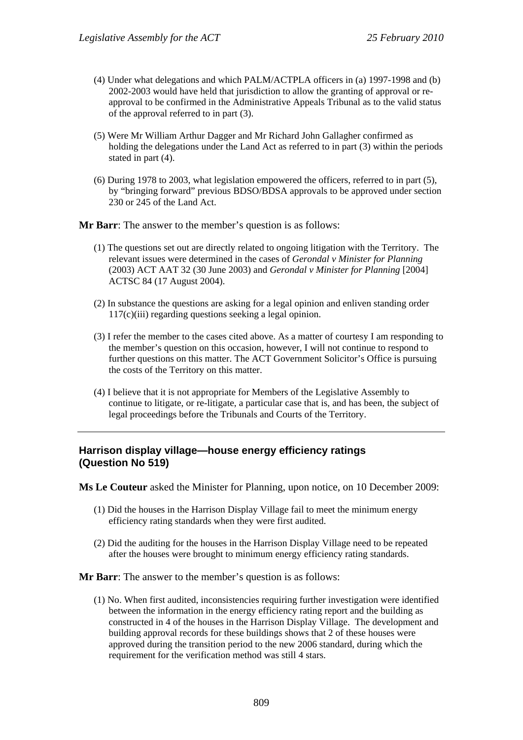- (4) Under what delegations and which PALM/ACTPLA officers in (a) 1997-1998 and (b) 2002-2003 would have held that jurisdiction to allow the granting of approval or reapproval to be confirmed in the Administrative Appeals Tribunal as to the valid status of the approval referred to in part (3).
- (5) Were Mr William Arthur Dagger and Mr Richard John Gallagher confirmed as holding the delegations under the Land Act as referred to in part (3) within the periods stated in part (4).
- (6) During 1978 to 2003, what legislation empowered the officers, referred to in part (5), by "bringing forward" previous BDSO/BDSA approvals to be approved under section 230 or 245 of the Land Act.

**Mr Barr**: The answer to the member's question is as follows:

- (1) The questions set out are directly related to ongoing litigation with the Territory. The relevant issues were determined in the cases of *Gerondal v Minister for Planning* (2003) ACT AAT 32 (30 June 2003) and *Gerondal v Minister for Planning* [2004] ACTSC 84 (17 August 2004).
- (2) In substance the questions are asking for a legal opinion and enliven standing order 117(c)(iii) regarding questions seeking a legal opinion.
- (3) I refer the member to the cases cited above. As a matter of courtesy I am responding to the member's question on this occasion, however, I will not continue to respond to further questions on this matter. The ACT Government Solicitor's Office is pursuing the costs of the Territory on this matter.
- (4) I believe that it is not appropriate for Members of the Legislative Assembly to continue to litigate, or re-litigate, a particular case that is, and has been, the subject of legal proceedings before the Tribunals and Courts of the Territory.

## **Harrison display village—house energy efficiency ratings (Question No 519)**

**Ms Le Couteur** asked the Minister for Planning, upon notice, on 10 December 2009:

- (1) Did the houses in the Harrison Display Village fail to meet the minimum energy efficiency rating standards when they were first audited.
- (2) Did the auditing for the houses in the Harrison Display Village need to be repeated after the houses were brought to minimum energy efficiency rating standards.

**Mr Barr**: The answer to the member's question is as follows:

(1) No. When first audited, inconsistencies requiring further investigation were identified between the information in the energy efficiency rating report and the building as constructed in 4 of the houses in the Harrison Display Village. The development and building approval records for these buildings shows that 2 of these houses were approved during the transition period to the new 2006 standard, during which the requirement for the verification method was still 4 stars.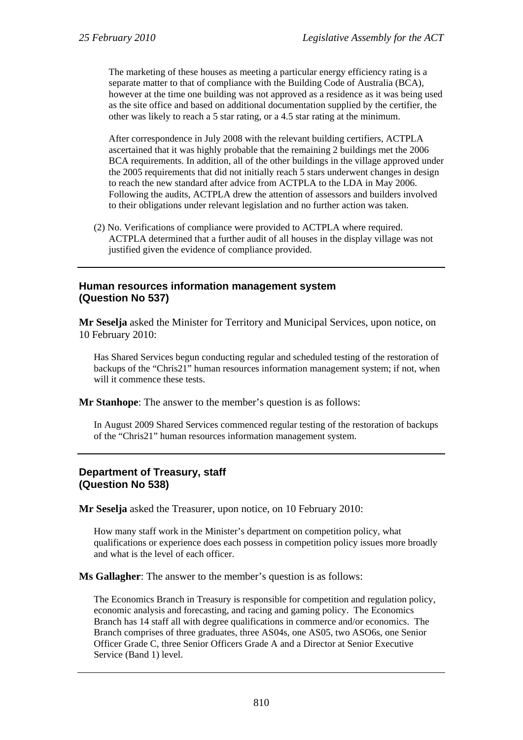The marketing of these houses as meeting a particular energy efficiency rating is a separate matter to that of compliance with the Building Code of Australia (BCA), however at the time one building was not approved as a residence as it was being used as the site office and based on additional documentation supplied by the certifier, the other was likely to reach a 5 star rating, or a 4.5 star rating at the minimum.

After correspondence in July 2008 with the relevant building certifiers, ACTPLA ascertained that it was highly probable that the remaining 2 buildings met the 2006 BCA requirements. In addition, all of the other buildings in the village approved under the 2005 requirements that did not initially reach 5 stars underwent changes in design to reach the new standard after advice from ACTPLA to the LDA in May 2006. Following the audits, ACTPLA drew the attention of assessors and builders involved to their obligations under relevant legislation and no further action was taken.

(2) No. Verifications of compliance were provided to ACTPLA where required. ACTPLA determined that a further audit of all houses in the display village was not justified given the evidence of compliance provided.

### **Human resources information management system (Question No 537)**

**Mr Seselja** asked the Minister for Territory and Municipal Services, upon notice, on 10 February 2010:

Has Shared Services begun conducting regular and scheduled testing of the restoration of backups of the "Chris21" human resources information management system; if not, when will it commence these tests.

**Mr Stanhope**: The answer to the member's question is as follows:

In August 2009 Shared Services commenced regular testing of the restoration of backups of the "Chris21" human resources information management system.

## **Department of Treasury, staff (Question No 538)**

**Mr Seselja** asked the Treasurer, upon notice, on 10 February 2010:

How many staff work in the Minister's department on competition policy, what qualifications or experience does each possess in competition policy issues more broadly and what is the level of each officer.

**Ms Gallagher**: The answer to the member's question is as follows:

The Economics Branch in Treasury is responsible for competition and regulation policy, economic analysis and forecasting, and racing and gaming policy. The Economics Branch has 14 staff all with degree qualifications in commerce and/or economics. The Branch comprises of three graduates, three AS04s, one AS05, two ASO6s, one Senior Officer Grade C, three Senior Officers Grade A and a Director at Senior Executive Service (Band 1) level.